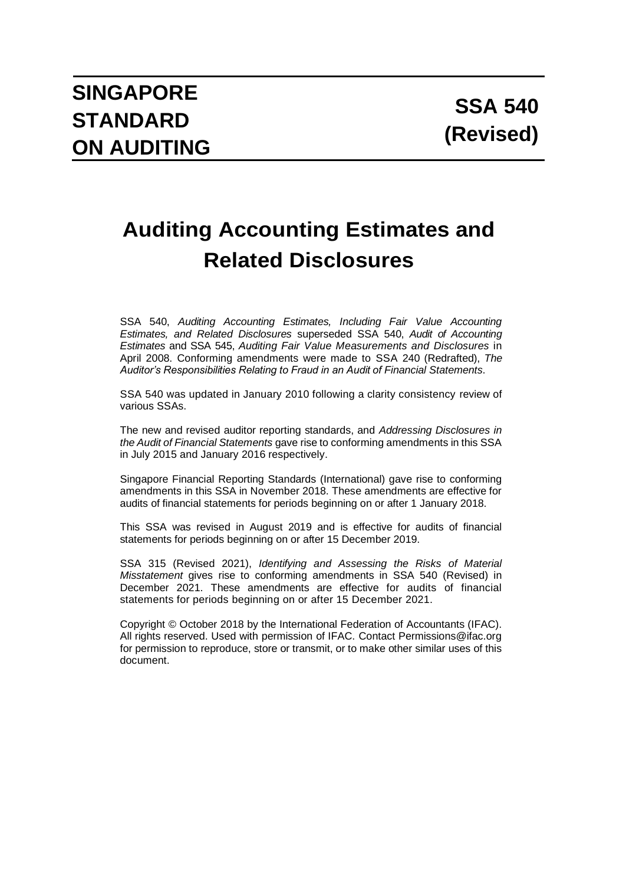# **Auditing Accounting Estimates and Related Disclosures**

SSA 540, *Auditing Accounting Estimates, Including Fair Value Accounting Estimates, and Related Disclosures* superseded SSA 540, *Audit of Accounting Estimates* and SSA 545, *Auditing Fair Value Measurements and Disclosures* in April 2008. Conforming amendments were made to SSA 240 (Redrafted), *The Auditor's Responsibilities Relating to Fraud in an Audit of Financial Statements*.

SSA 540 was updated in January 2010 following a clarity consistency review of various SSAs.

The new and revised auditor reporting standards, and *Addressing Disclosures in the Audit of Financial Statements* gave rise to conforming amendments in this SSA in July 2015 and January 2016 respectively.

Singapore Financial Reporting Standards (International) gave rise to conforming amendments in this SSA in November 2018. These amendments are effective for audits of financial statements for periods beginning on or after 1 January 2018.

This SSA was revised in August 2019 and is effective for audits of financial statements for periods beginning on or after 15 December 2019.

SSA 315 (Revised 2021), *Identifying and Assessing the Risks of Material Misstatement* gives rise to conforming amendments in SSA 540 (Revised) in December 2021. These amendments are effective for audits of financial statements for periods beginning on or after 15 December 2021.

Copyright © October 2018 by the International Federation of Accountants (IFAC). All rights reserved. Used with permission of IFAC. Contact Permissions@ifac.org for permission to reproduce, store or transmit, or to make other similar uses of this document.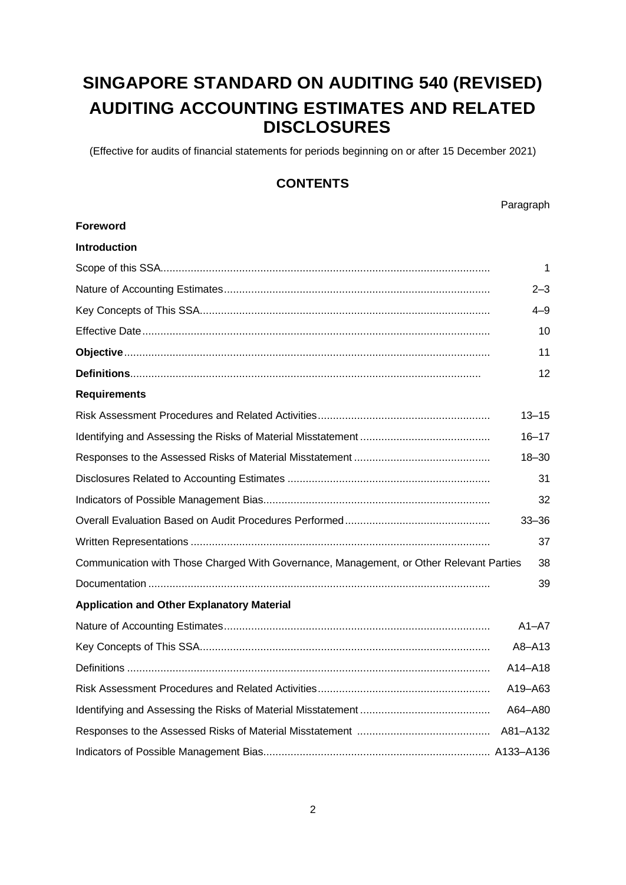# **SINGAPORE STANDARD ON AUDITING 540 (REVISED) AUDITING ACCOUNTING ESTIMATES AND RELATED DISCLOSURES**

(Effective for audits of financial statements for periods beginning on or after 15 December 2021)

## **CONTENTS**

Paragraph

| Foreword                                                                                |           |
|-----------------------------------------------------------------------------------------|-----------|
| <b>Introduction</b>                                                                     |           |
|                                                                                         | 1         |
|                                                                                         | $2 - 3$   |
|                                                                                         | $4 - 9$   |
|                                                                                         | 10        |
|                                                                                         | 11        |
|                                                                                         | 12        |
| <b>Requirements</b>                                                                     |           |
|                                                                                         | $13 - 15$ |
|                                                                                         | $16 - 17$ |
|                                                                                         | $18 - 30$ |
|                                                                                         | 31        |
|                                                                                         | 32        |
|                                                                                         | $33 - 36$ |
|                                                                                         | 37        |
| Communication with Those Charged With Governance, Management, or Other Relevant Parties | 38        |
|                                                                                         | 39        |
| <b>Application and Other Explanatory Material</b>                                       |           |
|                                                                                         | $A1 - A7$ |
|                                                                                         | A8-A13    |
|                                                                                         | A14-A18   |
|                                                                                         | A19-A63   |
|                                                                                         | A64-A80   |
|                                                                                         | A81-A132  |
|                                                                                         |           |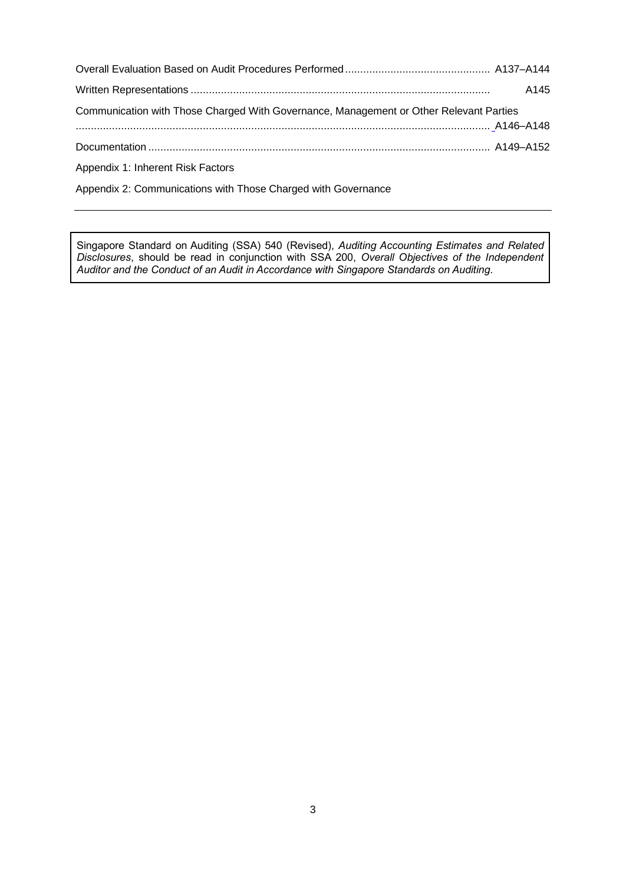|                                                                                        | A145 |
|----------------------------------------------------------------------------------------|------|
| Communication with Those Charged With Governance, Management or Other Relevant Parties |      |
|                                                                                        |      |
| Appendix 1: Inherent Risk Factors                                                      |      |

[Appendix 2:](#page-55-0) [Communications with Those Charged with Governance](#page-55-1)

Singapore Standard on Auditing (SSA) 540 (Revised), *Auditing Accounting Estimates and Related Disclosures*, should be read in conjunction with SSA 200, *Overall Objectives of the Independent Auditor and the Conduct of an Audit in Accordance with Singapore Standards on Auditing*.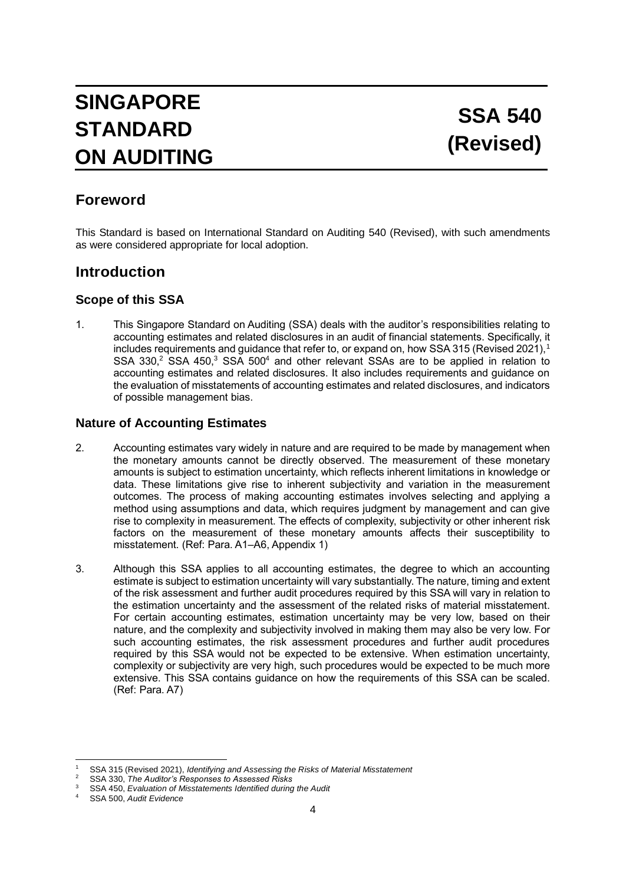# **SINGAPORE STANDARD ON AUDITING**

**SSA 540 (Revised)**

## **Foreword**

This Standard is based on International Standard on Auditing 540 (Revised), with such amendments as were considered appropriate for local adoption.

## **Introduction**

## <span id="page-3-0"></span>**Scope of this SSA**

1. This Singapore Standard on Auditing (SSA) deals with the auditor's responsibilities relating to accounting estimates and related disclosures in an audit of financial statements. Specifically, it includes requirements and guidance that refer to, or expand on, how SSA 315 (Revised 2021),<sup>1</sup> SSA 330,<sup>2</sup> SSA 450,<sup>3</sup> SSA 500<sup>4</sup> and other relevant SSAs are to be applied in relation to accounting estimates and related disclosures. It also includes requirements and guidance on the evaluation of misstatements of accounting estimates and related disclosures, and indicators of possible management bias.

## <span id="page-3-1"></span>**Nature of Accounting Estimates**

- 2. Accounting estimates vary widely in nature and are required to be made by management when the monetary amounts cannot be directly observed. The measurement of these monetary amounts is subject to estimation uncertainty, which reflects inherent limitations in knowledge or data. These limitations give rise to inherent subjectivity and variation in the measurement outcomes. The process of making accounting estimates involves selecting and applying a method using assumptions and data, which requires judgment by management and can give rise to complexity in measurement. The effects of complexity, subjectivity or other inherent risk factors on the measurement of these monetary amounts affects their susceptibility to misstatement. (Ref: Para. A1–A6, Appendix 1)
- 3. Although this SSA applies to all accounting estimates, the degree to which an accounting estimate is subject to estimation uncertainty will vary substantially. The nature, timing and extent of the risk assessment and further audit procedures required by this SSA will vary in relation to the estimation uncertainty and the assessment of the related risks of material misstatement. For certain accounting estimates, estimation uncertainty may be very low, based on their nature, and the complexity and subjectivity involved in making them may also be very low. For such accounting estimates, the risk assessment procedures and further audit procedures required by this SSA would not be expected to be extensive. When estimation uncertainty, complexity or subjectivity are very high, such procedures would be expected to be much more extensive. This SSA contains guidance on how the requirements of this SSA can be scaled. (Ref: Para. A7)

<span id="page-3-2"></span><sup>1</sup> SSA 315 (Revised 2021), *Identifying and Assessing the Risks of Material Misstatement* 

<sup>2</sup> SSA 330, *The Auditor's Responses to Assessed Risks*

<sup>3</sup> SSA 450, *Evaluation of Misstatements Identified during the Audit*

<sup>4</sup> SSA 500, *Audit Evidence*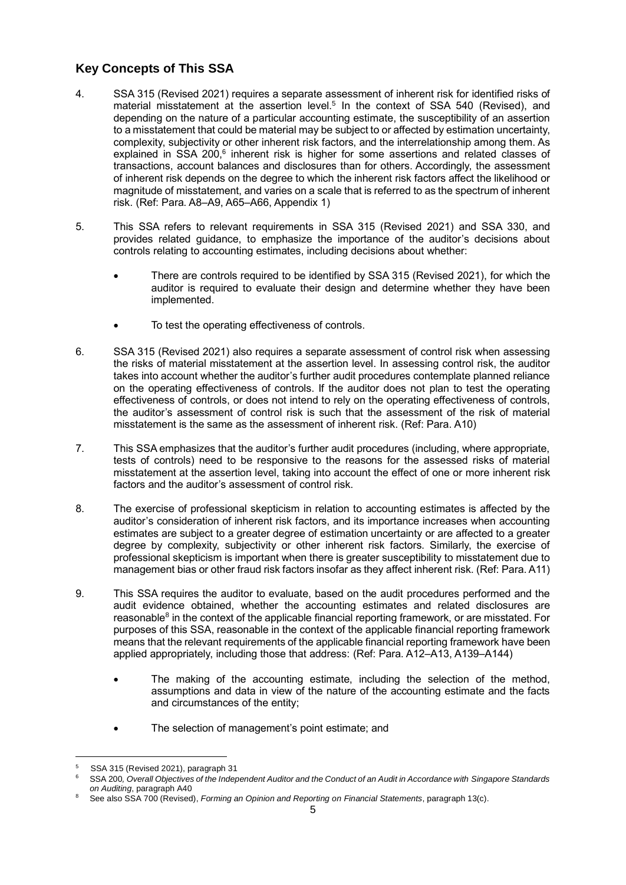## **Key Concepts of This SSA**

- 4. SSA 315 (Revised 2021) requires a separate assessment of inherent risk for identified risks of material misstatement at the assertion level.<sup>5</sup> In the context of SSA 540 (Revised), and depending on the nature of a particular accounting estimate, the susceptibility of an assertion to a misstatement that could be material may be subject to or affected by estimation uncertainty, complexity, subjectivity or other inherent risk factors, and the interrelationship among them. As explained in SSA 200,<sup>6</sup> inherent risk is higher for some assertions and related classes of transactions, account balances and disclosures than for others. Accordingly, the assessment of inherent risk depends on the degree to which the inherent risk factors affect the likelihood or magnitude of misstatement, and varies on a scale that is referred to as the spectrum of inherent risk. (Ref: Para. A8–A9, A65–A66, Appendix 1)
- 5. This SSA refers to relevant requirements in SSA 315 (Revised 2021) and SSA 330, and provides related guidance, to emphasize the importance of the auditor's decisions about controls relating to accounting estimates, including decisions about whether:
	- There are controls required to be identified by SSA 315 (Revised 2021), for which the auditor is required to evaluate their design and determine whether they have been implemented.
	- To test the operating effectiveness of controls.
- 6. SSA 315 (Revised 2021) also requires a separate assessment of control risk when assessing the risks of material misstatement at the assertion level. In assessing control risk, the auditor takes into account whether the auditor's further audit procedures contemplate planned reliance on the operating effectiveness of controls. If the auditor does not plan to test the operating effectiveness of controls, or does not intend to rely on the operating effectiveness of controls, the auditor's assessment of control risk is such that the assessment of the risk of material misstatement is the same as the assessment of inherent risk. (Ref: Para. A10)
- 7. This SSA emphasizes that the auditor's further audit procedures (including, where appropriate, tests of controls) need to be responsive to the reasons for the assessed risks of material misstatement at the assertion level, taking into account the effect of one or more inherent risk factors and the auditor's assessment of control risk.
- 8. The exercise of professional skepticism in relation to accounting estimates is affected by the auditor's consideration of inherent risk factors, and its importance increases when accounting estimates are subject to a greater degree of estimation uncertainty or are affected to a greater degree by complexity, subjectivity or other inherent risk factors. Similarly, the exercise of professional skepticism is important when there is greater susceptibility to misstatement due to management bias or other fraud risk factors insofar as they affect inherent risk. (Ref: Para. A11)
- 9. This SSA requires the auditor to evaluate, based on the audit procedures performed and the audit evidence obtained, whether the accounting estimates and related disclosures are reasonable<sup>8</sup> in the context of the applicable financial reporting framework, or are misstated. For purposes of this SSA, reasonable in the context of the applicable financial reporting framework means that the relevant requirements of the applicable financial reporting framework have been applied appropriately, including those that address: (Ref: Para. A12–A13, A139–A144)
	- The making of the accounting estimate, including the selection of the method, assumptions and data in view of the nature of the accounting estimate and the facts and circumstances of the entity;
	- The selection of management's point estimate; and

 $5$  SSA 315 (Revised 2021), paragraph 31

<sup>6</sup> SSA 200*, Overall Objectives of the Independent Auditor and the Conduct of an Audit in Accordance with Singapore Standards on Auditing*, paragraph A40

<sup>8</sup> See also SSA 700 (Revised), *Forming an Opinion and Reporting on Financial Statements*, paragraph 13(c).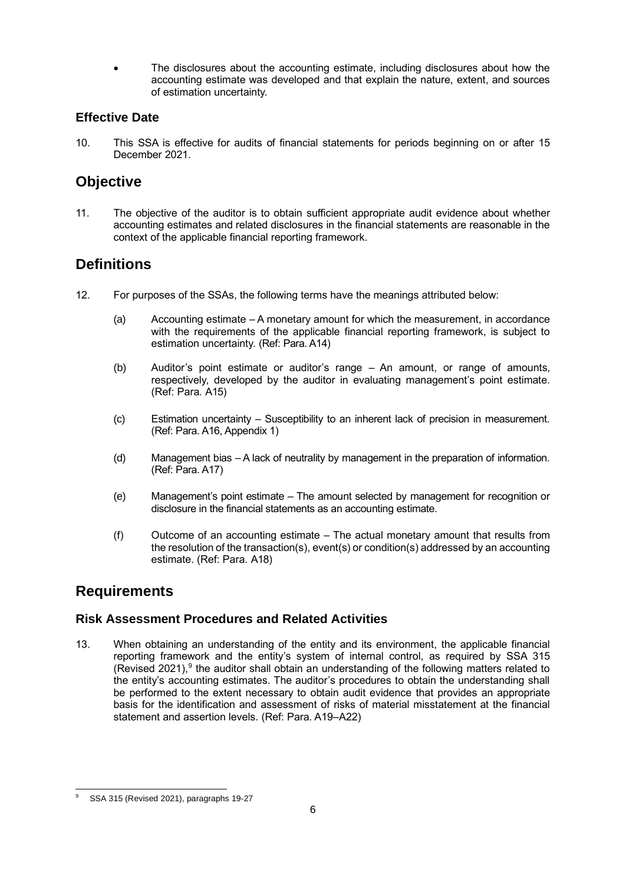• The disclosures about the accounting estimate, including disclosures about how the accounting estimate was developed and that explain the nature, extent, and sources of estimation uncertainty.

## <span id="page-5-0"></span>**Effective Date**

10. This SSA is effective for audits of financial statements for periods beginning on or after 15 December 2021.

# **Objective**

11. The objective of the auditor is to obtain sufficient appropriate audit evidence about whether accounting estimates and related disclosures in the financial statements are reasonable in the context of the applicable financial reporting framework.

# **Definitions**

- 12. For purposes of the SSAs, the following terms have the meanings attributed below:
	- (a) Accounting estimate A monetary amount for which the measurement, in accordance with the requirements of the applicable financial reporting framework, is subject to estimation uncertainty. (Ref: Para. A14)
	- (b) Auditor's point estimate or auditor's range An amount, or range of amounts, respectively, developed by the auditor in evaluating management's point estimate. (Ref: Para. A15)
	- (c) Estimation uncertainty Susceptibility to an inherent lack of precision in measurement. (Ref: Para. A16, Appendix 1)
	- (d) Management bias A lack of neutrality by management in the preparation of information. (Ref: Para. A17)
	- (e) Management's point estimate The amount selected by management for recognition or disclosure in the financial statements as an accounting estimate.
	- (f) Outcome of an accounting estimate The actual monetary amount that results from the resolution of the transaction(s), event(s) or condition(s) addressed by an accounting estimate. (Ref: Para. A18)

# **Requirements**

## <span id="page-5-1"></span>**Risk Assessment Procedures and Related Activities**

13. When obtaining an understanding of the entity and its environment, the applicable financial reporting framework and the entity's system of internal control, as required by SSA 315 (Revised 2021),<sup>9</sup> the auditor shall obtain an understanding of the following matters related to the entity's accounting estimates. The auditor's procedures to obtain the understanding shall be performed to the extent necessary to obtain audit evidence that provides an appropriate basis for the identification and assessment of risks of material misstatement at the financial statement and assertion levels. (Ref: Para. A19–A22)

<sup>9</sup> SSA 315 (Revised 2021), paragraphs 19-27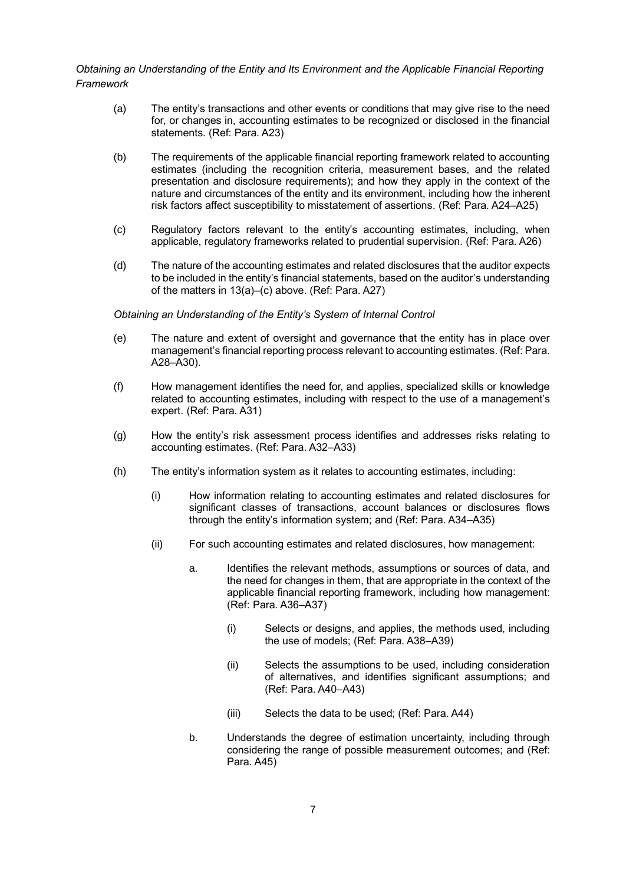## *Obtaining an Understanding of the Entity and Its Environment and the Applicable Financial Reporting Framework*

- (a) The entity's transactions and other events or conditions that may give rise to the need for, or changes in, accounting estimates to be recognized or disclosed in the financial statements. (Ref: Para. A23)
- (b) The requirements of the applicable financial reporting framework related to accounting estimates (including the recognition criteria, measurement bases, and the related presentation and disclosure requirements); and how they apply in the context of the nature and circumstances of the entity and its environment, including how the inherent risk factors affect susceptibility to misstatement of assertions. (Ref: Para. A24–A25)
- (c) Regulatory factors relevant to the entity's accounting estimates, including, when applicable, regulatory frameworks related to prudential supervision. (Ref: Para. A26)
- (d) The nature of the accounting estimates and related disclosures that the auditor expects to be included in the entity's financial statements, based on the auditor's understanding of the matters in 13(a)–(c) above. (Ref: Para. A27)

*Obtaining an Understanding of the Entity's System of Internal Control* 

- (e) The nature and extent of oversight and governance that the entity has in place over management's financial reporting process relevant to accounting estimates. (Ref: Para. A28–A30).
- (f) How management identifies the need for, and applies, specialized skills or knowledge related to accounting estimates, including with respect to the use of a management's expert. (Ref: Para. A31)
- (g) How the entity's risk assessment process identifies and addresses risks relating to accounting estimates. (Ref: Para. A32–A33)
- (h) The entity's information system as it relates to accounting estimates, including:
	- (i) How information relating to accounting estimates and related disclosures for significant classes of transactions, account balances or disclosures flows through the entity's information system; and (Ref: Para. A34–A35)
	- (ii) For such accounting estimates and related disclosures, how management:
		- a. Identifies the relevant methods, assumptions or sources of data, and the need for changes in them, that are appropriate in the context of the applicable financial reporting framework, including how management: (Ref: Para. A36–A37)
			- (i) Selects or designs, and applies, the methods used, including the use of models; (Ref: Para. A38–A39)
			- (ii) Selects the assumptions to be used, including consideration of alternatives, and identifies significant assumptions; and (Ref: Para. A40–A43)
			- (iii) Selects the data to be used; (Ref: Para. A44)
		- b. Understands the degree of estimation uncertainty, including through considering the range of possible measurement outcomes; and (Ref: Para. A45)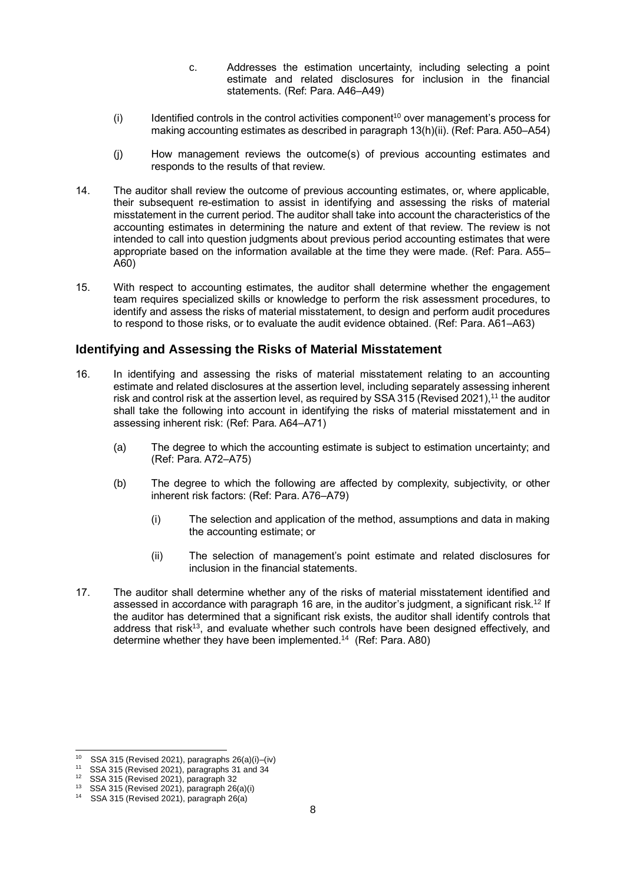- c. Addresses the estimation uncertainty, including selecting a point estimate and related disclosures for inclusion in the financial statements. (Ref: Para. A46–A49)
- (i) Identified controls in the control activities component<sup>10</sup> over management's process for making accounting estimates as described in paragraph 13(h)(ii). (Ref: Para. A50–A54)
- (j) How management reviews the outcome(s) of previous accounting estimates and responds to the results of that review.
- 14. The auditor shall review the outcome of previous accounting estimates, or, where applicable, their subsequent re-estimation to assist in identifying and assessing the risks of material misstatement in the current period. The auditor shall take into account the characteristics of the accounting estimates in determining the nature and extent of that review. The review is not intended to call into question judgments about previous period accounting estimates that were appropriate based on the information available at the time they were made. (Ref: Para. A55– A60)
- 15. With respect to accounting estimates, the auditor shall determine whether the engagement team requires specialized skills or knowledge to perform the risk assessment procedures, to identify and assess the risks of material misstatement, to design and perform audit procedures to respond to those risks, or to evaluate the audit evidence obtained. (Ref: Para. A61–A63)

## <span id="page-7-0"></span>**Identifying and Assessing the Risks of Material Misstatement**

- 16. In identifying and assessing the risks of material misstatement relating to an accounting estimate and related disclosures at the assertion level, including separately assessing inherent risk and control risk at the assertion level, as required by SSA 315 (Revised 2021),<sup>11</sup> the auditor shall take the following into account in identifying the risks of material misstatement and in assessing inherent risk: (Ref: Para. A64–A71)
	- (a) The degree to which the accounting estimate is subject to estimation uncertainty; and (Ref: Para. A72–A75)
	- (b) The degree to which the following are affected by complexity, subjectivity, or other inherent risk factors: (Ref: Para. A76–A79)
		- (i) The selection and application of the method, assumptions and data in making the accounting estimate; or
		- (ii) The selection of management's point estimate and related disclosures for inclusion in the financial statements.
- <span id="page-7-1"></span>17. The auditor shall determine whether any of the risks of material misstatement identified and assessed in accordance with paragraph 16 are, in the auditor's judgment, a significant risk.<sup>12</sup> If the auditor has determined that a significant risk exists, the auditor shall identify controls that address that risk<sup>13</sup>, and evaluate whether such controls have been designed effectively, and determine whether they have been implemented.<sup>14</sup> (Ref: Para. A80)

<sup>10</sup> SSA 315 (Revised 2021), paragraphs  $26(a)(i)$ –(iv)

<sup>11</sup> SSA 315 (Revised 2021), paragraphs 31 and 34

<sup>&</sup>lt;sup>12</sup> SSA 315 (Revised 2021), paragraph 32

<sup>13</sup> SSA 315 (Revised 2021), paragraph  $26(a)(i)$ 

<sup>14</sup> SSA 315 (Revised 2021), paragraph 26(a)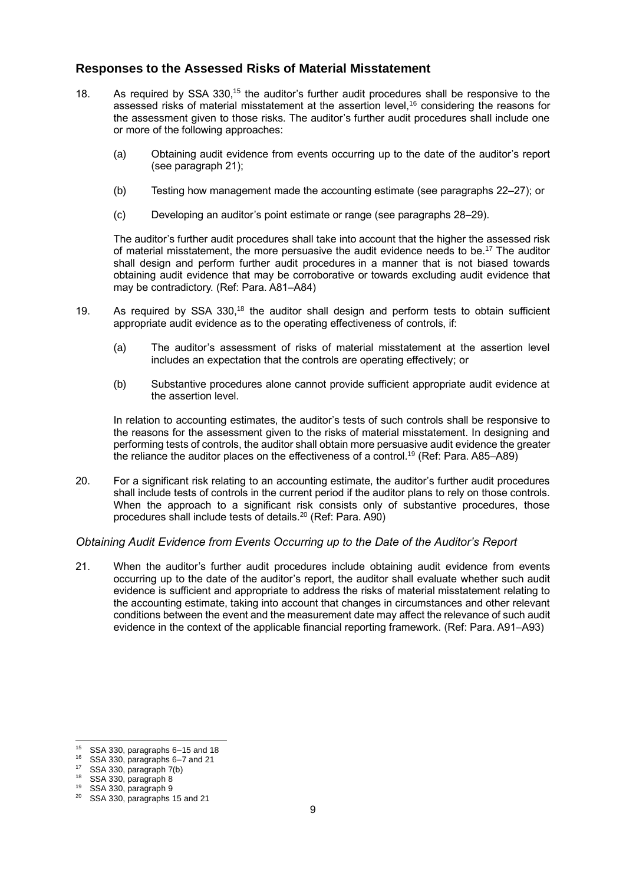## **Responses to the Assessed Risks of Material Misstatement**

- 18. As required by SSA 330,<sup>15</sup> the auditor's further audit procedures shall be responsive to the assessed risks of material misstatement at the assertion level,<sup>16</sup> considering the reasons for the assessment given to those risks. The auditor's further audit procedures shall include one or more of the following approaches:
	- (a) Obtaining audit evidence from events occurring up to the date of the auditor's report (see paragraph 21);
	- (b) Testing how management made the accounting estimate (see paragraphs 22–27); or
	- (c) Developing an auditor's point estimate or range (see paragraphs 28–29).

The auditor's further audit procedures shall take into account that the higher the assessed risk of material misstatement, the more persuasive the audit evidence needs to be.<sup>17</sup> The auditor shall design and perform further audit procedures in a manner that is not biased towards obtaining audit evidence that may be corroborative or towards excluding audit evidence that may be contradictory. (Ref: Para. A81–A84)

- 19. As required by SSA 330,<sup>18</sup> the auditor shall design and perform tests to obtain sufficient appropriate audit evidence as to the operating effectiveness of controls, if:
	- (a) The auditor's assessment of risks of material misstatement at the assertion level includes an expectation that the controls are operating effectively; or
	- (b) Substantive procedures alone cannot provide sufficient appropriate audit evidence at the assertion level.

In relation to accounting estimates, the auditor's tests of such controls shall be responsive to the reasons for the assessment given to the risks of material misstatement. In designing and performing tests of controls, the auditor shall obtain more persuasive audit evidence the greater the reliance the auditor places on the effectiveness of a control.<sup>19</sup> (Ref: Para. A85–A89)

20. For a significant risk relating to an accounting estimate, the auditor's further audit procedures shall include tests of controls in the current period if the auditor plans to rely on those controls. When the approach to a significant risk consists only of substantive procedures, those procedures shall include tests of details.<sup>20</sup> (Ref: Para. A90)

## *Obtaining Audit Evidence from Events Occurring up to the Date of the Auditor's Report*

21. When the auditor's further audit procedures include obtaining audit evidence from events occurring up to the date of the auditor's report, the auditor shall evaluate whether such audit evidence is sufficient and appropriate to address the risks of material misstatement relating to the accounting estimate, taking into account that changes in circumstances and other relevant conditions between the event and the measurement date may affect the relevance of such audit evidence in the context of the applicable financial reporting framework. (Ref: Para. A91–A93)

<sup>15</sup> SSA 330, paragraphs 6–15 and 18

<sup>16</sup> SSA 330, paragraphs 6–7 and 21

<sup>17</sup> SSA 330, paragraph 7(b)

<sup>18</sup> SSA 330, paragraph 8

<sup>19</sup> SSA 330, paragraph 9

<sup>20</sup> SSA 330, paragraphs 15 and 21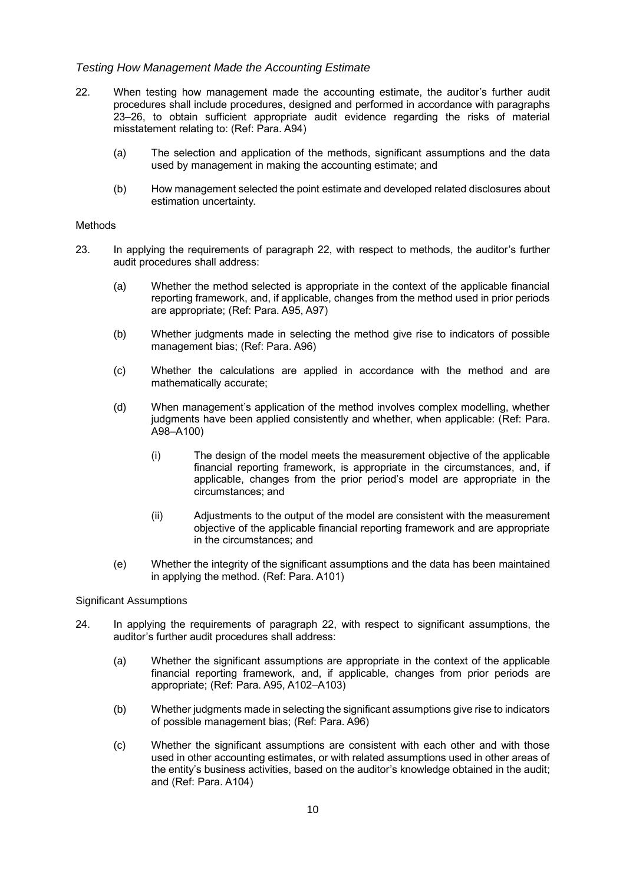#### *Testing How Management Made the Accounting Estimate*

- 22. When testing how management made the accounting estimate, the auditor's further audit procedures shall include procedures, designed and performed in accordance with paragraphs 23–26, to obtain sufficient appropriate audit evidence regarding the risks of material misstatement relating to: (Ref: Para. A94)
	- (a) The selection and application of the methods, significant assumptions and the data used by management in making the accounting estimate; and
	- (b) How management selected the point estimate and developed related disclosures about estimation uncertainty.

#### Methods

- 23. In applying the requirements of paragraph 22, with respect to methods, the auditor's further audit procedures shall address:
	- (a) Whether the method selected is appropriate in the context of the applicable financial reporting framework, and, if applicable, changes from the method used in prior periods are appropriate; (Ref: Para. A95, A97)
	- (b) Whether judgments made in selecting the method give rise to indicators of possible management bias; (Ref: Para. A96)
	- (c) Whether the calculations are applied in accordance with the method and are mathematically accurate;
	- (d) When management's application of the method involves complex modelling, whether judgments have been applied consistently and whether, when applicable: (Ref: Para. A98–A100)
		- (i) The design of the model meets the measurement objective of the applicable financial reporting framework, is appropriate in the circumstances, and, if applicable, changes from the prior period's model are appropriate in the circumstances; and
		- (ii) Adjustments to the output of the model are consistent with the measurement objective of the applicable financial reporting framework and are appropriate in the circumstances; and
	- (e) Whether the integrity of the significant assumptions and the data has been maintained in applying the method. (Ref: Para. A101)

#### Significant Assumptions

- 24. In applying the requirements of paragraph 22, with respect to significant assumptions, the auditor's further audit procedures shall address:
	- (a) Whether the significant assumptions are appropriate in the context of the applicable financial reporting framework, and, if applicable, changes from prior periods are appropriate; (Ref: Para. A95, A102–A103)
	- (b) Whether judgments made in selecting the significant assumptions give rise to indicators of possible management bias; (Ref: Para. A96)
	- (c) Whether the significant assumptions are consistent with each other and with those used in other accounting estimates, or with related assumptions used in other areas of the entity's business activities, based on the auditor's knowledge obtained in the audit; and (Ref: Para. A104)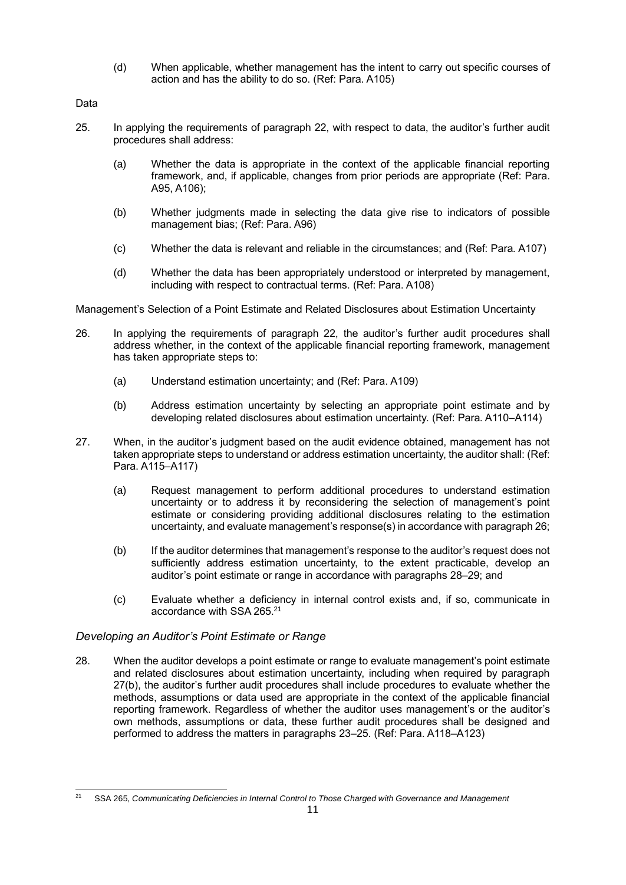(d) When applicable, whether management has the intent to carry out specific courses of action and has the ability to do so. (Ref: Para. A105)

Data

- 25. In applying the requirements of paragraph 22, with respect to data, the auditor's further audit procedures shall address:
	- (a) Whether the data is appropriate in the context of the applicable financial reporting framework, and, if applicable, changes from prior periods are appropriate (Ref: Para. A95, A106);
	- (b) Whether judgments made in selecting the data give rise to indicators of possible management bias; (Ref: Para. A96)
	- (c) Whether the data is relevant and reliable in the circumstances; and (Ref: Para. A107)
	- (d) Whether the data has been appropriately understood or interpreted by management, including with respect to contractual terms. (Ref: Para. A108)

Management's Selection of a Point Estimate and Related Disclosures about Estimation Uncertainty

- 26. In applying the requirements of paragraph 22, the auditor's further audit procedures shall address whether, in the context of the applicable financial reporting framework, management has taken appropriate steps to:
	- (a) Understand estimation uncertainty; and (Ref: Para. A109)
	- (b) Address estimation uncertainty by selecting an appropriate point estimate and by developing related disclosures about estimation uncertainty. (Ref: Para. A110–A114)
- 27. When, in the auditor's judgment based on the audit evidence obtained, management has not taken appropriate steps to understand or address estimation uncertainty, the auditor shall: (Ref: Para. A115–A117)
	- (a) Request management to perform additional procedures to understand estimation uncertainty or to address it by reconsidering the selection of management's point estimate or considering providing additional disclosures relating to the estimation uncertainty, and evaluate management's response(s) in accordance with paragraph 26;
	- (b) If the auditor determines that management's response to the auditor's request does not sufficiently address estimation uncertainty, to the extent practicable, develop an auditor's point estimate or range in accordance with paragraphs 28–29; and
	- (c) Evaluate whether a deficiency in internal control exists and, if so, communicate in accordance with SSA 265.<sup>21</sup>

## *Developing an Auditor's Point Estimate or Range*

28. When the auditor develops a point estimate or range to evaluate management's point estimate and related disclosures about estimation uncertainty, including when required by paragraph 27(b), the auditor's further audit procedures shall include procedures to evaluate whether the methods, assumptions or data used are appropriate in the context of the applicable financial reporting framework. Regardless of whether the auditor uses management's or the auditor's own methods, assumptions or data, these further audit procedures shall be designed and performed to address the matters in paragraphs 23–25. (Ref: Para. A118–A123)

<sup>21</sup> SSA 265, *Communicating Deficiencies in Internal Control to Those Charged with Governance and Management*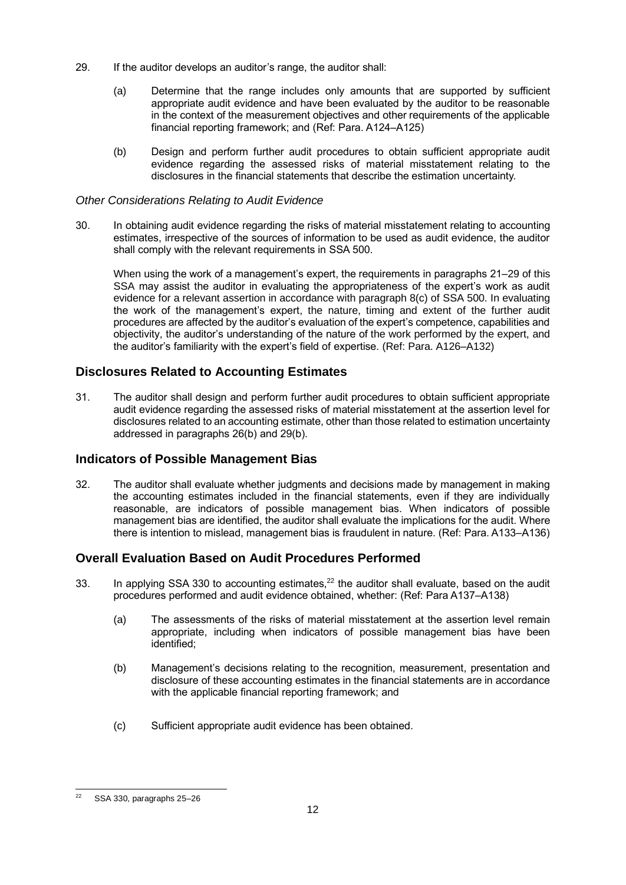- 29. If the auditor develops an auditor's range, the auditor shall:
	- (a) Determine that the range includes only amounts that are supported by sufficient appropriate audit evidence and have been evaluated by the auditor to be reasonable in the context of the measurement objectives and other requirements of the applicable financial reporting framework; and (Ref: Para. A124–A125)
	- (b) Design and perform further audit procedures to obtain sufficient appropriate audit evidence regarding the assessed risks of material misstatement relating to the disclosures in the financial statements that describe the estimation uncertainty.

## *Other Considerations Relating to Audit Evidence*

30. In obtaining audit evidence regarding the risks of material misstatement relating to accounting estimates, irrespective of the sources of information to be used as audit evidence, the auditor shall comply with the relevant requirements in SSA 500.

When using the work of a management's expert, the requirements in paragraphs 21–29 of this SSA may assist the auditor in evaluating the appropriateness of the expert's work as audit evidence for a relevant assertion in accordance with paragraph 8(c) of SSA 500. In evaluating the work of the management's expert, the nature, timing and extent of the further audit procedures are affected by the auditor's evaluation of the expert's competence, capabilities and objectivity, the auditor's understanding of the nature of the work performed by the expert, and the auditor's familiarity with the expert's field of expertise. (Ref: Para. A126–A132)

## <span id="page-11-0"></span>**Disclosures Related to Accounting Estimates**

31. The auditor shall design and perform further audit procedures to obtain sufficient appropriate audit evidence regarding the assessed risks of material misstatement at the assertion level for disclosures related to an accounting estimate, other than those related to estimation uncertainty addressed in paragraphs 26(b) and 29(b).

## <span id="page-11-1"></span>**Indicators of Possible Management Bias**

32. The auditor shall evaluate whether judgments and decisions made by management in making the accounting estimates included in the financial statements, even if they are individually reasonable, are indicators of possible management bias. When indicators of possible management bias are identified, the auditor shall evaluate the implications for the audit. Where there is intention to mislead, management bias is fraudulent in nature. (Ref: Para. A133–A136)

## <span id="page-11-2"></span>**Overall Evaluation Based on Audit Procedures Performed**

- 33. In applying SSA 330 to accounting estimates,<sup>22</sup> the auditor shall evaluate, based on the audit procedures performed and audit evidence obtained, whether: (Ref: Para A137–A138)
	- (a) The assessments of the risks of material misstatement at the assertion level remain appropriate, including when indicators of possible management bias have been identified;
	- (b) Management's decisions relating to the recognition, measurement, presentation and disclosure of these accounting estimates in the financial statements are in accordance with the applicable financial reporting framework; and
	- (c) Sufficient appropriate audit evidence has been obtained.

SSA 330, paragraphs 25-26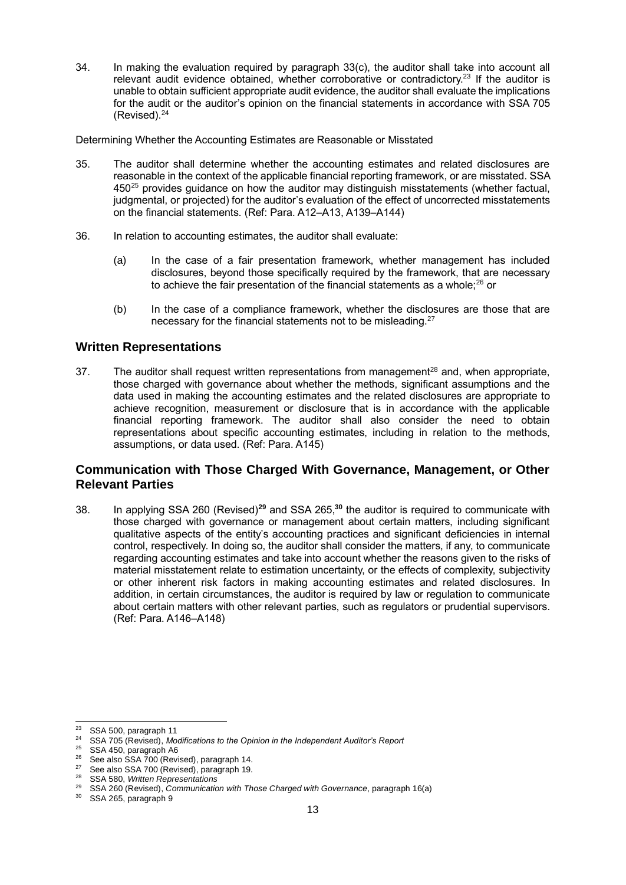34. In making the evaluation required by paragraph 33(c), the auditor shall take into account all relevant audit evidence obtained, whether corroborative or contradictory.<sup>23</sup> If the auditor is unable to obtain sufficient appropriate audit evidence, the auditor shall evaluate the implications for the audit or the auditor's opinion on the financial statements in accordance with SSA 705  $(Revised)$ .<sup>24</sup>

Determining Whether the Accounting Estimates are Reasonable or Misstated

- 35. The auditor shall determine whether the accounting estimates and related disclosures are reasonable in the context of the applicable financial reporting framework, or are misstated. SSA 450<sup>25</sup> provides guidance on how the auditor may distinguish misstatements (whether factual, judgmental, or projected) for the auditor's evaluation of the effect of uncorrected misstatements on the financial statements. (Ref: Para. A12–A13, A139–A144)
- 36. In relation to accounting estimates, the auditor shall evaluate:
	- (a) In the case of a fair presentation framework, whether management has included disclosures, beyond those specifically required by the framework, that are necessary to achieve the fair presentation of the financial statements as a whole;<sup>26</sup> or
	- (b) In the case of a compliance framework, whether the disclosures are those that are necessary for the financial statements not to be misleading.<sup>27</sup>

## <span id="page-12-0"></span>**Written Representations**

37. The auditor shall request written representations from management<sup>28</sup> and, when appropriate, those charged with governance about whether the methods, significant assumptions and the data used in making the accounting estimates and the related disclosures are appropriate to achieve recognition, measurement or disclosure that is in accordance with the applicable financial reporting framework. The auditor shall also consider the need to obtain representations about specific accounting estimates, including in relation to the methods, assumptions, or data used. (Ref: Para. A145)

## <span id="page-12-1"></span>**Communication with Those Charged With Governance, Management, or Other Relevant Parties**

38. In applying SSA 260 (Revised)**<sup>29</sup>** and SSA 265,**<sup>30</sup>** the auditor is required to communicate with those charged with governance or management about certain matters, including significant qualitative aspects of the entity's accounting practices and significant deficiencies in internal control, respectively. In doing so, the auditor shall consider the matters, if any, to communicate regarding accounting estimates and take into account whether the reasons given to the risks of material misstatement relate to estimation uncertainty, or the effects of complexity, subjectivity or other inherent risk factors in making accounting estimates and related disclosures. In addition, in certain circumstances, the auditor is required by law or regulation to communicate about certain matters with other relevant parties, such as regulators or prudential supervisors. (Ref: Para. A146–A148)

<span id="page-12-2"></span><sup>23</sup> SSA 500, paragraph 11

<sup>&</sup>lt;sup>24</sup> SSA 705 (Revised), *Modifications to the Opinion in the Independent Auditor's Report*<br><sup>25</sup> SSA 450 netestable 06

SSA 450, paragraph A6

 $26$  See also SSA 700 (Revised), paragraph 14.

<sup>27</sup> See also SSA 700 (Revised), paragraph 19.

<sup>28</sup> SSA 580, *Written Representations*

<sup>29</sup> SSA 260 (Revised), *Communication with Those Charged with Governance*, paragraph 16(a) <sup>30</sup> SSA 265, paragraph 9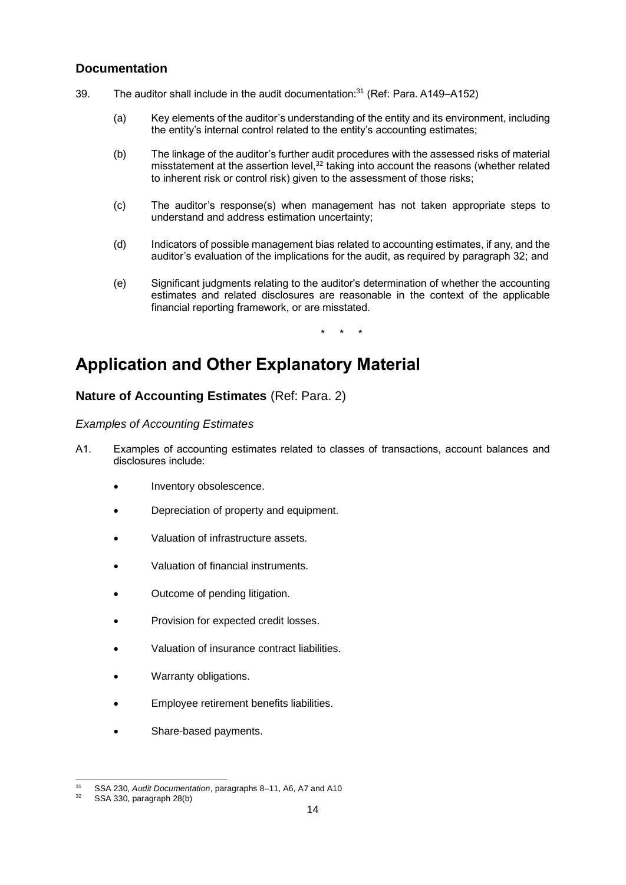## **Documentation**

- 39. The auditor shall include in the audit documentation:<sup>31</sup> (Ref: Para. A149–A152)
	- (a) Key elements of the auditor's understanding of the entity and its environment, including the entity's internal control related to the entity's accounting estimates;
	- (b) The linkage of the auditor's further audit procedures with the assessed risks of material misstatement at the assertion level, $32$  taking into account the reasons (whether related to inherent risk or control risk) given to the assessment of those risks;
	- (c) The auditor's response(s) when management has not taken appropriate steps to understand and address estimation uncertainty;
	- (d) Indicators of possible management bias related to accounting estimates, if any, and the auditor's evaluation of the implications for the audit, as required by paragraph 32; and
	- (e) Significant judgments relating to the auditor's determination of whether the accounting estimates and related disclosures are reasonable in the context of the applicable financial reporting framework, or are misstated.

\* \* \*

# **Application and Other Explanatory Material**

## **Nature of Accounting Estimates** (Ref: Para. 2)

## *Examples of Accounting Estimates*

- A1. Examples of accounting estimates related to classes of transactions, account balances and disclosures include:
	- Inventory obsolescence.
	- Depreciation of property and equipment.
	- Valuation of infrastructure assets.
	- Valuation of financial instruments.
	- Outcome of pending litigation.
	- Provision for expected credit losses.
	- Valuation of insurance contract liabilities.
	- Warranty obligations.
	- Employee retirement benefits liabilities.
	- Share-based payments.

<sup>31</sup> SSA 230, *Audit Documentation*, paragraphs 8–11, A6, A7 and A10

SSA 330, paragraph 28(b)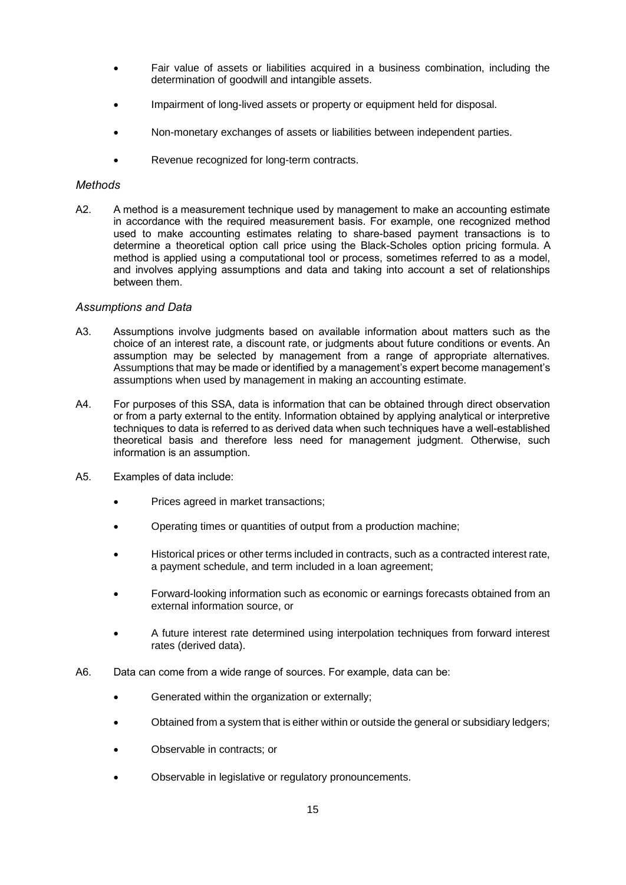- Fair value of assets or liabilities acquired in a business combination, including the determination of goodwill and intangible assets.
- Impairment of long-lived assets or property or equipment held for disposal.
- Non-monetary exchanges of assets or liabilities between independent parties.
- Revenue recognized for long-term contracts.

## *Methods*

A2. A method is a measurement technique used by management to make an accounting estimate in accordance with the required measurement basis. For example, one recognized method used to make accounting estimates relating to share-based payment transactions is to determine a theoretical option call price using the Black-Scholes option pricing formula. A method is applied using a computational tool or process, sometimes referred to as a model, and involves applying assumptions and data and taking into account a set of relationships between them.

## *Assumptions and Data*

- A3. Assumptions involve judgments based on available information about matters such as the choice of an interest rate, a discount rate, or judgments about future conditions or events. An assumption may be selected by management from a range of appropriate alternatives. Assumptions that may be made or identified by a management's expert become management's assumptions when used by management in making an accounting estimate.
- A4. For purposes of this SSA, data is information that can be obtained through direct observation or from a party external to the entity. Information obtained by applying analytical or interpretive techniques to data is referred to as derived data when such techniques have a well-established theoretical basis and therefore less need for management judgment. Otherwise, such information is an assumption.
- A5. Examples of data include:
	- Prices agreed in market transactions;
	- Operating times or quantities of output from a production machine;
	- Historical prices or other terms included in contracts, such as a contracted interest rate, a payment schedule, and term included in a loan agreement;
	- Forward-looking information such as economic or earnings forecasts obtained from an external information source, or
	- A future interest rate determined using interpolation techniques from forward interest rates (derived data).
- A6. Data can come from a wide range of sources. For example, data can be:
	- Generated within the organization or externally;
	- Obtained from a system that is either within or outside the general or subsidiary ledgers;
	- Observable in contracts; or
	- Observable in legislative or regulatory pronouncements.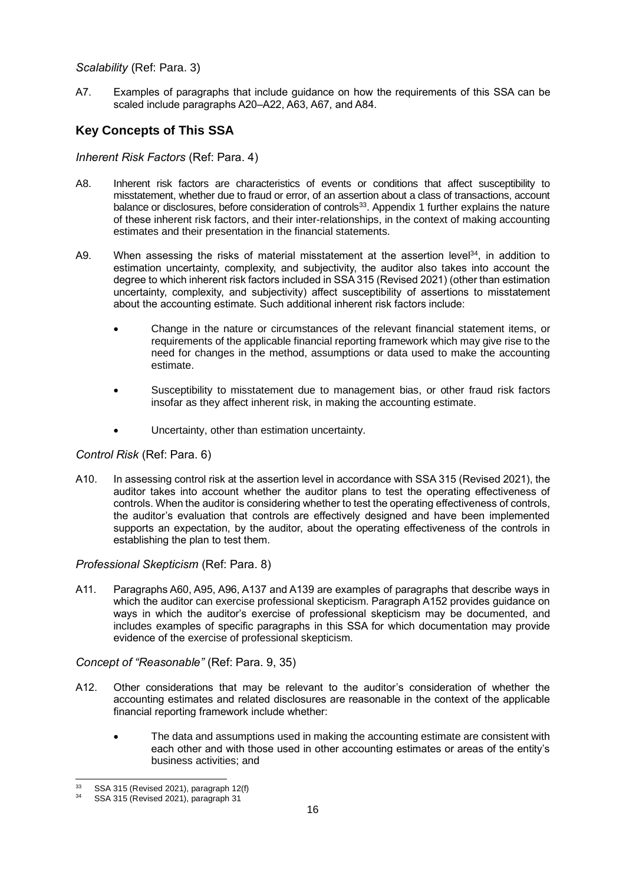## *Scalability* (Ref: Para. 3)

A7. Examples of paragraphs that include guidance on how the requirements of this SSA can be scaled include paragraphs A20–A22, A63, A67, and A84.

## <span id="page-15-0"></span>**Key Concepts of This SSA**

## *Inherent Risk Factors* (Ref: Para. 4)

- A8. Inherent risk factors are characteristics of events or conditions that affect susceptibility to misstatement, whether due to fraud or error, of an assertion about a class of transactions, account balance or disclosures, before consideration of controls<sup>33</sup>. Appendix 1 further explains the nature of these inherent risk factors, and their inter-relationships, in the context of making accounting estimates and their presentation in the financial statements.
- A9. When assessing the risks of material misstatement at the assertion level<sup>34</sup>, in addition to estimation uncertainty, complexity, and subjectivity, the auditor also takes into account the degree to which inherent risk factors included in SSA 315 (Revised 2021) (other than estimation uncertainty, complexity, and subjectivity) affect susceptibility of assertions to misstatement about the accounting estimate. Such additional inherent risk factors include:
	- Change in the nature or circumstances of the relevant financial statement items, or requirements of the applicable financial reporting framework which may give rise to the need for changes in the method, assumptions or data used to make the accounting estimate.
	- Susceptibility to misstatement due to management bias, or other fraud risk factors insofar as they affect inherent risk, in making the accounting estimate.
	- Uncertainty, other than estimation uncertainty.

## *Control Risk* (Ref: Para. 6)

A10. In assessing control risk at the assertion level in accordance with SSA 315 (Revised 2021), the auditor takes into account whether the auditor plans to test the operating effectiveness of controls. When the auditor is considering whether to test the operating effectiveness of controls, the auditor's evaluation that controls are effectively designed and have been implemented supports an expectation, by the auditor, about the operating effectiveness of the controls in establishing the plan to test them.

## *Professional Skepticism* (Ref: Para. 8)

A11. Paragraphs A60, A95, A96, A137 and A139 are examples of paragraphs that describe ways in which the auditor can exercise professional skepticism. Paragraph A152 provides guidance on ways in which the auditor's exercise of professional skepticism may be documented, and includes examples of specific paragraphs in this SSA for which documentation may provide evidence of the exercise of professional skepticism.

## *Concept of "Reasonable"* (Ref: Para. 9, 35)

- A12. Other considerations that may be relevant to the auditor's consideration of whether the accounting estimates and related disclosures are reasonable in the context of the applicable financial reporting framework include whether:
	- The data and assumptions used in making the accounting estimate are consistent with each other and with those used in other accounting estimates or areas of the entity's business activities; and

<sup>33</sup> SSA 315 (Revised 2021), paragraph 12(f)

SSA 315 (Revised 2021), paragraph 31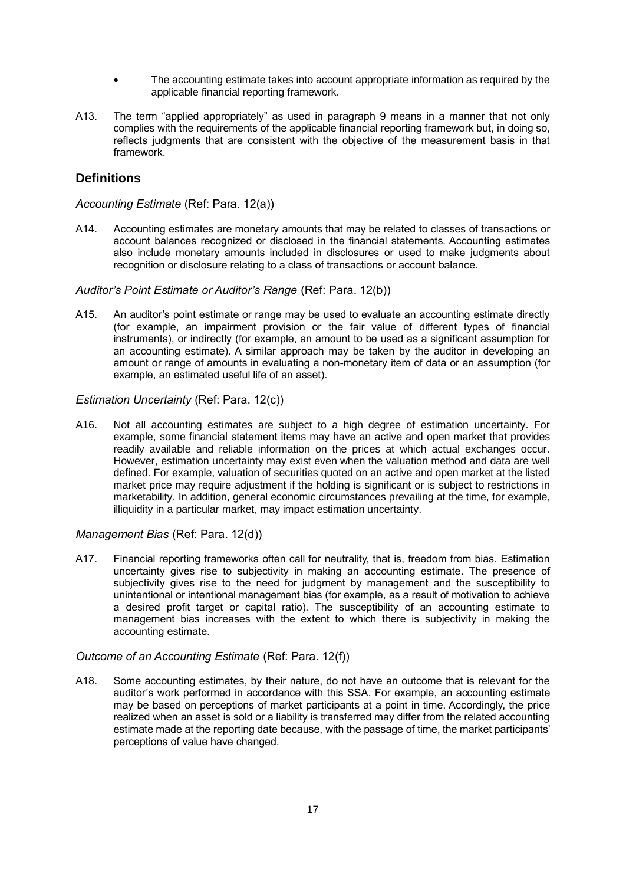- The accounting estimate takes into account appropriate information as required by the applicable financial reporting framework.
- A13. The term "applied appropriately" as used in paragraph 9 means in a manner that not only complies with the requirements of the applicable financial reporting framework but, in doing so, reflects judgments that are consistent with the objective of the measurement basis in that framework.

## <span id="page-16-0"></span>**Definitions**

#### *Accounting Estimate* (Ref: Para. 12(a))

A14. Accounting estimates are monetary amounts that may be related to classes of transactions or account balances recognized or disclosed in the financial statements. Accounting estimates also include monetary amounts included in disclosures or used to make judgments about recognition or disclosure relating to a class of transactions or account balance.

#### *Auditor's Point Estimate or Auditor's Range* (Ref: Para. 12(b))

A15. An auditor's point estimate or range may be used to evaluate an accounting estimate directly (for example, an impairment provision or the fair value of different types of financial instruments), or indirectly (for example, an amount to be used as a significant assumption for an accounting estimate). A similar approach may be taken by the auditor in developing an amount or range of amounts in evaluating a non-monetary item of data or an assumption (for example, an estimated useful life of an asset).

## *Estimation Uncertainty* (Ref: Para. 12(c))

A16. Not all accounting estimates are subject to a high degree of estimation uncertainty. For example, some financial statement items may have an active and open market that provides readily available and reliable information on the prices at which actual exchanges occur. However, estimation uncertainty may exist even when the valuation method and data are well defined. For example, valuation of securities quoted on an active and open market at the listed market price may require adjustment if the holding is significant or is subject to restrictions in marketability. In addition, general economic circumstances prevailing at the time, for example, illiquidity in a particular market, may impact estimation uncertainty.

## *Management Bias* (Ref: Para. 12(d))

A17. Financial reporting frameworks often call for neutrality, that is, freedom from bias. Estimation uncertainty gives rise to subjectivity in making an accounting estimate. The presence of subjectivity gives rise to the need for judgment by management and the susceptibility to unintentional or intentional management bias (for example, as a result of motivation to achieve a desired profit target or capital ratio). The susceptibility of an accounting estimate to management bias increases with the extent to which there is subjectivity in making the accounting estimate.

## *Outcome of an Accounting Estimate* (Ref: Para. 12(f))

A18. Some accounting estimates, by their nature, do not have an outcome that is relevant for the auditor's work performed in accordance with this SSA. For example, an accounting estimate may be based on perceptions of market participants at a point in time. Accordingly, the price realized when an asset is sold or a liability is transferred may differ from the related accounting estimate made at the reporting date because, with the passage of time, the market participants' perceptions of value have changed.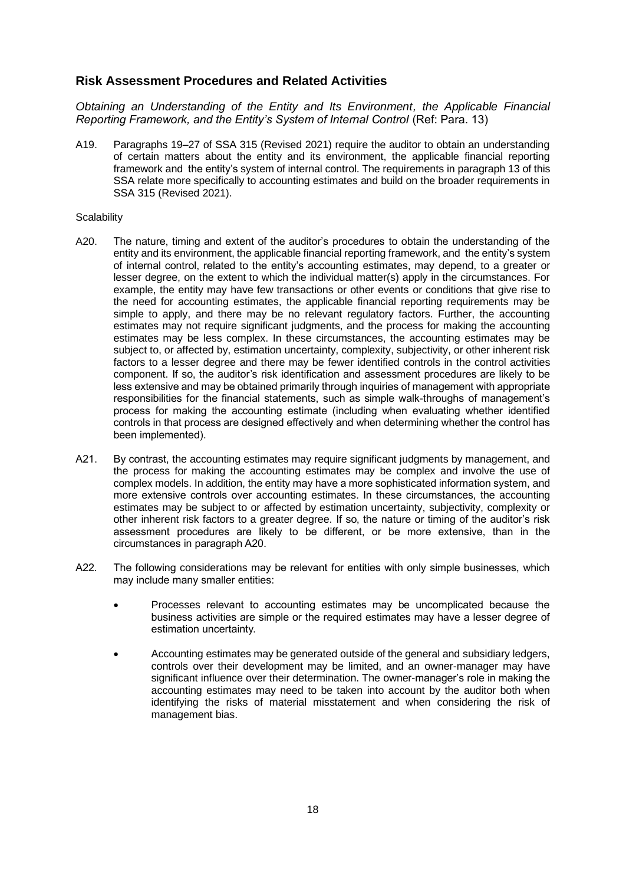## **Risk Assessment Procedures and Related Activities**

*Obtaining an Understanding of the Entity and Its Environment, the Applicable Financial Reporting Framework, and the Entity's System of Internal Control* (Ref: Para. 13)

A19. Paragraphs 19–27 of SSA 315 (Revised 2021) require the auditor to obtain an understanding of certain matters about the entity and its environment, the applicable financial reporting framework and the entity's system of internal control. The requirements in paragraph 13 of this SSA relate more specifically to accounting estimates and build on the broader requirements in SSA 315 (Revised 2021).

#### **Scalability**

- A20. The nature, timing and extent of the auditor's procedures to obtain the understanding of the entity and its environment, the applicable financial reporting framework, and the entity's system of internal control, related to the entity's accounting estimates, may depend, to a greater or lesser degree, on the extent to which the individual matter(s) apply in the circumstances. For example, the entity may have few transactions or other events or conditions that give rise to the need for accounting estimates, the applicable financial reporting requirements may be simple to apply, and there may be no relevant regulatory factors. Further, the accounting estimates may not require significant judgments, and the process for making the accounting estimates may be less complex. In these circumstances, the accounting estimates may be subject to, or affected by, estimation uncertainty, complexity, subjectivity, or other inherent risk factors to a lesser degree and there may be fewer identified controls in the control activities component. If so, the auditor's risk identification and assessment procedures are likely to be less extensive and may be obtained primarily through inquiries of management with appropriate responsibilities for the financial statements, such as simple walk-throughs of management's process for making the accounting estimate (including when evaluating whether identified controls in that process are designed effectively and when determining whether the control has been implemented).
- A21. By contrast, the accounting estimates may require significant judgments by management, and the process for making the accounting estimates may be complex and involve the use of complex models. In addition, the entity may have a more sophisticated information system, and more extensive controls over accounting estimates. In these circumstances, the accounting estimates may be subject to or affected by estimation uncertainty, subjectivity, complexity or other inherent risk factors to a greater degree. If so, the nature or timing of the auditor's risk assessment procedures are likely to be different, or be more extensive, than in the circumstances in paragraph A20.
- A22. The following considerations may be relevant for entities with only simple businesses, which may include many smaller entities:
	- Processes relevant to accounting estimates may be uncomplicated because the business activities are simple or the required estimates may have a lesser degree of estimation uncertainty.
	- Accounting estimates may be generated outside of the general and subsidiary ledgers, controls over their development may be limited, and an owner-manager may have significant influence over their determination. The owner-manager's role in making the accounting estimates may need to be taken into account by the auditor both when identifying the risks of material misstatement and when considering the risk of management bias.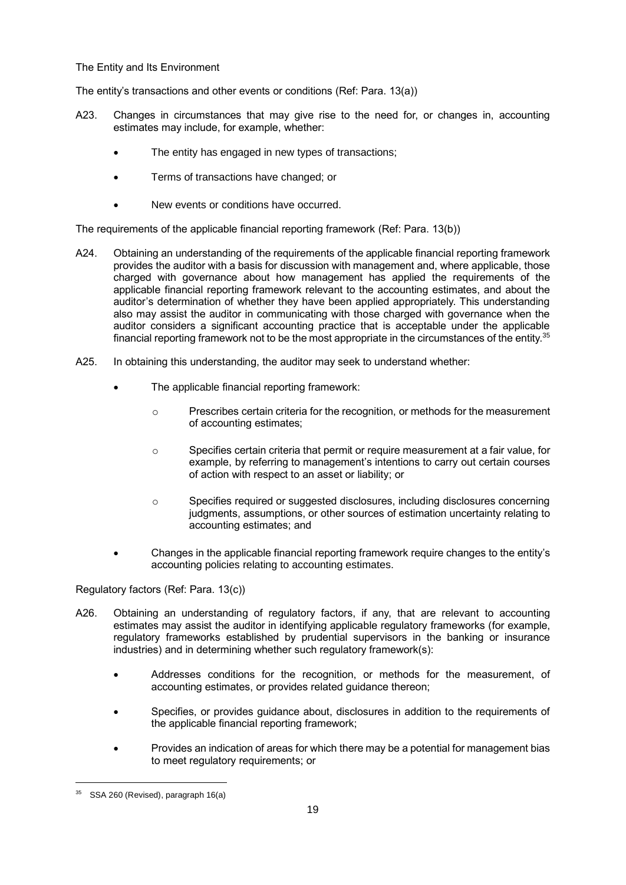The Entity and Its Environment

The entity's transactions and other events or conditions (Ref: Para. 13(a))

- A23. Changes in circumstances that may give rise to the need for, or changes in, accounting estimates may include, for example, whether:
	- The entity has engaged in new types of transactions;
	- Terms of transactions have changed; or
	- New events or conditions have occurred.

The requirements of the applicable financial reporting framework (Ref: Para. 13(b))

- A24. Obtaining an understanding of the requirements of the applicable financial reporting framework provides the auditor with a basis for discussion with management and, where applicable, those charged with governance about how management has applied the requirements of the applicable financial reporting framework relevant to the accounting estimates, and about the auditor's determination of whether they have been applied appropriately. This understanding also may assist the auditor in communicating with those charged with governance when the auditor considers a significant accounting practice that is acceptable under the applicable financial reporting framework not to be the most appropriate in the circumstances of the entity.<sup>35</sup>
- A25. In obtaining this understanding, the auditor may seek to understand whether:
	- The applicable financial reporting framework:
		- o Prescribes certain criteria for the recognition, or methods for the measurement of accounting estimates;
		- $\circ$  Specifies certain criteria that permit or require measurement at a fair value, for example, by referring to management's intentions to carry out certain courses of action with respect to an asset or liability; or
		- o Specifies required or suggested disclosures, including disclosures concerning judgments, assumptions, or other sources of estimation uncertainty relating to accounting estimates; and
	- Changes in the applicable financial reporting framework require changes to the entity's accounting policies relating to accounting estimates.

Regulatory factors (Ref: Para. 13(c))

- A26. Obtaining an understanding of regulatory factors, if any, that are relevant to accounting estimates may assist the auditor in identifying applicable regulatory frameworks (for example, regulatory frameworks established by prudential supervisors in the banking or insurance industries) and in determining whether such regulatory framework(s):
	- Addresses conditions for the recognition, or methods for the measurement, of accounting estimates, or provides related guidance thereon;
	- Specifies, or provides guidance about, disclosures in addition to the requirements of the applicable financial reporting framework;
	- Provides an indication of areas for which there may be a potential for management bias to meet regulatory requirements; or

 $35$  SSA 260 (Revised), paragraph 16(a)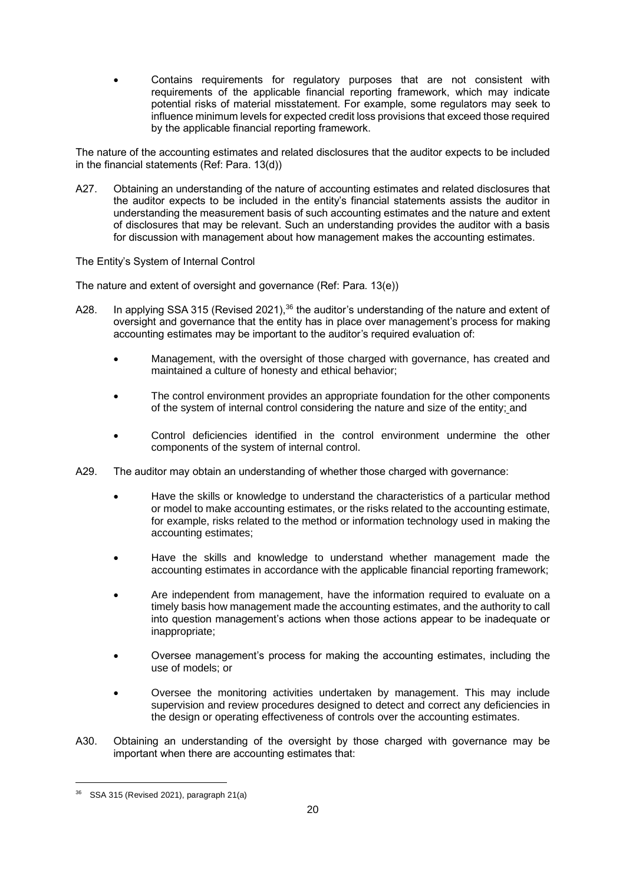• Contains requirements for regulatory purposes that are not consistent with requirements of the applicable financial reporting framework, which may indicate potential risks of material misstatement. For example, some regulators may seek to influence minimum levels for expected credit loss provisions that exceed those required by the applicable financial reporting framework.

The nature of the accounting estimates and related disclosures that the auditor expects to be included in the financial statements (Ref: Para. 13(d))

A27. Obtaining an understanding of the nature of accounting estimates and related disclosures that the auditor expects to be included in the entity's financial statements assists the auditor in understanding the measurement basis of such accounting estimates and the nature and extent of disclosures that may be relevant. Such an understanding provides the auditor with a basis for discussion with management about how management makes the accounting estimates.

The Entity's System of Internal Control

The nature and extent of oversight and governance (Ref: Para. 13(e))

- A28. In applying SSA 315 (Revised 2021), $36$  the auditor's understanding of the nature and extent of oversight and governance that the entity has in place over management's process for making accounting estimates may be important to the auditor's required evaluation of:
	- Management, with the oversight of those charged with governance, has created and maintained a culture of honesty and ethical behavior;
	- The control environment provides an appropriate foundation for the other components of the system of internal control considering the nature and size of the entity; and
	- Control deficiencies identified in the control environment undermine the other components of the system of internal control.
- A29. The auditor may obtain an understanding of whether those charged with governance:
	- Have the skills or knowledge to understand the characteristics of a particular method or model to make accounting estimates, or the risks related to the accounting estimate, for example, risks related to the method or information technology used in making the accounting estimates;
	- Have the skills and knowledge to understand whether management made the accounting estimates in accordance with the applicable financial reporting framework;
	- Are independent from management, have the information required to evaluate on a timely basis how management made the accounting estimates, and the authority to call into question management's actions when those actions appear to be inadequate or inappropriate;
	- Oversee management's process for making the accounting estimates, including the use of models; or
	- Oversee the monitoring activities undertaken by management. This may include supervision and review procedures designed to detect and correct any deficiencies in the design or operating effectiveness of controls over the accounting estimates.
- A30. Obtaining an understanding of the oversight by those charged with governance may be important when there are accounting estimates that:

 $36$  SSA 315 (Revised 2021), paragraph 21(a)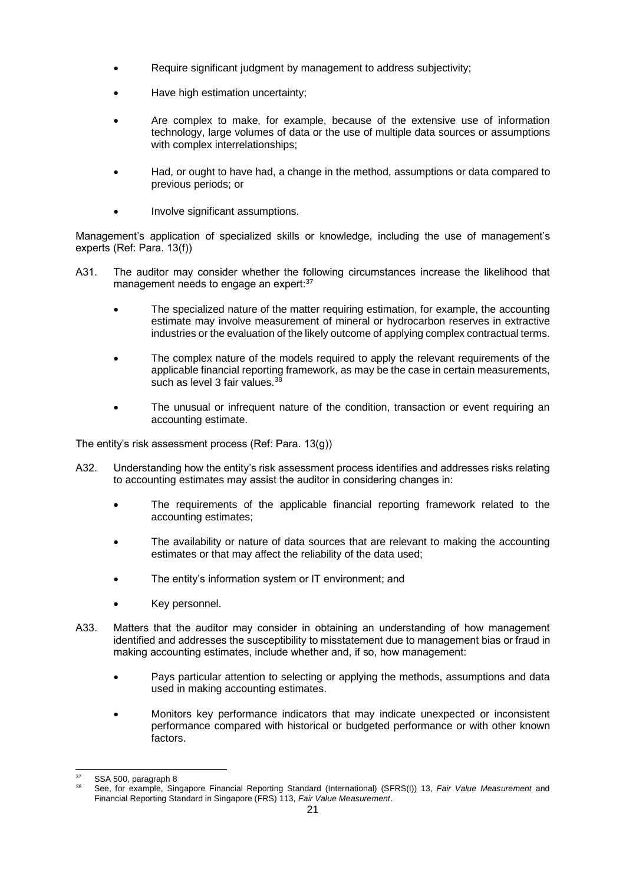- Require significant judgment by management to address subjectivity;
- Have high estimation uncertainty:
- Are complex to make, for example, because of the extensive use of information technology, large volumes of data or the use of multiple data sources or assumptions with complex interrelationships;
- Had, or ought to have had, a change in the method, assumptions or data compared to previous periods; or
- Involve significant assumptions.

Management's application of specialized skills or knowledge, including the use of management's experts (Ref: Para. 13(f))

- A31. The auditor may consider whether the following circumstances increase the likelihood that management needs to engage an expert: 37
	- The specialized nature of the matter requiring estimation, for example, the accounting estimate may involve measurement of mineral or hydrocarbon reserves in extractive industries or the evaluation of the likely outcome of applying complex contractual terms.
	- The complex nature of the models required to apply the relevant requirements of the applicable financial reporting framework, as may be the case in certain measurements, such as level 3 fair values.<sup>38</sup>
	- The unusual or infrequent nature of the condition, transaction or event requiring an accounting estimate.

The entity's risk assessment process (Ref: Para. 13(g))

- A32. Understanding how the entity's risk assessment process identifies and addresses risks relating to accounting estimates may assist the auditor in considering changes in:
	- The requirements of the applicable financial reporting framework related to the accounting estimates;
	- The availability or nature of data sources that are relevant to making the accounting estimates or that may affect the reliability of the data used;
	- The entity's information system or IT environment; and
	- Key personnel.
- A33. Matters that the auditor may consider in obtaining an understanding of how management identified and addresses the susceptibility to misstatement due to management bias or fraud in making accounting estimates, include whether and, if so, how management:
	- Pays particular attention to selecting or applying the methods, assumptions and data used in making accounting estimates.
	- Monitors key performance indicators that may indicate unexpected or inconsistent performance compared with historical or budgeted performance or with other known factors.

 $37$  SSA 500, paragraph 8

<sup>38</sup> See, for example, Singapore Financial Reporting Standard (International) (SFRS(I)) 13, *Fair Value Measurement* and Financial Reporting Standard in Singapore (FRS) 113, *Fair Value Measurement*.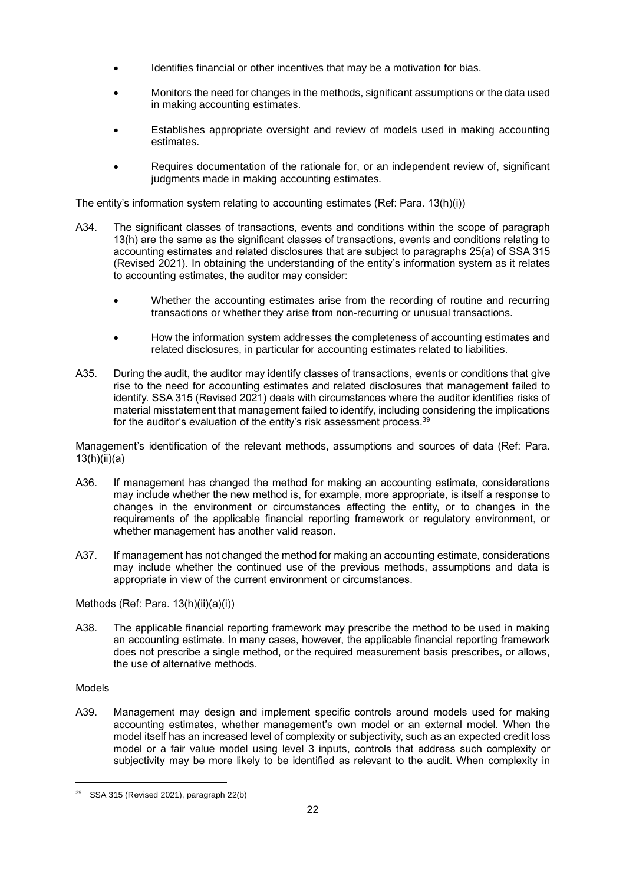- Identifies financial or other incentives that may be a motivation for bias.
- Monitors the need for changes in the methods, significant assumptions or the data used in making accounting estimates.
- Establishes appropriate oversight and review of models used in making accounting estimates.
- Requires documentation of the rationale for, or an independent review of, significant judgments made in making accounting estimates.

The entity's information system relating to accounting estimates (Ref: Para. 13(h)(i))

- A34. The significant classes of transactions, events and conditions within the scope of paragraph 13(h) are the same as the significant classes of transactions, events and conditions relating to accounting estimates and related disclosures that are subject to paragraphs 25(a) of SSA 315 (Revised 2021). In obtaining the understanding of the entity's information system as it relates to accounting estimates, the auditor may consider:
	- Whether the accounting estimates arise from the recording of routine and recurring transactions or whether they arise from non-recurring or unusual transactions.
	- How the information system addresses the completeness of accounting estimates and related disclosures, in particular for accounting estimates related to liabilities.
- A35. During the audit, the auditor may identify classes of transactions, events or conditions that give rise to the need for accounting estimates and related disclosures that management failed to identify. SSA 315 (Revised 2021) deals with circumstances where the auditor identifies risks of material misstatement that management failed to identify, including considering the implications for the auditor's evaluation of the entity's risk assessment process.<sup>39</sup>

Management's identification of the relevant methods, assumptions and sources of data (Ref: Para. 13(h)(ii)(a)

- A36. If management has changed the method for making an accounting estimate, considerations may include whether the new method is, for example, more appropriate, is itself a response to changes in the environment or circumstances affecting the entity, or to changes in the requirements of the applicable financial reporting framework or regulatory environment, or whether management has another valid reason.
- A37. If management has not changed the method for making an accounting estimate, considerations may include whether the continued use of the previous methods, assumptions and data is appropriate in view of the current environment or circumstances.

## Methods (Ref: Para. 13(h)(ii)(a)(i))

A38. The applicable financial reporting framework may prescribe the method to be used in making an accounting estimate. In many cases, however, the applicable financial reporting framework does not prescribe a single method, or the required measurement basis prescribes, or allows, the use of alternative methods.

#### Models

A39. Management may design and implement specific controls around models used for making accounting estimates, whether management's own model or an external model. When the model itself has an increased level of complexity or subjectivity, such as an expected credit loss model or a fair value model using level 3 inputs, controls that address such complexity or subjectivity may be more likely to be identified as relevant to the audit. When complexity in

<sup>39</sup> SSA 315 (Revised 2021), paragraph 22(b)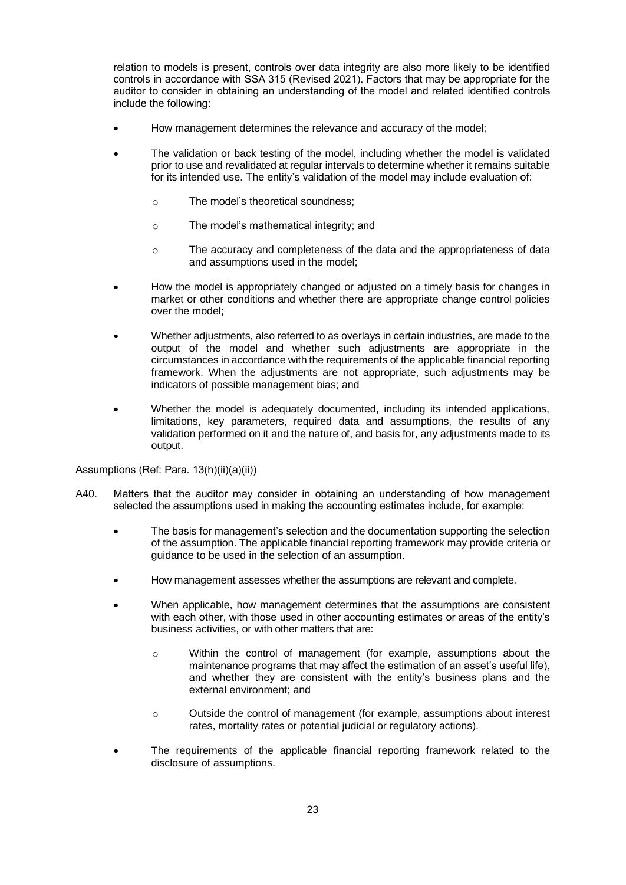relation to models is present, controls over data integrity are also more likely to be identified controls in accordance with SSA 315 (Revised 2021). Factors that may be appropriate for the auditor to consider in obtaining an understanding of the model and related identified controls include the following:

- How management determines the relevance and accuracy of the model;
- The validation or back testing of the model, including whether the model is validated prior to use and revalidated at regular intervals to determine whether it remains suitable for its intended use. The entity's validation of the model may include evaluation of:
	- o The model's theoretical soundness;
	- o The model's mathematical integrity; and
	- o The accuracy and completeness of the data and the appropriateness of data and assumptions used in the model;
- How the model is appropriately changed or adjusted on a timely basis for changes in market or other conditions and whether there are appropriate change control policies over the model;
- Whether adjustments, also referred to as overlays in certain industries, are made to the output of the model and whether such adjustments are appropriate in the circumstances in accordance with the requirements of the applicable financial reporting framework. When the adjustments are not appropriate, such adjustments may be indicators of possible management bias; and
- Whether the model is adequately documented, including its intended applications, limitations, key parameters, required data and assumptions, the results of any validation performed on it and the nature of, and basis for, any adjustments made to its output.

## Assumptions (Ref: Para. 13(h)(ii)(a)(ii))

- A40. Matters that the auditor may consider in obtaining an understanding of how management selected the assumptions used in making the accounting estimates include, for example:
	- The basis for management's selection and the documentation supporting the selection of the assumption. The applicable financial reporting framework may provide criteria or guidance to be used in the selection of an assumption.
	- How management assesses whether the assumptions are relevant and complete.
	- When applicable, how management determines that the assumptions are consistent with each other, with those used in other accounting estimates or areas of the entity's business activities, or with other matters that are:
		- o Within the control of management (for example, assumptions about the maintenance programs that may affect the estimation of an asset's useful life), and whether they are consistent with the entity's business plans and the external environment; and
		- $\circ$  Outside the control of management (for example, assumptions about interest rates, mortality rates or potential judicial or regulatory actions).
	- The requirements of the applicable financial reporting framework related to the disclosure of assumptions.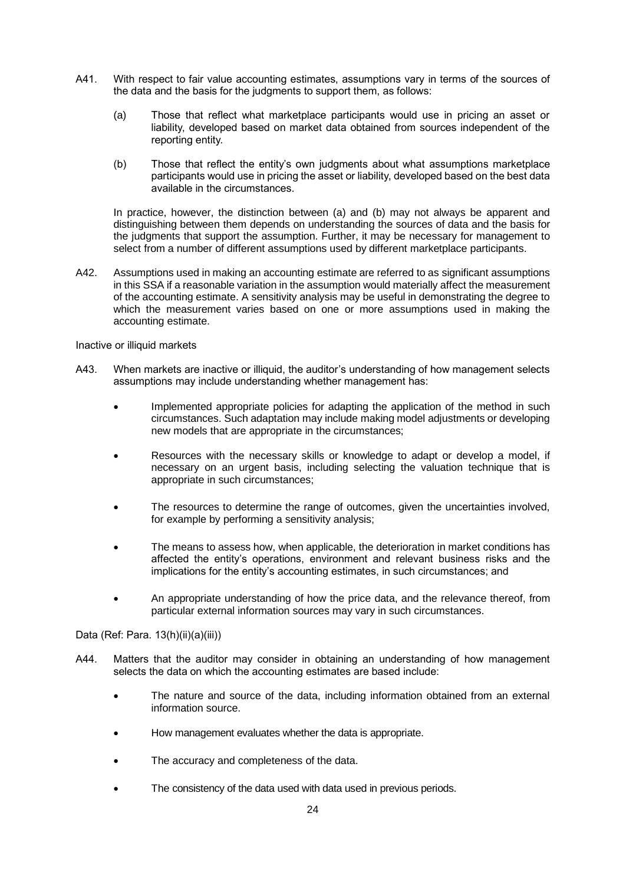- A41. With respect to fair value accounting estimates, assumptions vary in terms of the sources of the data and the basis for the judgments to support them, as follows:
	- (a) Those that reflect what marketplace participants would use in pricing an asset or liability, developed based on market data obtained from sources independent of the reporting entity.
	- (b) Those that reflect the entity's own judgments about what assumptions marketplace participants would use in pricing the asset or liability, developed based on the best data available in the circumstances.

In practice, however, the distinction between (a) and (b) may not always be apparent and distinguishing between them depends on understanding the sources of data and the basis for the judgments that support the assumption. Further, it may be necessary for management to select from a number of different assumptions used by different marketplace participants.

A42. Assumptions used in making an accounting estimate are referred to as significant assumptions in this SSA if a reasonable variation in the assumption would materially affect the measurement of the accounting estimate. A sensitivity analysis may be useful in demonstrating the degree to which the measurement varies based on one or more assumptions used in making the accounting estimate.

Inactive or illiquid markets

- A43. When markets are inactive or illiquid, the auditor's understanding of how management selects assumptions may include understanding whether management has:
	- Implemented appropriate policies for adapting the application of the method in such circumstances. Such adaptation may include making model adjustments or developing new models that are appropriate in the circumstances;
	- Resources with the necessary skills or knowledge to adapt or develop a model, if necessary on an urgent basis, including selecting the valuation technique that is appropriate in such circumstances;
	- The resources to determine the range of outcomes, given the uncertainties involved, for example by performing a sensitivity analysis;
	- The means to assess how, when applicable, the deterioration in market conditions has affected the entity's operations, environment and relevant business risks and the implications for the entity's accounting estimates, in such circumstances; and
	- An appropriate understanding of how the price data, and the relevance thereof, from particular external information sources may vary in such circumstances.

## Data (Ref: Para. 13(h)(ii)(a)(iii))

- A44. Matters that the auditor may consider in obtaining an understanding of how management selects the data on which the accounting estimates are based include:
	- The nature and source of the data, including information obtained from an external information source.
	- How management evaluates whether the data is appropriate.
	- The accuracy and completeness of the data.
	- The consistency of the data used with data used in previous periods.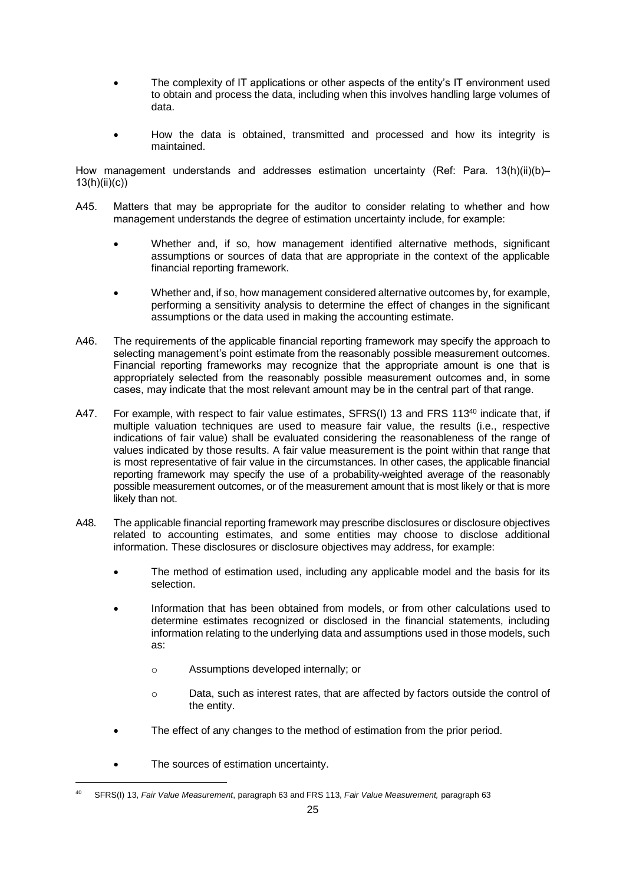- The complexity of IT applications or other aspects of the entity's IT environment used to obtain and process the data, including when this involves handling large volumes of data.
- How the data is obtained, transmitted and processed and how its integrity is maintained.

How management understands and addresses estimation uncertainty (Ref: Para. 13(h)(ii)(b)– 13(h)(ii)(c))

- A45. Matters that may be appropriate for the auditor to consider relating to whether and how management understands the degree of estimation uncertainty include, for example:
	- Whether and, if so, how management identified alternative methods, significant assumptions or sources of data that are appropriate in the context of the applicable financial reporting framework.
	- Whether and, if so, how management considered alternative outcomes by, for example, performing a sensitivity analysis to determine the effect of changes in the significant assumptions or the data used in making the accounting estimate.
- A46. The requirements of the applicable financial reporting framework may specify the approach to selecting management's point estimate from the reasonably possible measurement outcomes. Financial reporting frameworks may recognize that the appropriate amount is one that is appropriately selected from the reasonably possible measurement outcomes and, in some cases, may indicate that the most relevant amount may be in the central part of that range.
- A47. For example, with respect to fair value estimates, SFRS(I) 13 and FRS 113<sup>40</sup> indicate that, if multiple valuation techniques are used to measure fair value, the results (i.e., respective indications of fair value) shall be evaluated considering the reasonableness of the range of values indicated by those results. A fair value measurement is the point within that range that is most representative of fair value in the circumstances. In other cases, the applicable financial reporting framework may specify the use of a probability-weighted average of the reasonably possible measurement outcomes, or of the measurement amount that is most likely or that is more likely than not.
- A48. The applicable financial reporting framework may prescribe disclosures or disclosure objectives related to accounting estimates, and some entities may choose to disclose additional information. These disclosures or disclosure objectives may address, for example:
	- The method of estimation used, including any applicable model and the basis for its selection.
	- Information that has been obtained from models, or from other calculations used to determine estimates recognized or disclosed in the financial statements, including information relating to the underlying data and assumptions used in those models, such as:
		- o Assumptions developed internally; or
		- o Data, such as interest rates, that are affected by factors outside the control of the entity.
	- The effect of any changes to the method of estimation from the prior period.
	- The sources of estimation uncertainty.

<sup>40</sup> SFRS(I) 13, *Fair Value Measurement*, paragraph 63 and FRS 113, *Fair Value Measurement,* paragraph 63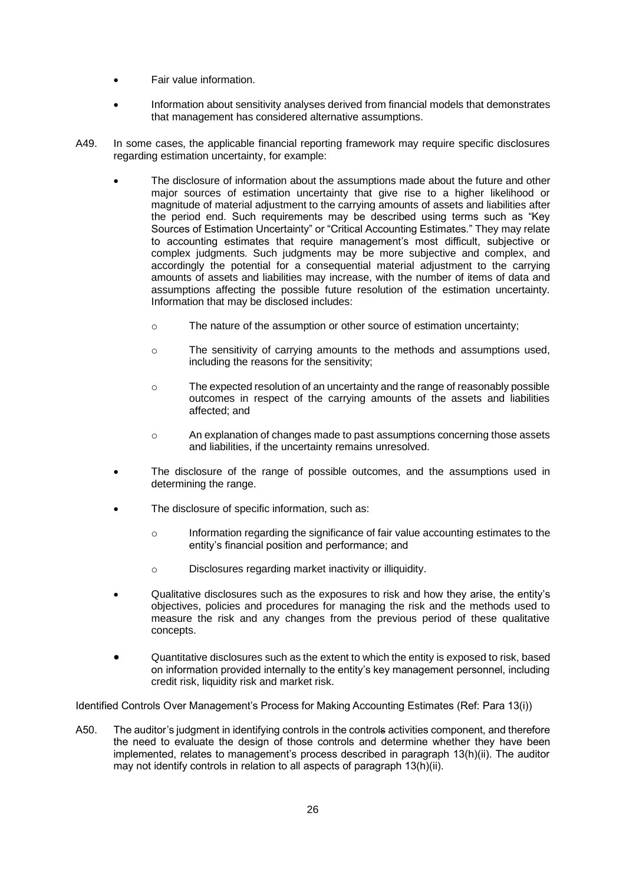- Fair value information.
- Information about sensitivity analyses derived from financial models that demonstrates that management has considered alternative assumptions.
- A49. In some cases, the applicable financial reporting framework may require specific disclosures regarding estimation uncertainty, for example:
	- The disclosure of information about the assumptions made about the future and other major sources of estimation uncertainty that give rise to a higher likelihood or magnitude of material adjustment to the carrying amounts of assets and liabilities after the period end. Such requirements may be described using terms such as "Key Sources of Estimation Uncertainty" or "Critical Accounting Estimates." They may relate to accounting estimates that require management's most difficult, subjective or complex judgments. Such judgments may be more subjective and complex, and accordingly the potential for a consequential material adjustment to the carrying amounts of assets and liabilities may increase, with the number of items of data and assumptions affecting the possible future resolution of the estimation uncertainty. Information that may be disclosed includes:
		- o The nature of the assumption or other source of estimation uncertainty;
		- o The sensitivity of carrying amounts to the methods and assumptions used, including the reasons for the sensitivity;
		- o The expected resolution of an uncertainty and the range of reasonably possible outcomes in respect of the carrying amounts of the assets and liabilities affected; and
		- o An explanation of changes made to past assumptions concerning those assets and liabilities, if the uncertainty remains unresolved.
	- The disclosure of the range of possible outcomes, and the assumptions used in determining the range.
	- The disclosure of specific information, such as:
		- o Information regarding the significance of fair value accounting estimates to the entity's financial position and performance; and
		- o Disclosures regarding market inactivity or illiquidity.
	- Qualitative disclosures such as the exposures to risk and how they arise, the entity's objectives, policies and procedures for managing the risk and the methods used to measure the risk and any changes from the previous period of these qualitative concepts.
	- Quantitative disclosures such as the extent to which the entity is exposed to risk, based on information provided internally to the entity's key management personnel, including credit risk, liquidity risk and market risk.

Identified Controls Over Management's Process for Making Accounting Estimates (Ref: Para 13(i))

A50. The auditor's judgment in identifying controls in the controls activities component, and therefore the need to evaluate the design of those controls and determine whether they have been implemented, relates to management's process described in paragraph 13(h)(ii). The auditor may not identify controls in relation to all aspects of paragraph 13(h)(ii).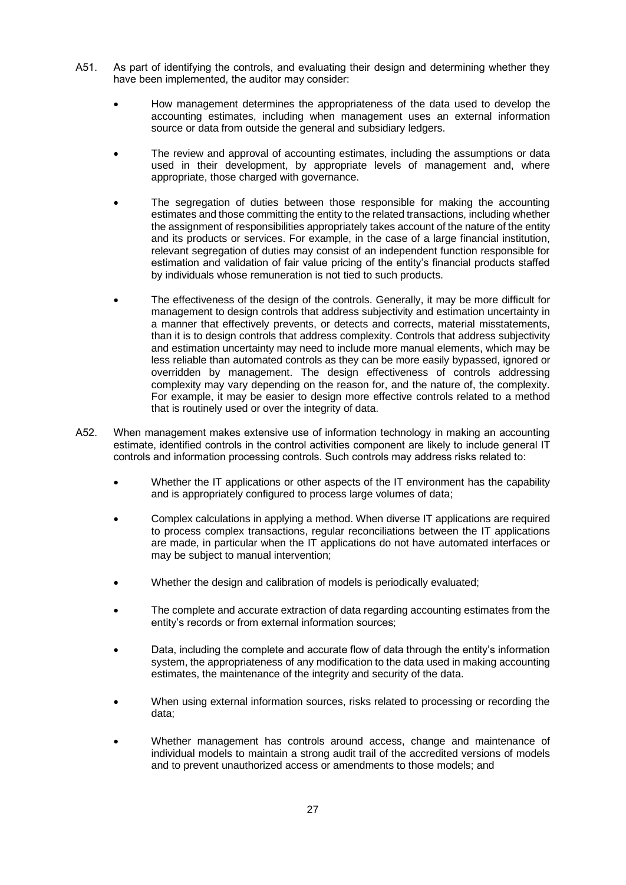- A51. As part of identifying the controls, and evaluating their design and determining whether they have been implemented, the auditor may consider:
	- How management determines the appropriateness of the data used to develop the accounting estimates, including when management uses an external information source or data from outside the general and subsidiary ledgers.
	- The review and approval of accounting estimates, including the assumptions or data used in their development, by appropriate levels of management and, where appropriate, those charged with governance.
	- The segregation of duties between those responsible for making the accounting estimates and those committing the entity to the related transactions, including whether the assignment of responsibilities appropriately takes account of the nature of the entity and its products or services. For example, in the case of a large financial institution, relevant segregation of duties may consist of an independent function responsible for estimation and validation of fair value pricing of the entity's financial products staffed by individuals whose remuneration is not tied to such products.
	- The effectiveness of the design of the controls. Generally, it may be more difficult for management to design controls that address subjectivity and estimation uncertainty in a manner that effectively prevents, or detects and corrects, material misstatements, than it is to design controls that address complexity. Controls that address subjectivity and estimation uncertainty may need to include more manual elements, which may be less reliable than automated controls as they can be more easily bypassed, ignored or overridden by management. The design effectiveness of controls addressing complexity may vary depending on the reason for, and the nature of, the complexity. For example, it may be easier to design more effective controls related to a method that is routinely used or over the integrity of data.
- A52. When management makes extensive use of information technology in making an accounting estimate, identified controls in the control activities component are likely to include general IT controls and information processing controls. Such controls may address risks related to:
	- Whether the IT applications or other aspects of the IT environment has the capability and is appropriately configured to process large volumes of data;
	- Complex calculations in applying a method. When diverse IT applications are required to process complex transactions, regular reconciliations between the IT applications are made, in particular when the IT applications do not have automated interfaces or may be subject to manual intervention;
	- Whether the design and calibration of models is periodically evaluated;
	- The complete and accurate extraction of data regarding accounting estimates from the entity's records or from external information sources;
	- Data, including the complete and accurate flow of data through the entity's information system, the appropriateness of any modification to the data used in making accounting estimates, the maintenance of the integrity and security of the data.
	- When using external information sources, risks related to processing or recording the data;
	- Whether management has controls around access, change and maintenance of individual models to maintain a strong audit trail of the accredited versions of models and to prevent unauthorized access or amendments to those models; and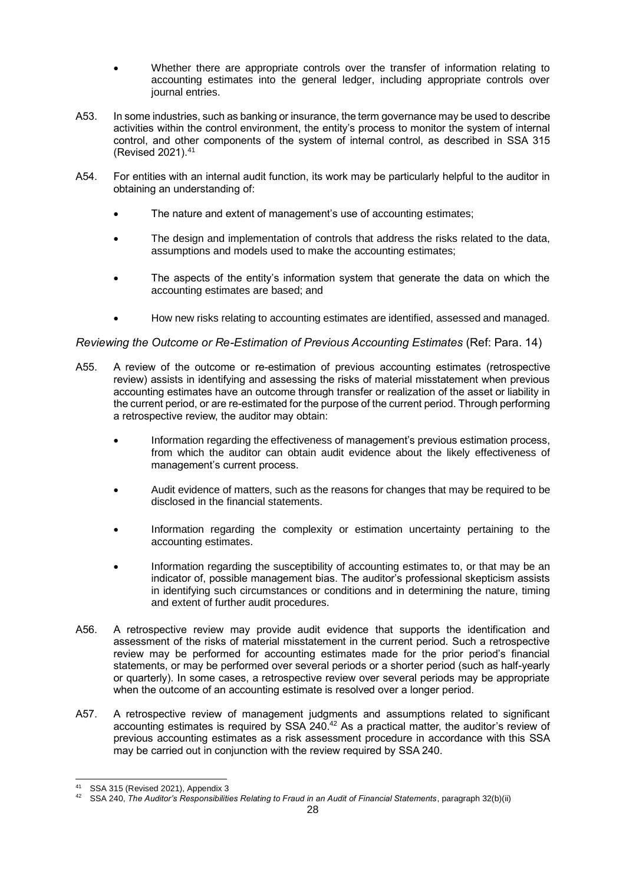- Whether there are appropriate controls over the transfer of information relating to accounting estimates into the general ledger, including appropriate controls over journal entries.
- A53. In some industries, such as banking or insurance, the term governance may be used to describe activities within the control environment, the entity's process to monitor the system of internal control, and other components of the system of internal control, as described in SSA 315 (Revised 2021).<sup>41</sup>
- A54. For entities with an internal audit function, its work may be particularly helpful to the auditor in obtaining an understanding of:
	- The nature and extent of management's use of accounting estimates;
	- The design and implementation of controls that address the risks related to the data. assumptions and models used to make the accounting estimates;
	- The aspects of the entity's information system that generate the data on which the accounting estimates are based; and
	- How new risks relating to accounting estimates are identified, assessed and managed.

## *Reviewing the Outcome or Re-Estimation of Previous Accounting Estimates* (Ref: Para. 14)

- A55. A review of the outcome or re-estimation of previous accounting estimates (retrospective review) assists in identifying and assessing the risks of material misstatement when previous accounting estimates have an outcome through transfer or realization of the asset or liability in the current period, or are re-estimated for the purpose of the current period. Through performing a retrospective review, the auditor may obtain:
	- Information regarding the effectiveness of management's previous estimation process, from which the auditor can obtain audit evidence about the likely effectiveness of management's current process.
	- Audit evidence of matters, such as the reasons for changes that may be required to be disclosed in the financial statements.
	- Information regarding the complexity or estimation uncertainty pertaining to the accounting estimates.
	- Information regarding the susceptibility of accounting estimates to, or that may be an indicator of, possible management bias. The auditor's professional skepticism assists in identifying such circumstances or conditions and in determining the nature, timing and extent of further audit procedures.
- A56. A retrospective review may provide audit evidence that supports the identification and assessment of the risks of material misstatement in the current period. Such a retrospective review may be performed for accounting estimates made for the prior period's financial statements, or may be performed over several periods or a shorter period (such as half-yearly or quarterly). In some cases, a retrospective review over several periods may be appropriate when the outcome of an accounting estimate is resolved over a longer period.
- A57. A retrospective review of management judgments and assumptions related to significant accounting estimates is required by SSA  $240.42$  As a practical matter, the auditor's review of previous accounting estimates as a risk assessment procedure in accordance with this SSA may be carried out in conjunction with the review required by SSA 240.

<sup>41</sup> SSA 315 (Revised 2021), Appendix 3

<sup>42</sup> SSA 240, *The Auditor's Responsibilities Relating to Fraud in an Audit of Financial Statements*, paragraph 32(b)(ii)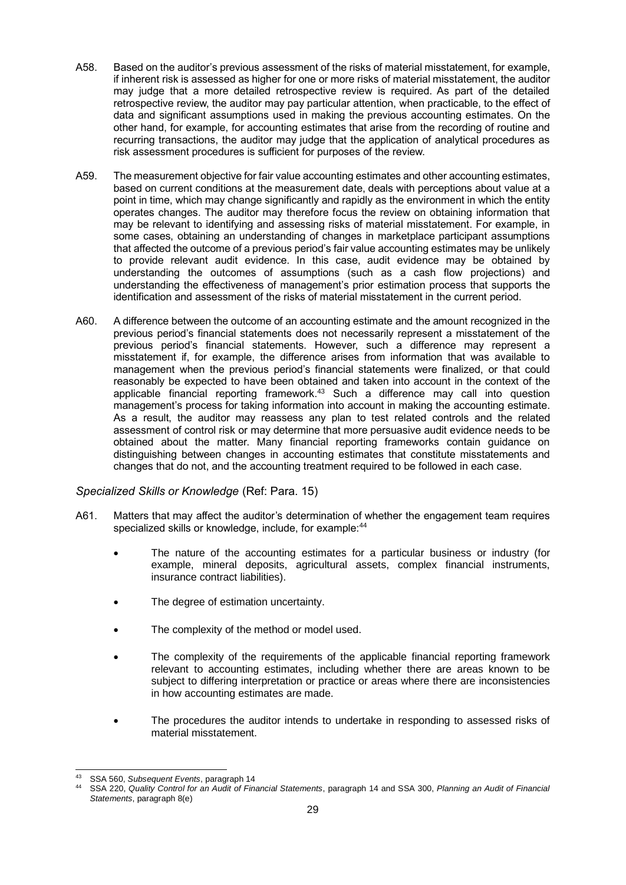- A58. Based on the auditor's previous assessment of the risks of material misstatement, for example, if inherent risk is assessed as higher for one or more risks of material misstatement, the auditor may judge that a more detailed retrospective review is required. As part of the detailed retrospective review, the auditor may pay particular attention, when practicable, to the effect of data and significant assumptions used in making the previous accounting estimates. On the other hand, for example, for accounting estimates that arise from the recording of routine and recurring transactions, the auditor may judge that the application of analytical procedures as risk assessment procedures is sufficient for purposes of the review.
- A59. The measurement objective for fair value accounting estimates and other accounting estimates, based on current conditions at the measurement date, deals with perceptions about value at a point in time, which may change significantly and rapidly as the environment in which the entity operates changes. The auditor may therefore focus the review on obtaining information that may be relevant to identifying and assessing risks of material misstatement. For example, in some cases, obtaining an understanding of changes in marketplace participant assumptions that affected the outcome of a previous period's fair value accounting estimates may be unlikely to provide relevant audit evidence. In this case, audit evidence may be obtained by understanding the outcomes of assumptions (such as a cash flow projections) and understanding the effectiveness of management's prior estimation process that supports the identification and assessment of the risks of material misstatement in the current period.
- A60. A difference between the outcome of an accounting estimate and the amount recognized in the previous period's financial statements does not necessarily represent a misstatement of the previous period's financial statements. However, such a difference may represent a misstatement if, for example, the difference arises from information that was available to management when the previous period's financial statements were finalized, or that could reasonably be expected to have been obtained and taken into account in the context of the applicable financial reporting framework.<sup>43</sup> Such a difference may call into question management's process for taking information into account in making the accounting estimate. As a result, the auditor may reassess any plan to test related controls and the related assessment of control risk or may determine that more persuasive audit evidence needs to be obtained about the matter. Many financial reporting frameworks contain guidance on distinguishing between changes in accounting estimates that constitute misstatements and changes that do not, and the accounting treatment required to be followed in each case.

## *Specialized Skills or Knowledge* (Ref: Para. 15)

- A61. Matters that may affect the auditor's determination of whether the engagement team requires specialized skills or knowledge, include, for example:<sup>44</sup>
	- The nature of the accounting estimates for a particular business or industry (for example, mineral deposits, agricultural assets, complex financial instruments, insurance contract liabilities).
	- The degree of estimation uncertainty.
	- The complexity of the method or model used.
	- The complexity of the requirements of the applicable financial reporting framework relevant to accounting estimates, including whether there are areas known to be subject to differing interpretation or practice or areas where there are inconsistencies in how accounting estimates are made.
	- The procedures the auditor intends to undertake in responding to assessed risks of material misstatement.

<sup>43</sup> SSA 560, *Subsequent Events*, paragraph 14

<sup>44</sup> SSA 220, *Quality Control for an Audit of Financial Statements*, paragraph 14 and SSA 300, *Planning an Audit of Financial Statements*, paragraph 8(e)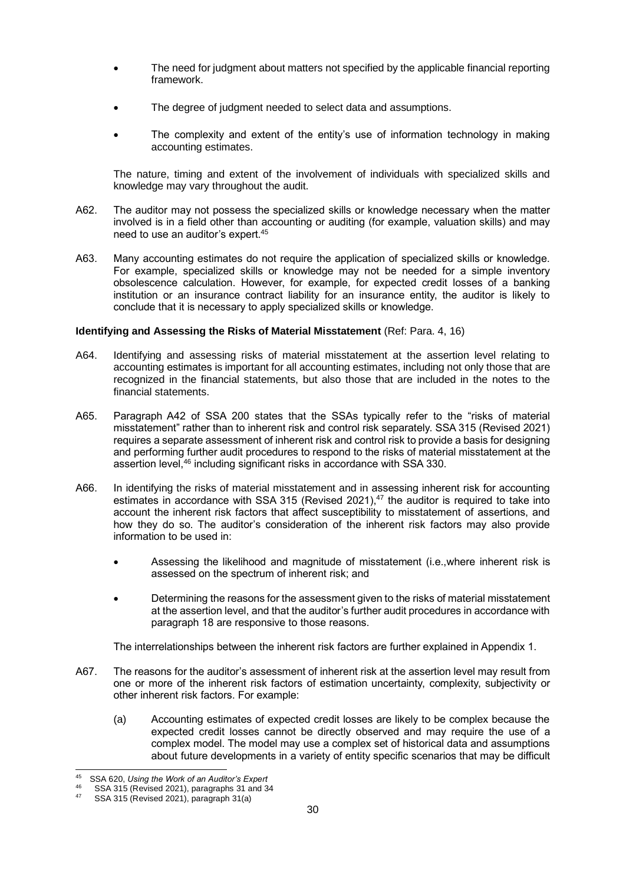- The need for judgment about matters not specified by the applicable financial reporting framework.
- The degree of judgment needed to select data and assumptions.
- The complexity and extent of the entity's use of information technology in making accounting estimates.

The nature, timing and extent of the involvement of individuals with specialized skills and knowledge may vary throughout the audit.

- A62. The auditor may not possess the specialized skills or knowledge necessary when the matter involved is in a field other than accounting or auditing (for example, valuation skills) and may need to use an auditor's expert.<sup>45</sup>
- A63. Many accounting estimates do not require the application of specialized skills or knowledge. For example, specialized skills or knowledge may not be needed for a simple inventory obsolescence calculation. However, for example, for expected credit losses of a banking institution or an insurance contract liability for an insurance entity, the auditor is likely to conclude that it is necessary to apply specialized skills or knowledge.

#### **Identifying and Assessing the Risks of Material Misstatement** (Ref: Para. 4, 16)

- A64. Identifying and assessing risks of material misstatement at the assertion level relating to accounting estimates is important for all accounting estimates, including not only those that are recognized in the financial statements, but also those that are included in the notes to the financial statements.
- A65. Paragraph A42 of SSA 200 states that the SSAs typically refer to the "risks of material misstatement" rather than to inherent risk and control risk separately. SSA 315 (Revised 2021) requires a separate assessment of inherent risk and control risk to provide a basis for designing and performing further audit procedures to respond to the risks of material misstatement at the assertion level,<sup>46</sup> including significant risks in accordance with SSA 330.
- A66. In identifying the risks of material misstatement and in assessing inherent risk for accounting estimates in accordance with SSA 315 (Revised 2021), $47$  the auditor is required to take into account the inherent risk factors that affect susceptibility to misstatement of assertions, and how they do so. The auditor's consideration of the inherent risk factors may also provide information to be used in:
	- Assessing the likelihood and magnitude of misstatement (i.e.,where inherent risk is assessed on the spectrum of inherent risk; and
	- Determining the reasons for the assessment given to the risks of material misstatement at the assertion level, and that the auditor's further audit procedures in accordance with paragraph 18 are responsive to those reasons.

The interrelationships between the inherent risk factors are further explained in Appendix 1.

- A67. The reasons for the auditor's assessment of inherent risk at the assertion level may result from one or more of the inherent risk factors of estimation uncertainty, complexity, subjectivity or other inherent risk factors. For example:
	- (a) Accounting estimates of expected credit losses are likely to be complex because the expected credit losses cannot be directly observed and may require the use of a complex model. The model may use a complex set of historical data and assumptions about future developments in a variety of entity specific scenarios that may be difficult

<sup>45</sup> SSA 620, *Using the Work of an Auditor's Expert*

SSA 315 (Revised 2021), paragraphs 31 and 34

SSA 315 (Revised 2021), paragraph 31(a)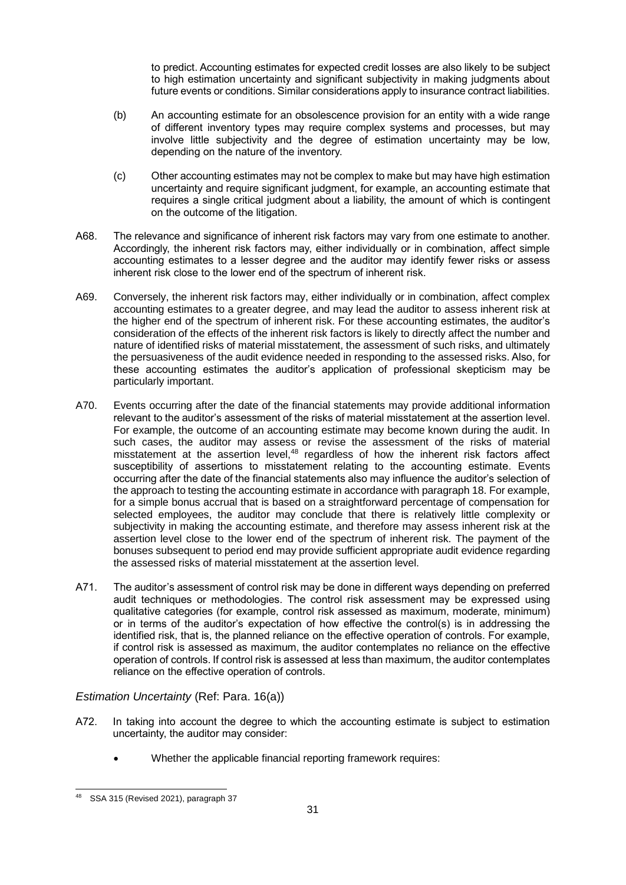to predict. Accounting estimates for expected credit losses are also likely to be subject to high estimation uncertainty and significant subjectivity in making judgments about future events or conditions. Similar considerations apply to insurance contract liabilities.

- (b) An accounting estimate for an obsolescence provision for an entity with a wide range of different inventory types may require complex systems and processes, but may involve little subjectivity and the degree of estimation uncertainty may be low, depending on the nature of the inventory.
- (c) Other accounting estimates may not be complex to make but may have high estimation uncertainty and require significant judgment, for example, an accounting estimate that requires a single critical judgment about a liability, the amount of which is contingent on the outcome of the litigation.
- A68. The relevance and significance of inherent risk factors may vary from one estimate to another. Accordingly, the inherent risk factors may, either individually or in combination, affect simple accounting estimates to a lesser degree and the auditor may identify fewer risks or assess inherent risk close to the lower end of the spectrum of inherent risk.
- A69. Conversely, the inherent risk factors may, either individually or in combination, affect complex accounting estimates to a greater degree, and may lead the auditor to assess inherent risk at the higher end of the spectrum of inherent risk. For these accounting estimates, the auditor's consideration of the effects of the inherent risk factors is likely to directly affect the number and nature of identified risks of material misstatement, the assessment of such risks, and ultimately the persuasiveness of the audit evidence needed in responding to the assessed risks. Also, for these accounting estimates the auditor's application of professional skepticism may be particularly important.
- A70. Events occurring after the date of the financial statements may provide additional information relevant to the auditor's assessment of the risks of material misstatement at the assertion level. For example, the outcome of an accounting estimate may become known during the audit. In such cases, the auditor may assess or revise the assessment of the risks of material misstatement at the assertion level,<sup>48</sup> regardless of how the inherent risk factors affect susceptibility of assertions to misstatement relating to the accounting estimate. Events occurring after the date of the financial statements also may influence the auditor's selection of the approach to testing the accounting estimate in accordance with paragraph 18. For example, for a simple bonus accrual that is based on a straightforward percentage of compensation for selected employees, the auditor may conclude that there is relatively little complexity or subjectivity in making the accounting estimate, and therefore may assess inherent risk at the assertion level close to the lower end of the spectrum of inherent risk. The payment of the bonuses subsequent to period end may provide sufficient appropriate audit evidence regarding the assessed risks of material misstatement at the assertion level.
- A71. The auditor's assessment of control risk may be done in different ways depending on preferred audit techniques or methodologies. The control risk assessment may be expressed using qualitative categories (for example, control risk assessed as maximum, moderate, minimum) or in terms of the auditor's expectation of how effective the control(s) is in addressing the identified risk, that is, the planned reliance on the effective operation of controls. For example, if control risk is assessed as maximum, the auditor contemplates no reliance on the effective operation of controls. If control risk is assessed at less than maximum, the auditor contemplates reliance on the effective operation of controls.

## *Estimation Uncertainty* (Ref: Para. 16(a))

- A72. In taking into account the degree to which the accounting estimate is subject to estimation uncertainty, the auditor may consider:
	- Whether the applicable financial reporting framework requires:

<sup>48</sup> SSA 315 (Revised 2021), paragraph 37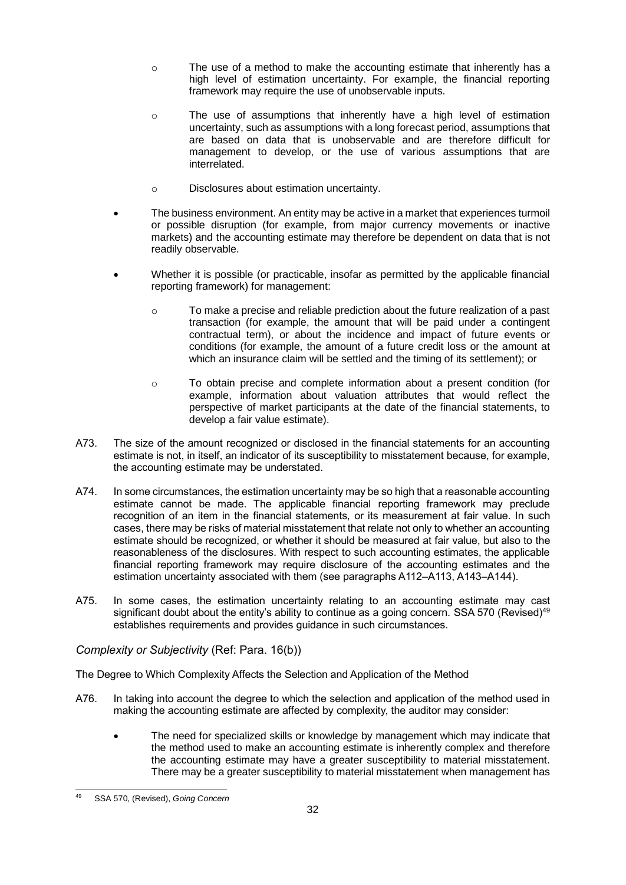- o The use of a method to make the accounting estimate that inherently has a high level of estimation uncertainty. For example, the financial reporting framework may require the use of unobservable inputs.
- o The use of assumptions that inherently have a high level of estimation uncertainty, such as assumptions with a long forecast period, assumptions that are based on data that is unobservable and are therefore difficult for management to develop, or the use of various assumptions that are interrelated.
- o Disclosures about estimation uncertainty.
- The business environment. An entity may be active in a market that experiences turmoil or possible disruption (for example, from major currency movements or inactive markets) and the accounting estimate may therefore be dependent on data that is not readily observable.
- Whether it is possible (or practicable, insofar as permitted by the applicable financial reporting framework) for management:
	- o To make a precise and reliable prediction about the future realization of a past transaction (for example, the amount that will be paid under a contingent contractual term), or about the incidence and impact of future events or conditions (for example, the amount of a future credit loss or the amount at which an insurance claim will be settled and the timing of its settlement); or
	- o To obtain precise and complete information about a present condition (for example, information about valuation attributes that would reflect the perspective of market participants at the date of the financial statements, to develop a fair value estimate).
- A73. The size of the amount recognized or disclosed in the financial statements for an accounting estimate is not, in itself, an indicator of its susceptibility to misstatement because, for example, the accounting estimate may be understated.
- A74. In some circumstances, the estimation uncertainty may be so high that a reasonable accounting estimate cannot be made. The applicable financial reporting framework may preclude recognition of an item in the financial statements, or its measurement at fair value. In such cases, there may be risks of material misstatement that relate not only to whether an accounting estimate should be recognized, or whether it should be measured at fair value, but also to the reasonableness of the disclosures. With respect to such accounting estimates, the applicable financial reporting framework may require disclosure of the accounting estimates and the estimation uncertainty associated with them (see paragraphs A112–A113, A143–A144).
- A75. In some cases, the estimation uncertainty relating to an accounting estimate may cast significant doubt about the entity's ability to continue as a going concern. SSA 570 (Revised)<sup>49</sup> establishes requirements and provides guidance in such circumstances.

*Complexity or Subjectivity* (Ref: Para. 16(b))

The Degree to Which Complexity Affects the Selection and Application of the Method

- A76. In taking into account the degree to which the selection and application of the method used in making the accounting estimate are affected by complexity, the auditor may consider:
	- The need for specialized skills or knowledge by management which may indicate that the method used to make an accounting estimate is inherently complex and therefore the accounting estimate may have a greater susceptibility to material misstatement. There may be a greater susceptibility to material misstatement when management has

<sup>49</sup> SSA 570, (Revised), *Going Concern*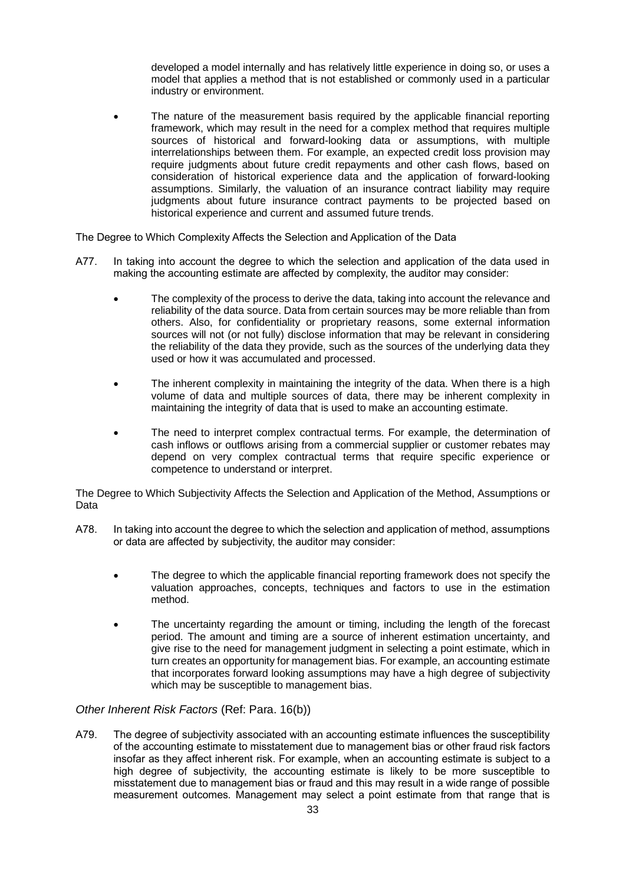developed a model internally and has relatively little experience in doing so, or uses a model that applies a method that is not established or commonly used in a particular industry or environment.

The nature of the measurement basis required by the applicable financial reporting framework, which may result in the need for a complex method that requires multiple sources of historical and forward-looking data or assumptions, with multiple interrelationships between them. For example, an expected credit loss provision may require judgments about future credit repayments and other cash flows, based on consideration of historical experience data and the application of forward-looking assumptions. Similarly, the valuation of an insurance contract liability may require judgments about future insurance contract payments to be projected based on historical experience and current and assumed future trends.

The Degree to Which Complexity Affects the Selection and Application of the Data

- A77. In taking into account the degree to which the selection and application of the data used in making the accounting estimate are affected by complexity, the auditor may consider:
	- The complexity of the process to derive the data, taking into account the relevance and reliability of the data source. Data from certain sources may be more reliable than from others. Also, for confidentiality or proprietary reasons, some external information sources will not (or not fully) disclose information that may be relevant in considering the reliability of the data they provide, such as the sources of the underlying data they used or how it was accumulated and processed.
	- The inherent complexity in maintaining the integrity of the data. When there is a high volume of data and multiple sources of data, there may be inherent complexity in maintaining the integrity of data that is used to make an accounting estimate.
	- The need to interpret complex contractual terms. For example, the determination of cash inflows or outflows arising from a commercial supplier or customer rebates may depend on very complex contractual terms that require specific experience or competence to understand or interpret.

The Degree to Which Subjectivity Affects the Selection and Application of the Method, Assumptions or Data

- A78. In taking into account the degree to which the selection and application of method, assumptions or data are affected by subjectivity, the auditor may consider:
	- The degree to which the applicable financial reporting framework does not specify the valuation approaches, concepts, techniques and factors to use in the estimation method.
	- The uncertainty regarding the amount or timing, including the length of the forecast period. The amount and timing are a source of inherent estimation uncertainty, and give rise to the need for management judgment in selecting a point estimate, which in turn creates an opportunity for management bias. For example, an accounting estimate that incorporates forward looking assumptions may have a high degree of subjectivity which may be susceptible to management bias.

#### *Other Inherent Risk Factors* (Ref: Para. 16(b))

A79. The degree of subjectivity associated with an accounting estimate influences the susceptibility of the accounting estimate to misstatement due to management bias or other fraud risk factors insofar as they affect inherent risk. For example, when an accounting estimate is subject to a high degree of subjectivity, the accounting estimate is likely to be more susceptible to misstatement due to management bias or fraud and this may result in a wide range of possible measurement outcomes. Management may select a point estimate from that range that is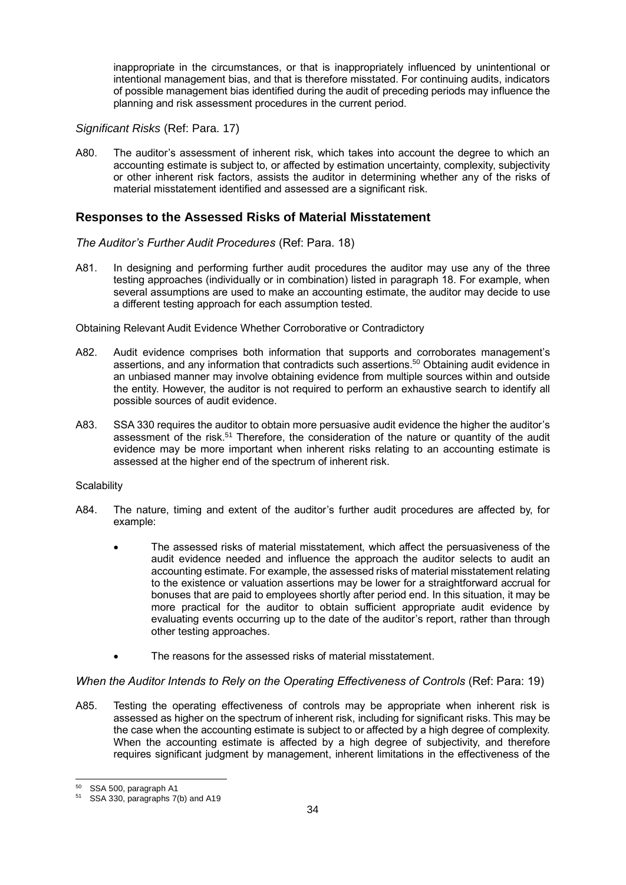inappropriate in the circumstances, or that is inappropriately influenced by unintentional or intentional management bias, and that is therefore misstated. For continuing audits, indicators of possible management bias identified during the audit of preceding periods may influence the planning and risk assessment procedures in the current period.

## *Significant Risks* (Ref: Para. 17)

A80. The auditor's assessment of inherent risk, which takes into account the degree to which an accounting estimate is subject to, or affected by estimation uncertainty, complexity, subjectivity or other inherent risk factors, assists the auditor in determining whether any of the risks of material misstatement identified and assessed are a significant risk.

## <span id="page-33-0"></span>**Responses to the Assessed Risks of Material Misstatement**

## *The Auditor's Further Audit Procedures* (Ref: Para. 18)

A81. In designing and performing further audit procedures the auditor may use any of the three testing approaches (individually or in combination) listed in paragraph 18. For example, when several assumptions are used to make an accounting estimate, the auditor may decide to use a different testing approach for each assumption tested.

Obtaining Relevant Audit Evidence Whether Corroborative or Contradictory

- A82. Audit evidence comprises both information that supports and corroborates management's assertions, and any information that contradicts such assertions.<sup>50</sup> Obtaining audit evidence in an unbiased manner may involve obtaining evidence from multiple sources within and outside the entity. However, the auditor is not required to perform an exhaustive search to identify all possible sources of audit evidence.
- A83. SSA 330 requires the auditor to obtain more persuasive audit evidence the higher the auditor's assessment of the risk.<sup>51</sup> Therefore, the consideration of the nature or quantity of the audit evidence may be more important when inherent risks relating to an accounting estimate is assessed at the higher end of the spectrum of inherent risk.

## **Scalability**

- A84. The nature, timing and extent of the auditor's further audit procedures are affected by, for example:
	- The assessed risks of material misstatement, which affect the persuasiveness of the audit evidence needed and influence the approach the auditor selects to audit an accounting estimate. For example, the assessed risks of material misstatement relating to the existence or valuation assertions may be lower for a straightforward accrual for bonuses that are paid to employees shortly after period end. In this situation, it may be more practical for the auditor to obtain sufficient appropriate audit evidence by evaluating events occurring up to the date of the auditor's report, rather than through other testing approaches.
	- The reasons for the assessed risks of material misstatement.

## *When the Auditor Intends to Rely on the Operating Effectiveness of Controls (Ref: Para: 19)*

A85. Testing the operating effectiveness of controls may be appropriate when inherent risk is assessed as higher on the spectrum of inherent risk, including for significant risks. This may be the case when the accounting estimate is subject to or affected by a high degree of complexity. When the accounting estimate is affected by a high degree of subjectivity, and therefore requires significant judgment by management, inherent limitations in the effectiveness of the

<sup>50</sup> SSA 500, paragraph A1

<sup>51</sup> SSA 330, paragraphs 7(b) and A19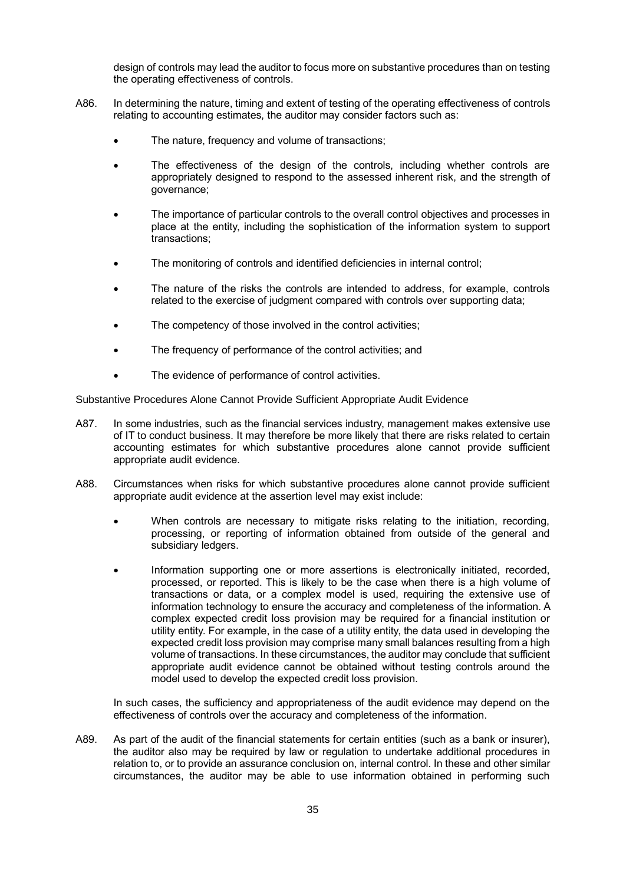design of controls may lead the auditor to focus more on substantive procedures than on testing the operating effectiveness of controls.

- A86. In determining the nature, timing and extent of testing of the operating effectiveness of controls relating to accounting estimates, the auditor may consider factors such as:
	- The nature, frequency and volume of transactions;
	- The effectiveness of the design of the controls, including whether controls are appropriately designed to respond to the assessed inherent risk, and the strength of governance;
	- The importance of particular controls to the overall control objectives and processes in place at the entity, including the sophistication of the information system to support transactions;
	- The monitoring of controls and identified deficiencies in internal control;
	- The nature of the risks the controls are intended to address, for example, controls related to the exercise of judgment compared with controls over supporting data;
	- The competency of those involved in the control activities;
	- The frequency of performance of the control activities; and
	- The evidence of performance of control activities.

Substantive Procedures Alone Cannot Provide Sufficient Appropriate Audit Evidence

- A87. In some industries, such as the financial services industry, management makes extensive use of IT to conduct business. It may therefore be more likely that there are risks related to certain accounting estimates for which substantive procedures alone cannot provide sufficient appropriate audit evidence.
- A88. Circumstances when risks for which substantive procedures alone cannot provide sufficient appropriate audit evidence at the assertion level may exist include:
	- When controls are necessary to mitigate risks relating to the initiation, recording, processing, or reporting of information obtained from outside of the general and subsidiary ledgers.
	- Information supporting one or more assertions is electronically initiated, recorded, processed, or reported. This is likely to be the case when there is a high volume of transactions or data, or a complex model is used, requiring the extensive use of information technology to ensure the accuracy and completeness of the information. A complex expected credit loss provision may be required for a financial institution or utility entity. For example, in the case of a utility entity, the data used in developing the expected credit loss provision may comprise many small balances resulting from a high volume of transactions. In these circumstances, the auditor may conclude that sufficient appropriate audit evidence cannot be obtained without testing controls around the model used to develop the expected credit loss provision.

In such cases, the sufficiency and appropriateness of the audit evidence may depend on the effectiveness of controls over the accuracy and completeness of the information.

A89. As part of the audit of the financial statements for certain entities (such as a bank or insurer), the auditor also may be required by law or regulation to undertake additional procedures in relation to, or to provide an assurance conclusion on, internal control. In these and other similar circumstances, the auditor may be able to use information obtained in performing such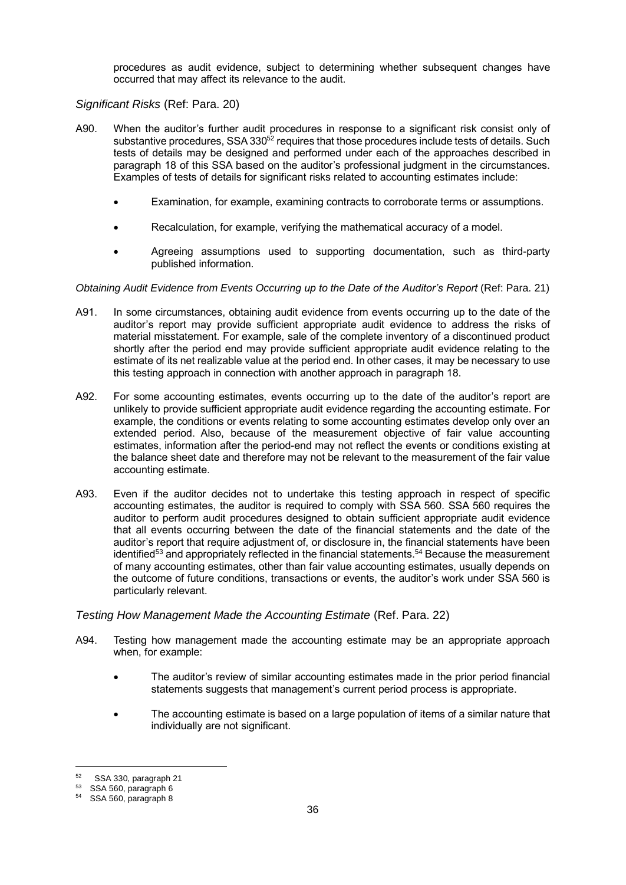procedures as audit evidence, subject to determining whether subsequent changes have occurred that may affect its relevance to the audit.

## *Significant Risks* (Ref: Para. 20)

- A90. When the auditor's further audit procedures in response to a significant risk consist only of substantive procedures, SSA 330<sup>52</sup> requires that those procedures include tests of details. Such tests of details may be designed and performed under each of the approaches described in paragraph 18 of this SSA based on the auditor's professional judgment in the circumstances. Examples of tests of details for significant risks related to accounting estimates include:
	- Examination, for example, examining contracts to corroborate terms or assumptions.
	- Recalculation, for example, verifying the mathematical accuracy of a model.
	- Agreeing assumptions used to supporting documentation, such as third-party published information.

## *Obtaining Audit Evidence from Events Occurring up to the Date of the Auditor's Report* (Ref: Para. 21)

- A91. In some circumstances, obtaining audit evidence from events occurring up to the date of the auditor's report may provide sufficient appropriate audit evidence to address the risks of material misstatement. For example, sale of the complete inventory of a discontinued product shortly after the period end may provide sufficient appropriate audit evidence relating to the estimate of its net realizable value at the period end. In other cases, it may be necessary to use this testing approach in connection with another approach in paragraph 18.
- A92. For some accounting estimates, events occurring up to the date of the auditor's report are unlikely to provide sufficient appropriate audit evidence regarding the accounting estimate. For example, the conditions or events relating to some accounting estimates develop only over an extended period. Also, because of the measurement objective of fair value accounting estimates, information after the period-end may not reflect the events or conditions existing at the balance sheet date and therefore may not be relevant to the measurement of the fair value accounting estimate.
- A93. Even if the auditor decides not to undertake this testing approach in respect of specific accounting estimates, the auditor is required to comply with SSA 560. SSA 560 requires the auditor to perform audit procedures designed to obtain sufficient appropriate audit evidence that all events occurring between the date of the financial statements and the date of the auditor's report that require adjustment of, or disclosure in, the financial statements have been identified<sup>53</sup> and appropriately reflected in the financial statements.<sup>54</sup> Because the measurement of many accounting estimates, other than fair value accounting estimates, usually depends on the outcome of future conditions, transactions or events, the auditor's work under SSA 560 is particularly relevant.

## *Testing How Management Made the Accounting Estimate* (Ref. Para. 22)

- A94. Testing how management made the accounting estimate may be an appropriate approach when, for example:
	- The auditor's review of similar accounting estimates made in the prior period financial statements suggests that management's current period process is appropriate.
	- The accounting estimate is based on a large population of items of a similar nature that individually are not significant.

SSA 330, paragraph 21

<sup>53</sup> SSA 560, paragraph 6

<sup>54</sup> SSA 560, paragraph 8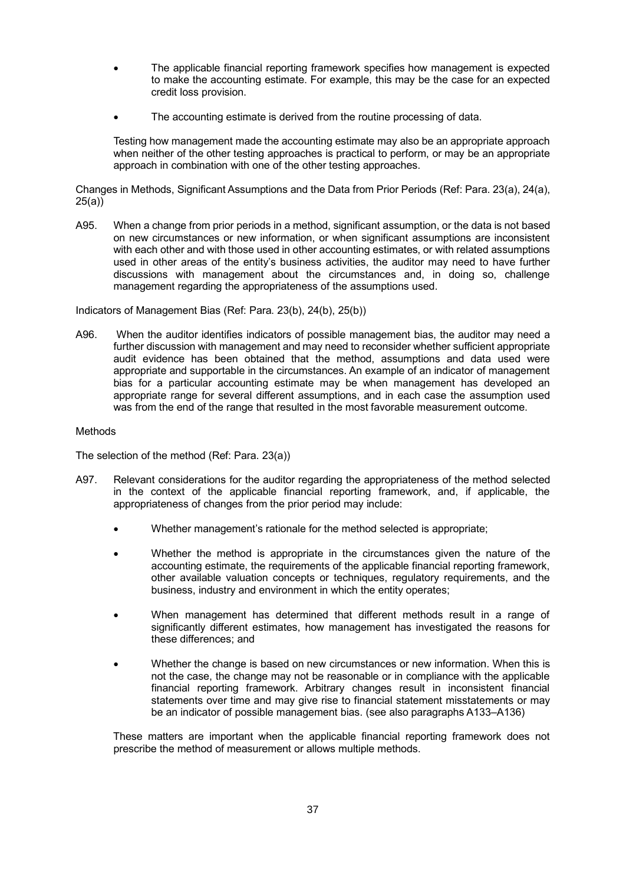- The applicable financial reporting framework specifies how management is expected to make the accounting estimate. For example, this may be the case for an expected credit loss provision.
- The accounting estimate is derived from the routine processing of data.

Testing how management made the accounting estimate may also be an appropriate approach when neither of the other testing approaches is practical to perform, or may be an appropriate approach in combination with one of the other testing approaches.

Changes in Methods, Significant Assumptions and the Data from Prior Periods (Ref: Para. 23(a), 24(a),  $25(a)$ 

A95. When a change from prior periods in a method, significant assumption, or the data is not based on new circumstances or new information, or when significant assumptions are inconsistent with each other and with those used in other accounting estimates, or with related assumptions used in other areas of the entity's business activities, the auditor may need to have further discussions with management about the circumstances and, in doing so, challenge management regarding the appropriateness of the assumptions used.

#### Indicators of Management Bias (Ref: Para. 23(b), 24(b), 25(b))

A96. When the auditor identifies indicators of possible management bias, the auditor may need a further discussion with management and may need to reconsider whether sufficient appropriate audit evidence has been obtained that the method, assumptions and data used were appropriate and supportable in the circumstances. An example of an indicator of management bias for a particular accounting estimate may be when management has developed an appropriate range for several different assumptions, and in each case the assumption used was from the end of the range that resulted in the most favorable measurement outcome.

#### Methods

The selection of the method (Ref: Para. 23(a))

- A97. Relevant considerations for the auditor regarding the appropriateness of the method selected in the context of the applicable financial reporting framework, and, if applicable, the appropriateness of changes from the prior period may include:
	- Whether management's rationale for the method selected is appropriate;
	- Whether the method is appropriate in the circumstances given the nature of the accounting estimate, the requirements of the applicable financial reporting framework, other available valuation concepts or techniques, regulatory requirements, and the business, industry and environment in which the entity operates;
	- When management has determined that different methods result in a range of significantly different estimates, how management has investigated the reasons for these differences; and
	- Whether the change is based on new circumstances or new information. When this is not the case, the change may not be reasonable or in compliance with the applicable financial reporting framework. Arbitrary changes result in inconsistent financial statements over time and may give rise to financial statement misstatements or may be an indicator of possible management bias. (see also paragraphs A133–A136)

These matters are important when the applicable financial reporting framework does not prescribe the method of measurement or allows multiple methods.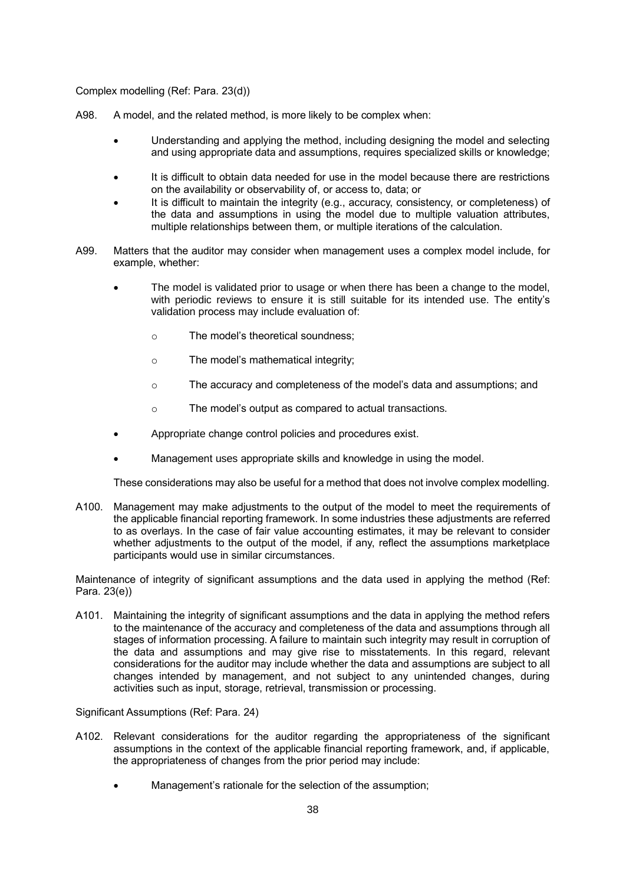Complex modelling (Ref: Para. 23(d))

A98. A model, and the related method, is more likely to be complex when:

- Understanding and applying the method, including designing the model and selecting and using appropriate data and assumptions, requires specialized skills or knowledge;
- It is difficult to obtain data needed for use in the model because there are restrictions on the availability or observability of, or access to, data; or
- It is difficult to maintain the integrity (e.g., accuracy, consistency, or completeness) of the data and assumptions in using the model due to multiple valuation attributes, multiple relationships between them, or multiple iterations of the calculation.
- A99. Matters that the auditor may consider when management uses a complex model include, for example, whether:
	- The model is validated prior to usage or when there has been a change to the model, with periodic reviews to ensure it is still suitable for its intended use. The entity's validation process may include evaluation of:
		- o The model's theoretical soundness;
		- o The model's mathematical integrity;
		- o The accuracy and completeness of the model's data and assumptions; and
		- o The model's output as compared to actual transactions.
	- Appropriate change control policies and procedures exist.
	- Management uses appropriate skills and knowledge in using the model.

These considerations may also be useful for a method that does not involve complex modelling.

A100. Management may make adjustments to the output of the model to meet the requirements of the applicable financial reporting framework. In some industries these adjustments are referred to as overlays. In the case of fair value accounting estimates, it may be relevant to consider whether adjustments to the output of the model, if any, reflect the assumptions marketplace participants would use in similar circumstances.

Maintenance of integrity of significant assumptions and the data used in applying the method (Ref: Para. 23(e))

A101. Maintaining the integrity of significant assumptions and the data in applying the method refers to the maintenance of the accuracy and completeness of the data and assumptions through all stages of information processing. A failure to maintain such integrity may result in corruption of the data and assumptions and may give rise to misstatements. In this regard, relevant considerations for the auditor may include whether the data and assumptions are subject to all changes intended by management, and not subject to any unintended changes, during activities such as input, storage, retrieval, transmission or processing.

Significant Assumptions (Ref: Para. 24)

- A102. Relevant considerations for the auditor regarding the appropriateness of the significant assumptions in the context of the applicable financial reporting framework, and, if applicable, the appropriateness of changes from the prior period may include:
	- Management's rationale for the selection of the assumption;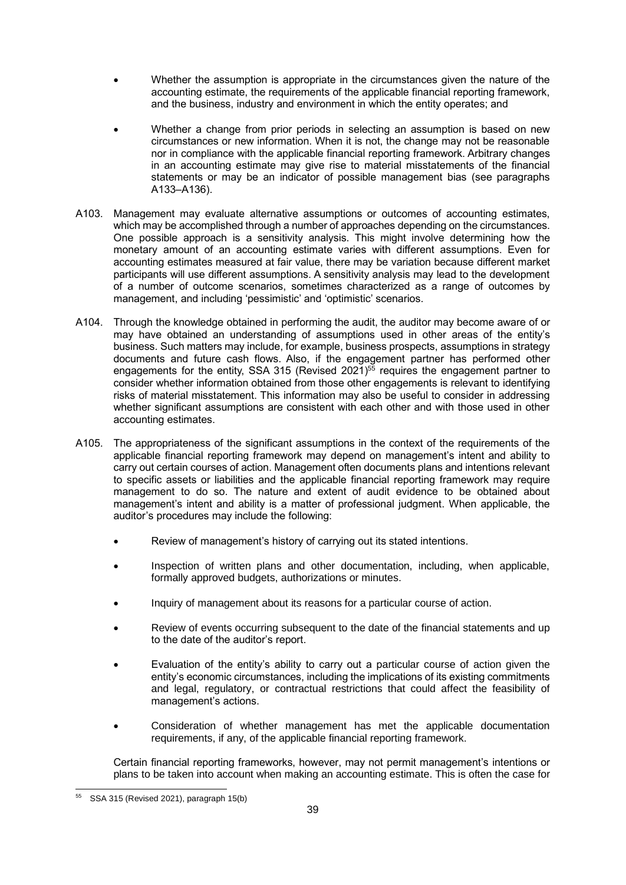- Whether the assumption is appropriate in the circumstances given the nature of the accounting estimate, the requirements of the applicable financial reporting framework, and the business, industry and environment in which the entity operates; and
- Whether a change from prior periods in selecting an assumption is based on new circumstances or new information. When it is not, the change may not be reasonable nor in compliance with the applicable financial reporting framework. Arbitrary changes in an accounting estimate may give rise to material misstatements of the financial statements or may be an indicator of possible management bias (see paragraphs A133–A136).
- A103. Management may evaluate alternative assumptions or outcomes of accounting estimates, which may be accomplished through a number of approaches depending on the circumstances. One possible approach is a sensitivity analysis. This might involve determining how the monetary amount of an accounting estimate varies with different assumptions. Even for accounting estimates measured at fair value, there may be variation because different market participants will use different assumptions. A sensitivity analysis may lead to the development of a number of outcome scenarios, sometimes characterized as a range of outcomes by management, and including 'pessimistic' and 'optimistic' scenarios.
- A104. Through the knowledge obtained in performing the audit, the auditor may become aware of or may have obtained an understanding of assumptions used in other areas of the entity's business. Such matters may include, for example, business prospects, assumptions in strategy documents and future cash flows. Also, if the engagement partner has performed other engagements for the entity, SSA 315 (Revised 2021) <sup>55</sup> requires the engagement partner to consider whether information obtained from those other engagements is relevant to identifying risks of material misstatement. This information may also be useful to consider in addressing whether significant assumptions are consistent with each other and with those used in other accounting estimates.
- A105. The appropriateness of the significant assumptions in the context of the requirements of the applicable financial reporting framework may depend on management's intent and ability to carry out certain courses of action. Management often documents plans and intentions relevant to specific assets or liabilities and the applicable financial reporting framework may require management to do so. The nature and extent of audit evidence to be obtained about management's intent and ability is a matter of professional judgment. When applicable, the auditor's procedures may include the following:
	- Review of management's history of carrying out its stated intentions.
	- Inspection of written plans and other documentation, including, when applicable, formally approved budgets, authorizations or minutes.
	- Inquiry of management about its reasons for a particular course of action.
	- Review of events occurring subsequent to the date of the financial statements and up to the date of the auditor's report.
	- Evaluation of the entity's ability to carry out a particular course of action given the entity's economic circumstances, including the implications of its existing commitments and legal, regulatory, or contractual restrictions that could affect the feasibility of management's actions.
	- Consideration of whether management has met the applicable documentation requirements, if any, of the applicable financial reporting framework.

Certain financial reporting frameworks, however, may not permit management's intentions or plans to be taken into account when making an accounting estimate. This is often the case for

<sup>55</sup> SSA 315 (Revised 2021), paragraph 15(b)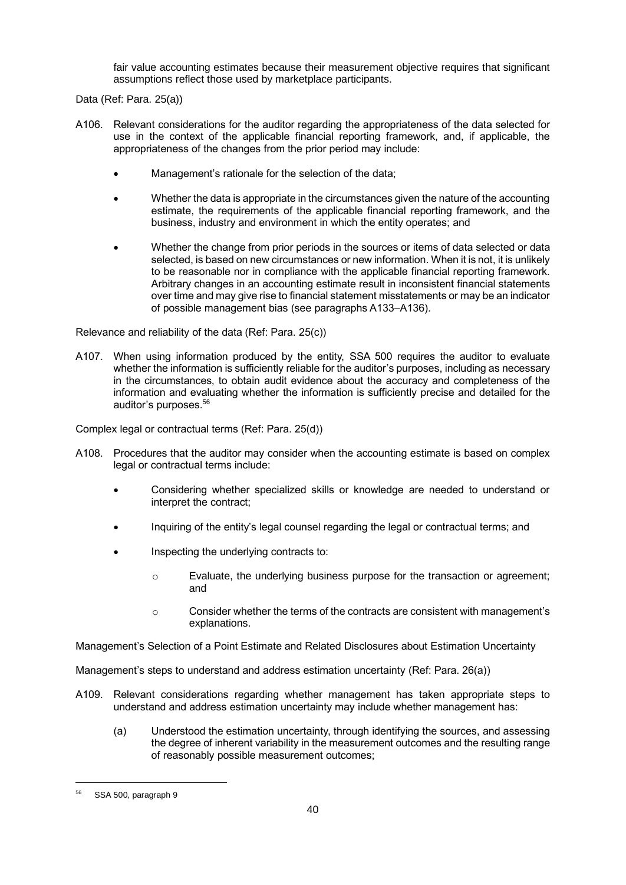fair value accounting estimates because their measurement objective requires that significant assumptions reflect those used by marketplace participants.

Data (Ref: Para. 25(a))

- A106. Relevant considerations for the auditor regarding the appropriateness of the data selected for use in the context of the applicable financial reporting framework, and, if applicable, the appropriateness of the changes from the prior period may include:
	- Management's rationale for the selection of the data;
	- Whether the data is appropriate in the circumstances given the nature of the accounting estimate, the requirements of the applicable financial reporting framework, and the business, industry and environment in which the entity operates; and
	- Whether the change from prior periods in the sources or items of data selected or data selected, is based on new circumstances or new information. When it is not, it is unlikely to be reasonable nor in compliance with the applicable financial reporting framework. Arbitrary changes in an accounting estimate result in inconsistent financial statements over time and may give rise to financial statement misstatements or may be an indicator of possible management bias (see paragraphs A133–A136).

Relevance and reliability of the data (Ref: Para. 25(c))

A107. When using information produced by the entity, SSA 500 requires the auditor to evaluate whether the information is sufficiently reliable for the auditor's purposes, including as necessary in the circumstances, to obtain audit evidence about the accuracy and completeness of the information and evaluating whether the information is sufficiently precise and detailed for the auditor's purposes.<sup>56</sup>

Complex legal or contractual terms (Ref: Para. 25(d))

- A108. Procedures that the auditor may consider when the accounting estimate is based on complex legal or contractual terms include:
	- Considering whether specialized skills or knowledge are needed to understand or interpret the contract;
	- Inquiring of the entity's legal counsel regarding the legal or contractual terms; and
	- Inspecting the underlying contracts to:
		- o Evaluate, the underlying business purpose for the transaction or agreement; and
		- o Consider whether the terms of the contracts are consistent with management's explanations.

Management's Selection of a Point Estimate and Related Disclosures about Estimation Uncertainty

Management's steps to understand and address estimation uncertainty (Ref: Para. 26(a))

- A109. Relevant considerations regarding whether management has taken appropriate steps to understand and address estimation uncertainty may include whether management has:
	- (a) Understood the estimation uncertainty, through identifying the sources, and assessing the degree of inherent variability in the measurement outcomes and the resulting range of reasonably possible measurement outcomes;

<sup>56</sup> SSA 500, paragraph 9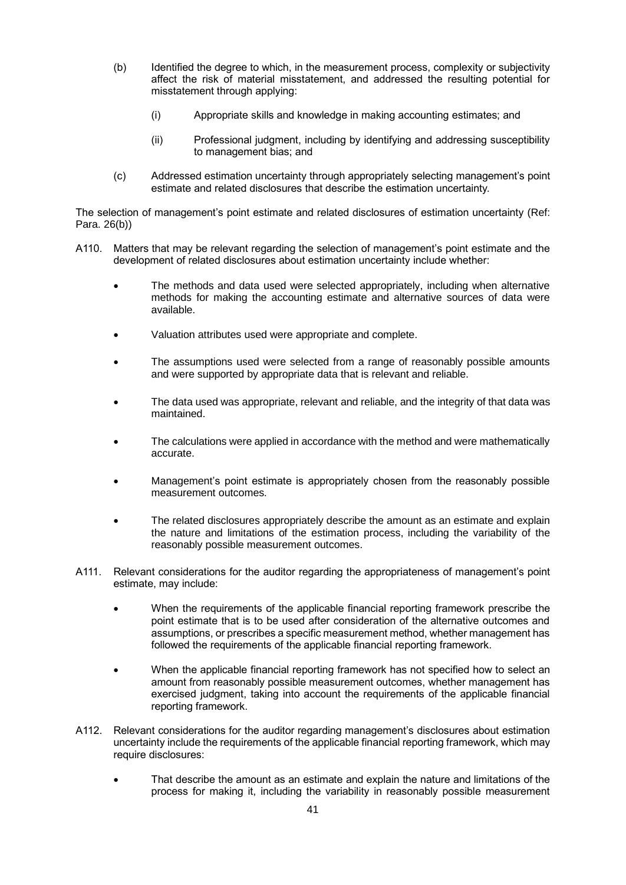- (b) Identified the degree to which, in the measurement process, complexity or subjectivity affect the risk of material misstatement, and addressed the resulting potential for misstatement through applying:
	- (i) Appropriate skills and knowledge in making accounting estimates; and
	- (ii) Professional judgment, including by identifying and addressing susceptibility to management bias; and
- (c) Addressed estimation uncertainty through appropriately selecting management's point estimate and related disclosures that describe the estimation uncertainty.

The selection of management's point estimate and related disclosures of estimation uncertainty (Ref: Para. 26(b))

- A110. Matters that may be relevant regarding the selection of management's point estimate and the development of related disclosures about estimation uncertainty include whether:
	- The methods and data used were selected appropriately, including when alternative methods for making the accounting estimate and alternative sources of data were available.
	- Valuation attributes used were appropriate and complete.
	- The assumptions used were selected from a range of reasonably possible amounts and were supported by appropriate data that is relevant and reliable.
	- The data used was appropriate, relevant and reliable, and the integrity of that data was maintained.
	- The calculations were applied in accordance with the method and were mathematically accurate.
	- Management's point estimate is appropriately chosen from the reasonably possible measurement outcomes.
	- The related disclosures appropriately describe the amount as an estimate and explain the nature and limitations of the estimation process, including the variability of the reasonably possible measurement outcomes.
- A111. Relevant considerations for the auditor regarding the appropriateness of management's point estimate, may include:
	- When the requirements of the applicable financial reporting framework prescribe the point estimate that is to be used after consideration of the alternative outcomes and assumptions, or prescribes a specific measurement method, whether management has followed the requirements of the applicable financial reporting framework.
	- When the applicable financial reporting framework has not specified how to select an amount from reasonably possible measurement outcomes, whether management has exercised judgment, taking into account the requirements of the applicable financial reporting framework.
- A112. Relevant considerations for the auditor regarding management's disclosures about estimation uncertainty include the requirements of the applicable financial reporting framework, which may require disclosures:
	- That describe the amount as an estimate and explain the nature and limitations of the process for making it, including the variability in reasonably possible measurement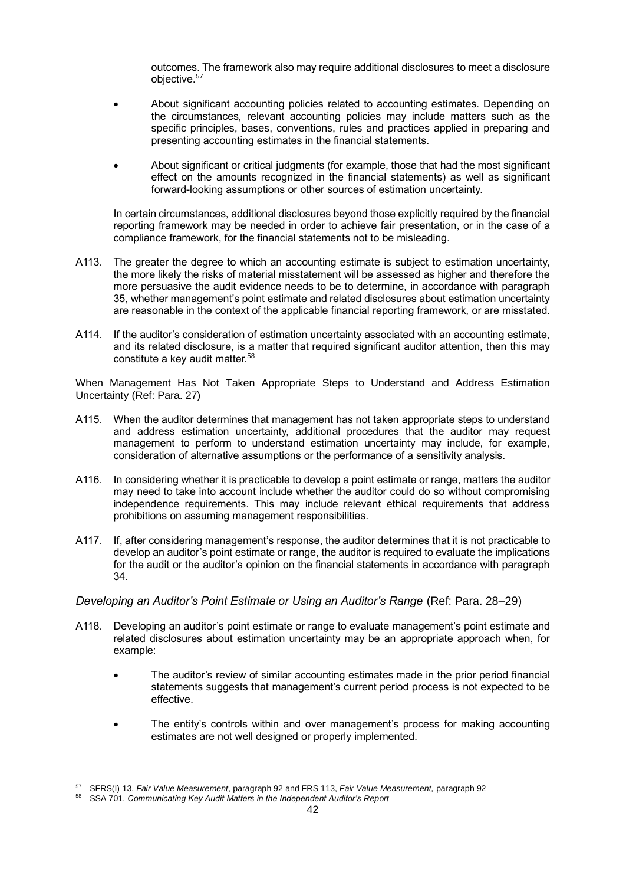outcomes. The framework also may require additional disclosures to meet a disclosure objective.<sup>57</sup>

- About significant accounting policies related to accounting estimates. Depending on the circumstances, relevant accounting policies may include matters such as the specific principles, bases, conventions, rules and practices applied in preparing and presenting accounting estimates in the financial statements.
- About significant or critical judgments (for example, those that had the most significant effect on the amounts recognized in the financial statements) as well as significant forward-looking assumptions or other sources of estimation uncertainty.

In certain circumstances, additional disclosures beyond those explicitly required by the financial reporting framework may be needed in order to achieve fair presentation, or in the case of a compliance framework, for the financial statements not to be misleading.

- A113. The greater the degree to which an accounting estimate is subject to estimation uncertainty, the more likely the risks of material misstatement will be assessed as higher and therefore the more persuasive the audit evidence needs to be to determine, in accordance with paragraph 35, whether management's point estimate and related disclosures about estimation uncertainty are reasonable in the context of the applicable financial reporting framework, or are misstated.
- A114. If the auditor's consideration of estimation uncertainty associated with an accounting estimate, and its related disclosure, is a matter that required significant auditor attention, then this may constitute a key audit matter.<sup>58</sup>

When Management Has Not Taken Appropriate Steps to Understand and Address Estimation Uncertainty (Ref: Para. 27)

- A115. When the auditor determines that management has not taken appropriate steps to understand and address estimation uncertainty, additional procedures that the auditor may request management to perform to understand estimation uncertainty may include, for example, consideration of alternative assumptions or the performance of a sensitivity analysis.
- A116. In considering whether it is practicable to develop a point estimate or range, matters the auditor may need to take into account include whether the auditor could do so without compromising independence requirements. This may include relevant ethical requirements that address prohibitions on assuming management responsibilities.
- A117. If, after considering management's response, the auditor determines that it is not practicable to develop an auditor's point estimate or range, the auditor is required to evaluate the implications for the audit or the auditor's opinion on the financial statements in accordance with paragraph 34.

## *Developing an Auditor's Point Estimate or Using an Auditor's Range* (Ref: Para. 28–29)

- A118. Developing an auditor's point estimate or range to evaluate management's point estimate and related disclosures about estimation uncertainty may be an appropriate approach when, for example:
	- The auditor's review of similar accounting estimates made in the prior period financial statements suggests that management's current period process is not expected to be effective.
	- The entity's controls within and over management's process for making accounting estimates are not well designed or properly implemented.

<sup>57</sup> SFRS(I) 13, *Fair Value Measurement*, paragraph 92 and FRS 113, *Fair Value Measurement,* paragraph 92

<sup>58</sup> SSA 701, *Communicating Key Audit Matters in the Independent Auditor's Report*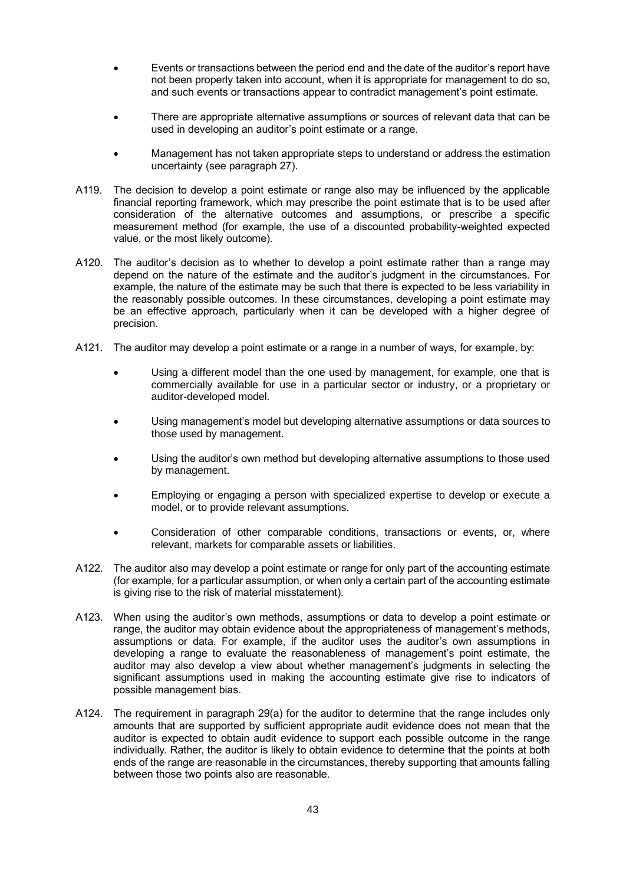- Events or transactions between the period end and the date of the auditor's report have not been properly taken into account, when it is appropriate for management to do so, and such events or transactions appear to contradict management's point estimate.
- There are appropriate alternative assumptions or sources of relevant data that can be used in developing an auditor's point estimate or a range.
- Management has not taken appropriate steps to understand or address the estimation uncertainty (see paragraph 27).
- A119. The decision to develop a point estimate or range also may be influenced by the applicable financial reporting framework, which may prescribe the point estimate that is to be used after consideration of the alternative outcomes and assumptions, or prescribe a specific measurement method (for example, the use of a discounted probability-weighted expected value, or the most likely outcome).
- A120. The auditor's decision as to whether to develop a point estimate rather than a range may depend on the nature of the estimate and the auditor's judgment in the circumstances. For example, the nature of the estimate may be such that there is expected to be less variability in the reasonably possible outcomes. In these circumstances, developing a point estimate may be an effective approach, particularly when it can be developed with a higher degree of precision.
- A121. The auditor may develop a point estimate or a range in a number of ways, for example, by:
	- Using a different model than the one used by management, for example, one that is commercially available for use in a particular sector or industry, or a proprietary or auditor-developed model.
	- Using management's model but developing alternative assumptions or data sources to those used by management.
	- Using the auditor's own method but developing alternative assumptions to those used by management.
	- Employing or engaging a person with specialized expertise to develop or execute a model, or to provide relevant assumptions.
	- Consideration of other comparable conditions, transactions or events, or, where relevant, markets for comparable assets or liabilities.
- A122. The auditor also may develop a point estimate or range for only part of the accounting estimate (for example, for a particular assumption, or when only a certain part of the accounting estimate is giving rise to the risk of material misstatement).
- A123. When using the auditor's own methods, assumptions or data to develop a point estimate or range, the auditor may obtain evidence about the appropriateness of management's methods, assumptions or data. For example, if the auditor uses the auditor's own assumptions in developing a range to evaluate the reasonableness of management's point estimate, the auditor may also develop a view about whether management's judgments in selecting the significant assumptions used in making the accounting estimate give rise to indicators of possible management bias.
- A124. The requirement in paragraph 29(a) for the auditor to determine that the range includes only amounts that are supported by sufficient appropriate audit evidence does not mean that the auditor is expected to obtain audit evidence to support each possible outcome in the range individually. Rather, the auditor is likely to obtain evidence to determine that the points at both ends of the range are reasonable in the circumstances, thereby supporting that amounts falling between those two points also are reasonable.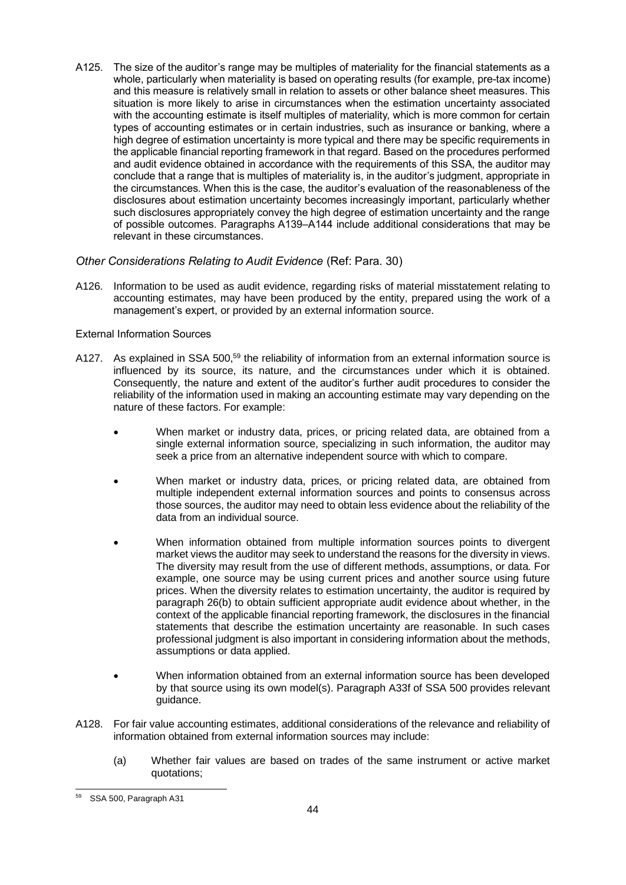A125. The size of the auditor's range may be multiples of materiality for the financial statements as a whole, particularly when materiality is based on operating results (for example, pre-tax income) and this measure is relatively small in relation to assets or other balance sheet measures. This situation is more likely to arise in circumstances when the estimation uncertainty associated with the accounting estimate is itself multiples of materiality, which is more common for certain types of accounting estimates or in certain industries, such as insurance or banking, where a high degree of estimation uncertainty is more typical and there may be specific requirements in the applicable financial reporting framework in that regard. Based on the procedures performed and audit evidence obtained in accordance with the requirements of this SSA, the auditor may conclude that a range that is multiples of materiality is, in the auditor's judgment, appropriate in the circumstances. When this is the case, the auditor's evaluation of the reasonableness of the disclosures about estimation uncertainty becomes increasingly important, particularly whether such disclosures appropriately convey the high degree of estimation uncertainty and the range of possible outcomes. Paragraphs A139–A144 include additional considerations that may be relevant in these circumstances.

## *Other Considerations Relating to Audit Evidence* (Ref: Para. 30)

A126. Information to be used as audit evidence, regarding risks of material misstatement relating to accounting estimates, may have been produced by the entity, prepared using the work of a management's expert, or provided by an external information source.

#### External Information Sources

- A127. As explained in SSA 500,<sup>59</sup> the reliability of information from an external information source is influenced by its source, its nature, and the circumstances under which it is obtained. Consequently, the nature and extent of the auditor's further audit procedures to consider the reliability of the information used in making an accounting estimate may vary depending on the nature of these factors. For example:
	- When market or industry data, prices, or pricing related data, are obtained from a single external information source, specializing in such information, the auditor may seek a price from an alternative independent source with which to compare.
	- When market or industry data, prices, or pricing related data, are obtained from multiple independent external information sources and points to consensus across those sources, the auditor may need to obtain less evidence about the reliability of the data from an individual source.
	- When information obtained from multiple information sources points to divergent market views the auditor may seek to understand the reasons for the diversity in views. The diversity may result from the use of different methods, assumptions, or data. For example, one source may be using current prices and another source using future prices. When the diversity relates to estimation uncertainty, the auditor is required by paragraph 26(b) to obtain sufficient appropriate audit evidence about whether, in the context of the applicable financial reporting framework, the disclosures in the financial statements that describe the estimation uncertainty are reasonable. In such cases professional judgment is also important in considering information about the methods, assumptions or data applied.
	- When information obtained from an external information source has been developed by that source using its own model(s). Paragraph A33f of SSA 500 provides relevant guidance.
- A128. For fair value accounting estimates, additional considerations of the relevance and reliability of information obtained from external information sources may include:
	- (a) Whether fair values are based on trades of the same instrument or active market quotations;

SSA 500, Paragraph A31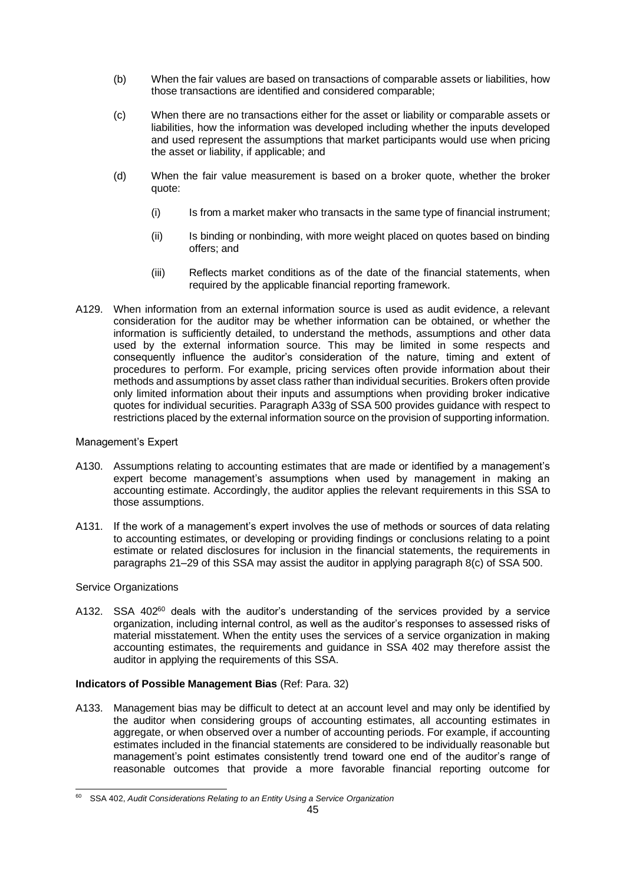- (b) When the fair values are based on transactions of comparable assets or liabilities, how those transactions are identified and considered comparable;
- (c) When there are no transactions either for the asset or liability or comparable assets or liabilities, how the information was developed including whether the inputs developed and used represent the assumptions that market participants would use when pricing the asset or liability, if applicable; and
- (d) When the fair value measurement is based on a broker quote, whether the broker quote:
	- (i) Is from a market maker who transacts in the same type of financial instrument;
	- (ii) Is binding or nonbinding, with more weight placed on quotes based on binding offers; and
	- (iii) Reflects market conditions as of the date of the financial statements, when required by the applicable financial reporting framework.
- A129. When information from an external information source is used as audit evidence, a relevant consideration for the auditor may be whether information can be obtained, or whether the information is sufficiently detailed, to understand the methods, assumptions and other data used by the external information source. This may be limited in some respects and consequently influence the auditor's consideration of the nature, timing and extent of procedures to perform. For example, pricing services often provide information about their methods and assumptions by asset class rather than individual securities. Brokers often provide only limited information about their inputs and assumptions when providing broker indicative quotes for individual securities. Paragraph A33g of SSA 500 provides guidance with respect to restrictions placed by the external information source on the provision of supporting information.

#### Management's Expert

- A130. Assumptions relating to accounting estimates that are made or identified by a management's expert become management's assumptions when used by management in making an accounting estimate. Accordingly, the auditor applies the relevant requirements in this SSA to those assumptions.
- A131. If the work of a management's expert involves the use of methods or sources of data relating to accounting estimates, or developing or providing findings or conclusions relating to a point estimate or related disclosures for inclusion in the financial statements, the requirements in paragraphs 21–29 of this SSA may assist the auditor in applying paragraph 8(c) of SSA 500.

## Service Organizations

A132. SSA 402<sup>60</sup> deals with the auditor's understanding of the services provided by a service organization, including internal control, as well as the auditor's responses to assessed risks of material misstatement. When the entity uses the services of a service organization in making accounting estimates, the requirements and guidance in SSA 402 may therefore assist the auditor in applying the requirements of this SSA.

#### <span id="page-44-0"></span>**Indicators of Possible Management Bias** (Ref: Para. 32)

A133. Management bias may be difficult to detect at an account level and may only be identified by the auditor when considering groups of accounting estimates, all accounting estimates in aggregate, or when observed over a number of accounting periods. For example, if accounting estimates included in the financial statements are considered to be individually reasonable but management's point estimates consistently trend toward one end of the auditor's range of reasonable outcomes that provide a more favorable financial reporting outcome for

<sup>60</sup> SSA 402, *Audit Considerations Relating to an Entity Using a Service Organization*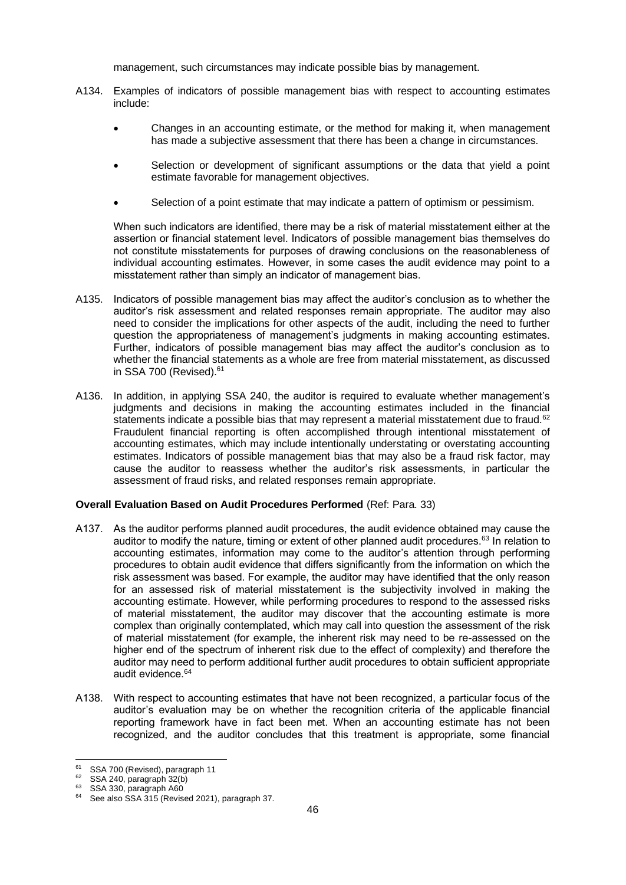management, such circumstances may indicate possible bias by management.

- A134. Examples of indicators of possible management bias with respect to accounting estimates include:
	- Changes in an accounting estimate, or the method for making it, when management has made a subjective assessment that there has been a change in circumstances.
	- Selection or development of significant assumptions or the data that yield a point estimate favorable for management objectives.
	- Selection of a point estimate that may indicate a pattern of optimism or pessimism.

When such indicators are identified, there may be a risk of material misstatement either at the assertion or financial statement level. Indicators of possible management bias themselves do not constitute misstatements for purposes of drawing conclusions on the reasonableness of individual accounting estimates. However, in some cases the audit evidence may point to a misstatement rather than simply an indicator of management bias.

- A135. Indicators of possible management bias may affect the auditor's conclusion as to whether the auditor's risk assessment and related responses remain appropriate. The auditor may also need to consider the implications for other aspects of the audit, including the need to further question the appropriateness of management's judgments in making accounting estimates. Further, indicators of possible management bias may affect the auditor's conclusion as to whether the financial statements as a whole are free from material misstatement, as discussed in SSA 700 (Revised).<sup>61</sup>
- A136. In addition, in applying SSA 240, the auditor is required to evaluate whether management's judgments and decisions in making the accounting estimates included in the financial statements indicate a possible bias that may represent a material misstatement due to fraud.<sup>62</sup> Fraudulent financial reporting is often accomplished through intentional misstatement of accounting estimates, which may include intentionally understating or overstating accounting estimates. Indicators of possible management bias that may also be a fraud risk factor, may cause the auditor to reassess whether the auditor's risk assessments, in particular the assessment of fraud risks, and related responses remain appropriate.

#### <span id="page-45-0"></span>**Overall Evaluation Based on Audit Procedures Performed** (Ref: Para. 33)

- A137. As the auditor performs planned audit procedures, the audit evidence obtained may cause the auditor to modify the nature, timing or extent of other planned audit procedures.<sup>63</sup> In relation to accounting estimates, information may come to the auditor's attention through performing procedures to obtain audit evidence that differs significantly from the information on which the risk assessment was based. For example, the auditor may have identified that the only reason for an assessed risk of material misstatement is the subjectivity involved in making the accounting estimate. However, while performing procedures to respond to the assessed risks of material misstatement, the auditor may discover that the accounting estimate is more complex than originally contemplated, which may call into question the assessment of the risk of material misstatement (for example, the inherent risk may need to be re-assessed on the higher end of the spectrum of inherent risk due to the effect of complexity) and therefore the auditor may need to perform additional further audit procedures to obtain sufficient appropriate audit evidence.<sup>64</sup>
- A138. With respect to accounting estimates that have not been recognized, a particular focus of the auditor's evaluation may be on whether the recognition criteria of the applicable financial reporting framework have in fact been met. When an accounting estimate has not been recognized, and the auditor concludes that this treatment is appropriate, some financial

<sup>&</sup>lt;sup>61</sup> SSA 700 (Revised), paragraph 11

 $62$  SSA 240, paragraph 32(b)

<sup>&</sup>lt;sup>63</sup> SSA 330, paragraph A60

<sup>&</sup>lt;sup>64</sup> See also SSA 315 (Revised 2021), paragraph 37.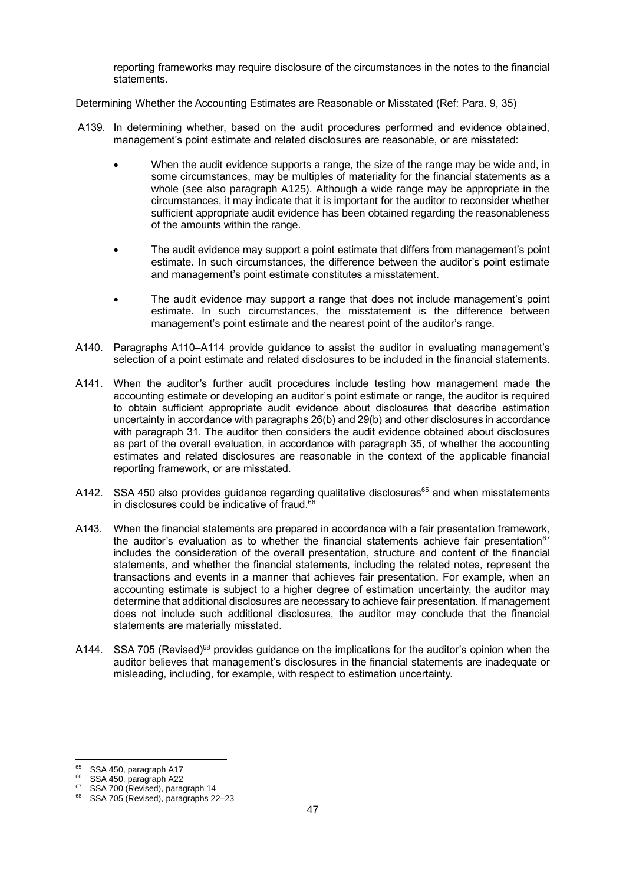reporting frameworks may require disclosure of the circumstances in the notes to the financial statements.

Determining Whether the Accounting Estimates are Reasonable or Misstated (Ref: Para. 9, 35)

- A139. In determining whether, based on the audit procedures performed and evidence obtained, management's point estimate and related disclosures are reasonable, or are misstated:
	- When the audit evidence supports a range, the size of the range may be wide and, in some circumstances, may be multiples of materiality for the financial statements as a whole (see also paragraph A125). Although a wide range may be appropriate in the circumstances, it may indicate that it is important for the auditor to reconsider whether sufficient appropriate audit evidence has been obtained regarding the reasonableness of the amounts within the range.
	- The audit evidence may support a point estimate that differs from management's point estimate. In such circumstances, the difference between the auditor's point estimate and management's point estimate constitutes a misstatement.
	- The audit evidence may support a range that does not include management's point estimate. In such circumstances, the misstatement is the difference between management's point estimate and the nearest point of the auditor's range.
- A140. Paragraphs A110–A114 provide guidance to assist the auditor in evaluating management's selection of a point estimate and related disclosures to be included in the financial statements.
- A141. When the auditor's further audit procedures include testing how management made the accounting estimate or developing an auditor's point estimate or range, the auditor is required to obtain sufficient appropriate audit evidence about disclosures that describe estimation uncertainty in accordance with paragraphs 26(b) and 29(b) and other disclosures in accordance with paragraph 31. The auditor then considers the audit evidence obtained about disclosures as part of the overall evaluation, in accordance with paragraph 35, of whether the accounting estimates and related disclosures are reasonable in the context of the applicable financial reporting framework, or are misstated.
- A142. SSA 450 also provides guidance regarding qualitative disclosures<sup>65</sup> and when misstatements in disclosures could be indicative of fraud.<sup>66</sup>
- A143. When the financial statements are prepared in accordance with a fair presentation framework, the auditor's evaluation as to whether the financial statements achieve fair presentation<sup>67</sup> includes the consideration of the overall presentation, structure and content of the financial statements, and whether the financial statements, including the related notes, represent the transactions and events in a manner that achieves fair presentation. For example, when an accounting estimate is subject to a higher degree of estimation uncertainty, the auditor may determine that additional disclosures are necessary to achieve fair presentation. If management does not include such additional disclosures, the auditor may conclude that the financial statements are materially misstated.
- <span id="page-46-0"></span>A144. SSA 705 (Revised)<sup>68</sup> provides guidance on the implications for the auditor's opinion when the auditor believes that management's disclosures in the financial statements are inadequate or misleading, including, for example, with respect to estimation uncertainty.

<sup>&</sup>lt;sup>65</sup> SSA 450, paragraph A17

<sup>&</sup>lt;sup>66</sup> SSA 450, paragraph A22

<sup>&</sup>lt;sup>67</sup> SSA 700 (Revised), paragraph 14

<sup>&</sup>lt;sup>68</sup> SSA 705 (Revised), paragraphs 22-23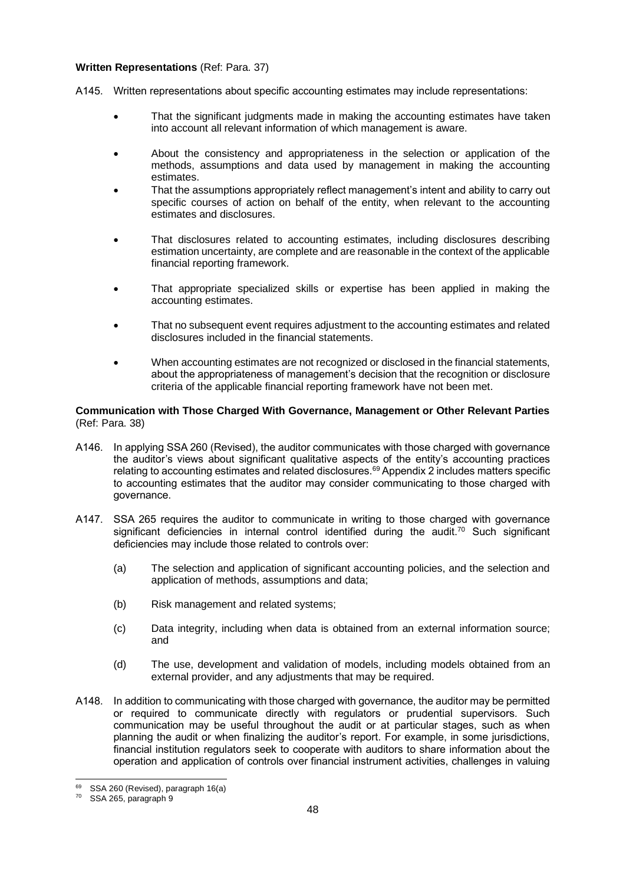#### **Written Representations** (Ref: Para. 37)

- A145. Written representations about specific accounting estimates may include representations:
	- That the significant judgments made in making the accounting estimates have taken into account all relevant information of which management is aware.
	- About the consistency and appropriateness in the selection or application of the methods, assumptions and data used by management in making the accounting estimates.
	- That the assumptions appropriately reflect management's intent and ability to carry out specific courses of action on behalf of the entity, when relevant to the accounting estimates and disclosures.
	- That disclosures related to accounting estimates, including disclosures describing estimation uncertainty, are complete and are reasonable in the context of the applicable financial reporting framework.
	- That appropriate specialized skills or expertise has been applied in making the accounting estimates.
	- That no subsequent event requires adjustment to the accounting estimates and related disclosures included in the financial statements.
	- When accounting estimates are not recognized or disclosed in the financial statements, about the appropriateness of management's decision that the recognition or disclosure criteria of the applicable financial reporting framework have not been met.

#### <span id="page-47-0"></span>**Communication with Those Charged With Governance, Management or Other Relevant Parties**  (Ref: Para. 38)

- A146. In applying SSA 260 (Revised), the auditor communicates with those charged with governance the auditor's views about significant qualitative aspects of the entity's accounting practices relating to accounting estimates and related disclosures.<sup>69</sup> Appendix 2 includes matters specific to accounting estimates that the auditor may consider communicating to those charged with governance.
- A147. SSA 265 requires the auditor to communicate in writing to those charged with governance significant deficiencies in internal control identified during the audit.<sup>70</sup> Such significant deficiencies may include those related to controls over:
	- (a) The selection and application of significant accounting policies, and the selection and application of methods, assumptions and data;
	- (b) Risk management and related systems;
	- (c) Data integrity, including when data is obtained from an external information source; and
	- (d) The use, development and validation of models, including models obtained from an external provider, and any adjustments that may be required.
- A148. In addition to communicating with those charged with governance, the auditor may be permitted or required to communicate directly with regulators or prudential supervisors. Such communication may be useful throughout the audit or at particular stages, such as when planning the audit or when finalizing the auditor's report. For example, in some jurisdictions, financial institution regulators seek to cooperate with auditors to share information about the operation and application of controls over financial instrument activities, challenges in valuing

<sup>&</sup>lt;sup>69</sup> SSA 260 (Revised), paragraph 16(a)

<sup>70</sup> SSA 265, paragraph 9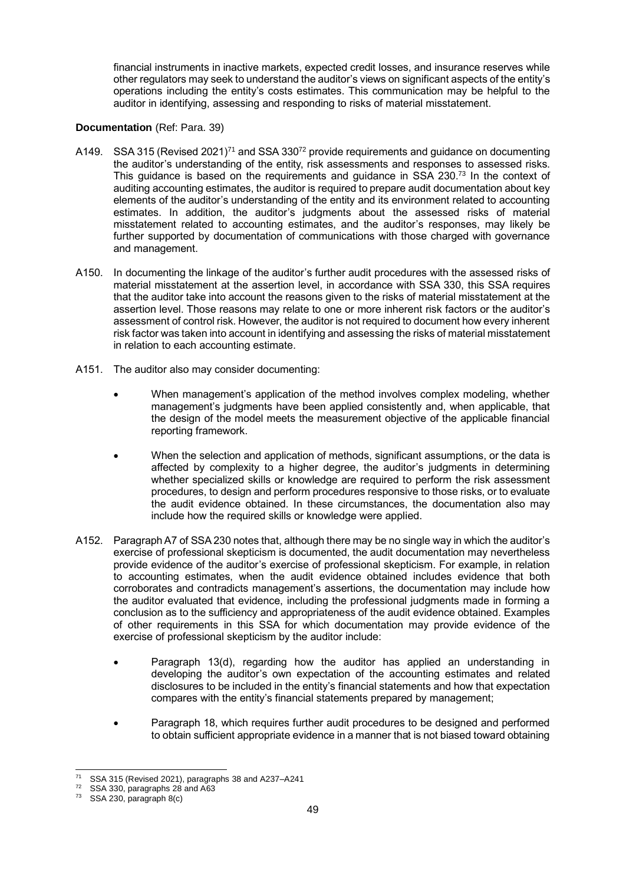financial instruments in inactive markets, expected credit losses, and insurance reserves while other regulators may seek to understand the auditor's views on significant aspects of the entity's operations including the entity's costs estimates. This communication may be helpful to the auditor in identifying, assessing and responding to risks of material misstatement.

#### <span id="page-48-0"></span>**Documentation** (Ref: Para. 39)

- A149. SSA 315 (Revised 2021)<sup>71</sup> and SSA 330<sup>72</sup> provide requirements and guidance on documenting the auditor's understanding of the entity, risk assessments and responses to assessed risks. This guidance is based on the requirements and guidance in SSA 230.<sup>73</sup> In the context of auditing accounting estimates, the auditor is required to prepare audit documentation about key elements of the auditor's understanding of the entity and its environment related to accounting estimates. In addition, the auditor's judgments about the assessed risks of material misstatement related to accounting estimates, and the auditor's responses, may likely be further supported by documentation of communications with those charged with governance and management.
- A150. In documenting the linkage of the auditor's further audit procedures with the assessed risks of material misstatement at the assertion level, in accordance with SSA 330, this SSA requires that the auditor take into account the reasons given to the risks of material misstatement at the assertion level. Those reasons may relate to one or more inherent risk factors or the auditor's assessment of control risk. However, the auditor is not required to document how every inherent risk factor was taken into account in identifying and assessing the risks of material misstatement in relation to each accounting estimate.
- A151. The auditor also may consider documenting:
	- When management's application of the method involves complex modeling, whether management's judgments have been applied consistently and, when applicable, that the design of the model meets the measurement objective of the applicable financial reporting framework.
	- When the selection and application of methods, significant assumptions, or the data is affected by complexity to a higher degree, the auditor's judgments in determining whether specialized skills or knowledge are required to perform the risk assessment procedures, to design and perform procedures responsive to those risks, or to evaluate the audit evidence obtained. In these circumstances, the documentation also may include how the required skills or knowledge were applied.
- A152. Paragraph A7 of SSA230 notes that, although there may be no single way in which the auditor's exercise of professional skepticism is documented, the audit documentation may nevertheless provide evidence of the auditor's exercise of professional skepticism. For example, in relation to accounting estimates, when the audit evidence obtained includes evidence that both corroborates and contradicts management's assertions, the documentation may include how the auditor evaluated that evidence, including the professional judgments made in forming a conclusion as to the sufficiency and appropriateness of the audit evidence obtained. Examples of other requirements in this SSA for which documentation may provide evidence of the exercise of professional skepticism by the auditor include:
	- Paragraph 13(d), regarding how the auditor has applied an understanding in developing the auditor's own expectation of the accounting estimates and related disclosures to be included in the entity's financial statements and how that expectation compares with the entity's financial statements prepared by management;
	- Paragraph 18, which requires further audit procedures to be designed and performed to obtain sufficient appropriate evidence in a manner that is not biased toward obtaining

<sup>71</sup> SSA 315 (Revised 2021), paragraphs 38 and A237–A241

<sup>72</sup> SSA 330, paragraphs 28 and A63

<sup>73</sup> SSA 230, paragraph 8(c)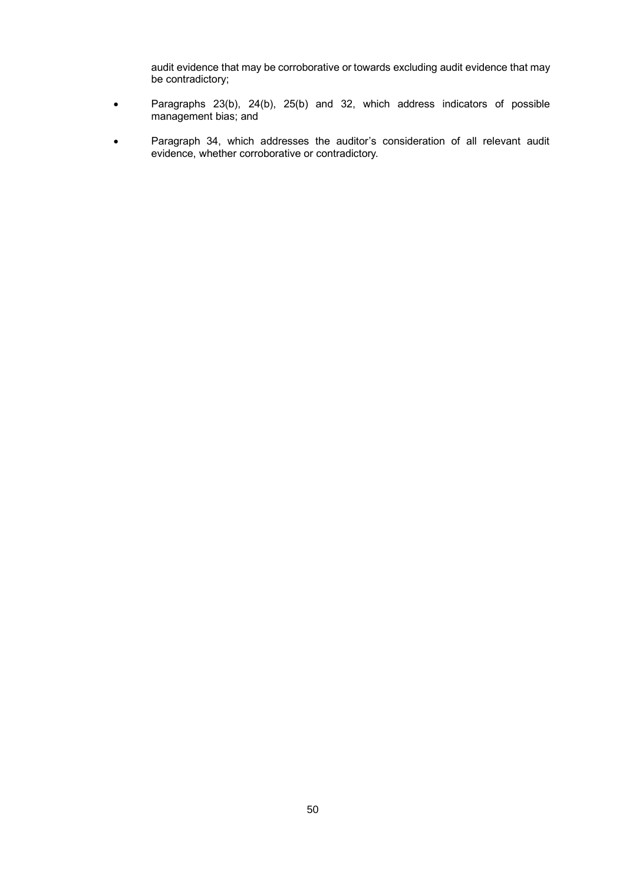audit evidence that may be corroborative or towards excluding audit evidence that may be contradictory;

- Paragraphs 23(b), 24(b), 25(b) and 32, which address indicators of possible management bias; and
- Paragraph 34, which addresses the auditor's consideration of all relevant audit evidence, whether corroborative or contradictory.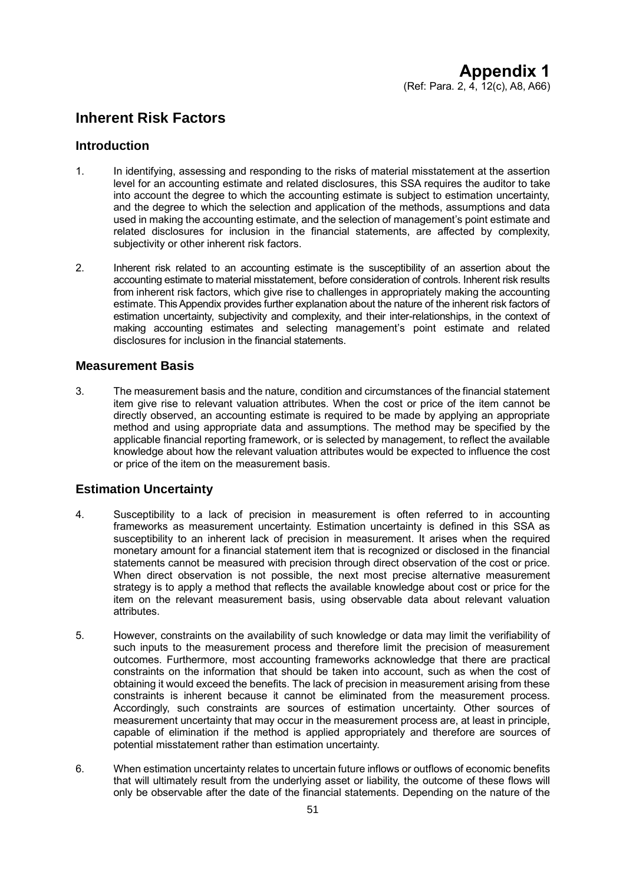# <span id="page-50-1"></span><span id="page-50-0"></span>**Inherent Risk Factors**

## **Introduction**

- 1. In identifying, assessing and responding to the risks of material misstatement at the assertion level for an accounting estimate and related disclosures, this SSA requires the auditor to take into account the degree to which the accounting estimate is subject to estimation uncertainty, and the degree to which the selection and application of the methods, assumptions and data used in making the accounting estimate, and the selection of management's point estimate and related disclosures for inclusion in the financial statements, are affected by complexity, subjectivity or other inherent risk factors.
- 2. Inherent risk related to an accounting estimate is the susceptibility of an assertion about the accounting estimate to material misstatement, before consideration of controls. Inherent risk results from inherent risk factors, which give rise to challenges in appropriately making the accounting estimate. This Appendix provides further explanation about the nature of the inherent risk factors of estimation uncertainty, subjectivity and complexity, and their inter-relationships, in the context of making accounting estimates and selecting management's point estimate and related disclosures for inclusion in the financial statements.

## **Measurement Basis**

3. The measurement basis and the nature, condition and circumstances of the financial statement item give rise to relevant valuation attributes. When the cost or price of the item cannot be directly observed, an accounting estimate is required to be made by applying an appropriate method and using appropriate data and assumptions. The method may be specified by the applicable financial reporting framework, or is selected by management, to reflect the available knowledge about how the relevant valuation attributes would be expected to influence the cost or price of the item on the measurement basis.

## **Estimation Uncertainty**

- 4. Susceptibility to a lack of precision in measurement is often referred to in accounting frameworks as measurement uncertainty. Estimation uncertainty is defined in this SSA as susceptibility to an inherent lack of precision in measurement. It arises when the required monetary amount for a financial statement item that is recognized or disclosed in the financial statements cannot be measured with precision through direct observation of the cost or price. When direct observation is not possible, the next most precise alternative measurement strategy is to apply a method that reflects the available knowledge about cost or price for the item on the relevant measurement basis, using observable data about relevant valuation attributes.
- 5. However, constraints on the availability of such knowledge or data may limit the verifiability of such inputs to the measurement process and therefore limit the precision of measurement outcomes. Furthermore, most accounting frameworks acknowledge that there are practical constraints on the information that should be taken into account, such as when the cost of obtaining it would exceed the benefits. The lack of precision in measurement arising from these constraints is inherent because it cannot be eliminated from the measurement process. Accordingly, such constraints are sources of estimation uncertainty. Other sources of measurement uncertainty that may occur in the measurement process are, at least in principle, capable of elimination if the method is applied appropriately and therefore are sources of potential misstatement rather than estimation uncertainty.
- 6. When estimation uncertainty relates to uncertain future inflows or outflows of economic benefits that will ultimately result from the underlying asset or liability, the outcome of these flows will only be observable after the date of the financial statements. Depending on the nature of the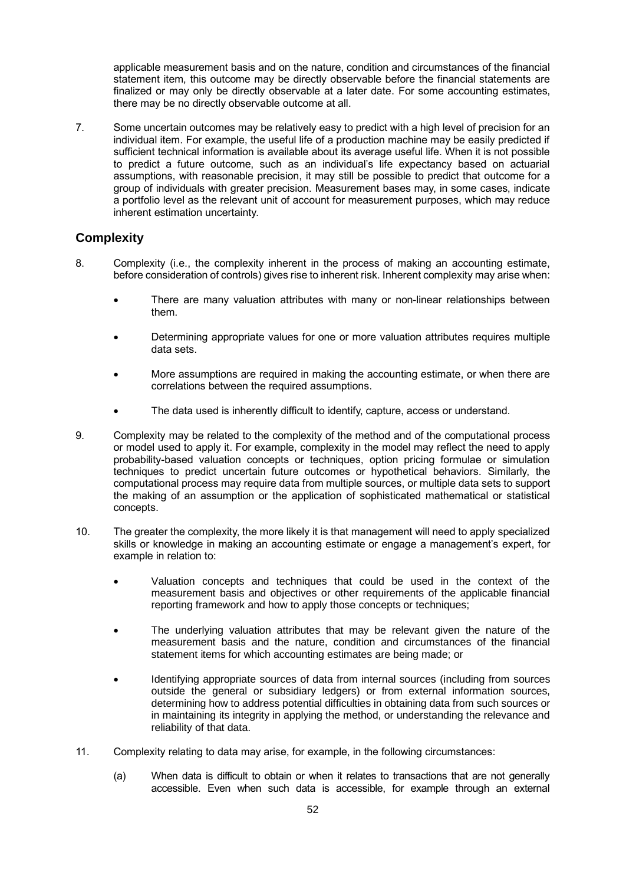applicable measurement basis and on the nature, condition and circumstances of the financial statement item, this outcome may be directly observable before the financial statements are finalized or may only be directly observable at a later date. For some accounting estimates, there may be no directly observable outcome at all.

7. Some uncertain outcomes may be relatively easy to predict with a high level of precision for an individual item. For example, the useful life of a production machine may be easily predicted if sufficient technical information is available about its average useful life. When it is not possible to predict a future outcome, such as an individual's life expectancy based on actuarial assumptions, with reasonable precision, it may still be possible to predict that outcome for a group of individuals with greater precision. Measurement bases may, in some cases, indicate a portfolio level as the relevant unit of account for measurement purposes, which may reduce inherent estimation uncertainty.

## **Complexity**

- 8. Complexity (i.e., the complexity inherent in the process of making an accounting estimate, before consideration of controls) gives rise to inherent risk. Inherent complexity may arise when:
	- There are many valuation attributes with many or non-linear relationships between them.
	- Determining appropriate values for one or more valuation attributes requires multiple data sets.
	- More assumptions are required in making the accounting estimate, or when there are correlations between the required assumptions.
	- The data used is inherently difficult to identify, capture, access or understand.
- 9. Complexity may be related to the complexity of the method and of the computational process or model used to apply it. For example, complexity in the model may reflect the need to apply probability-based valuation concepts or techniques, option pricing formulae or simulation techniques to predict uncertain future outcomes or hypothetical behaviors. Similarly, the computational process may require data from multiple sources, or multiple data sets to support the making of an assumption or the application of sophisticated mathematical or statistical concepts.
- 10. The greater the complexity, the more likely it is that management will need to apply specialized skills or knowledge in making an accounting estimate or engage a management's expert, for example in relation to:
	- Valuation concepts and techniques that could be used in the context of the measurement basis and objectives or other requirements of the applicable financial reporting framework and how to apply those concepts or techniques;
	- The underlying valuation attributes that may be relevant given the nature of the measurement basis and the nature, condition and circumstances of the financial statement items for which accounting estimates are being made; or
	- Identifying appropriate sources of data from internal sources (including from sources outside the general or subsidiary ledgers) or from external information sources, determining how to address potential difficulties in obtaining data from such sources or in maintaining its integrity in applying the method, or understanding the relevance and reliability of that data.
- 11. Complexity relating to data may arise, for example, in the following circumstances:
	- (a) When data is difficult to obtain or when it relates to transactions that are not generally accessible. Even when such data is accessible, for example through an external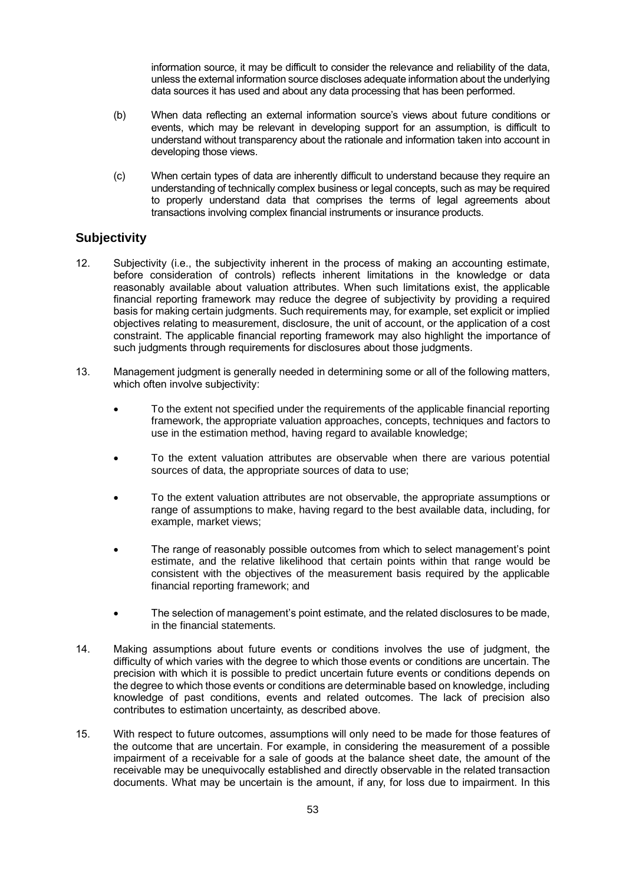information source, it may be difficult to consider the relevance and reliability of the data, unless the external information source discloses adequate information about the underlying data sources it has used and about any data processing that has been performed.

- (b) When data reflecting an external information source's views about future conditions or events, which may be relevant in developing support for an assumption, is difficult to understand without transparency about the rationale and information taken into account in developing those views.
- (c) When certain types of data are inherently difficult to understand because they require an understanding of technically complex business or legal concepts, such as may be required to properly understand data that comprises the terms of legal agreements about transactions involving complex financial instruments or insurance products.

## **Subjectivity**

- 12. Subjectivity (i.e., the subjectivity inherent in the process of making an accounting estimate, before consideration of controls) reflects inherent limitations in the knowledge or data reasonably available about valuation attributes. When such limitations exist, the applicable financial reporting framework may reduce the degree of subjectivity by providing a required basis for making certain judgments. Such requirements may, for example, set explicit or implied objectives relating to measurement, disclosure, the unit of account, or the application of a cost constraint. The applicable financial reporting framework may also highlight the importance of such judgments through requirements for disclosures about those judgments.
- 13. Management judgment is generally needed in determining some or all of the following matters, which often involve subjectivity:
	- To the extent not specified under the requirements of the applicable financial reporting framework, the appropriate valuation approaches, concepts, techniques and factors to use in the estimation method, having regard to available knowledge;
	- To the extent valuation attributes are observable when there are various potential sources of data, the appropriate sources of data to use;
	- To the extent valuation attributes are not observable, the appropriate assumptions or range of assumptions to make, having regard to the best available data, including, for example, market views;
	- The range of reasonably possible outcomes from which to select management's point estimate, and the relative likelihood that certain points within that range would be consistent with the objectives of the measurement basis required by the applicable financial reporting framework; and
	- The selection of management's point estimate, and the related disclosures to be made, in the financial statements.
- 14. Making assumptions about future events or conditions involves the use of judgment, the difficulty of which varies with the degree to which those events or conditions are uncertain. The precision with which it is possible to predict uncertain future events or conditions depends on the degree to which those events or conditions are determinable based on knowledge, including knowledge of past conditions, events and related outcomes. The lack of precision also contributes to estimation uncertainty, as described above.
- 15. With respect to future outcomes, assumptions will only need to be made for those features of the outcome that are uncertain. For example, in considering the measurement of a possible impairment of a receivable for a sale of goods at the balance sheet date, the amount of the receivable may be unequivocally established and directly observable in the related transaction documents. What may be uncertain is the amount, if any, for loss due to impairment. In this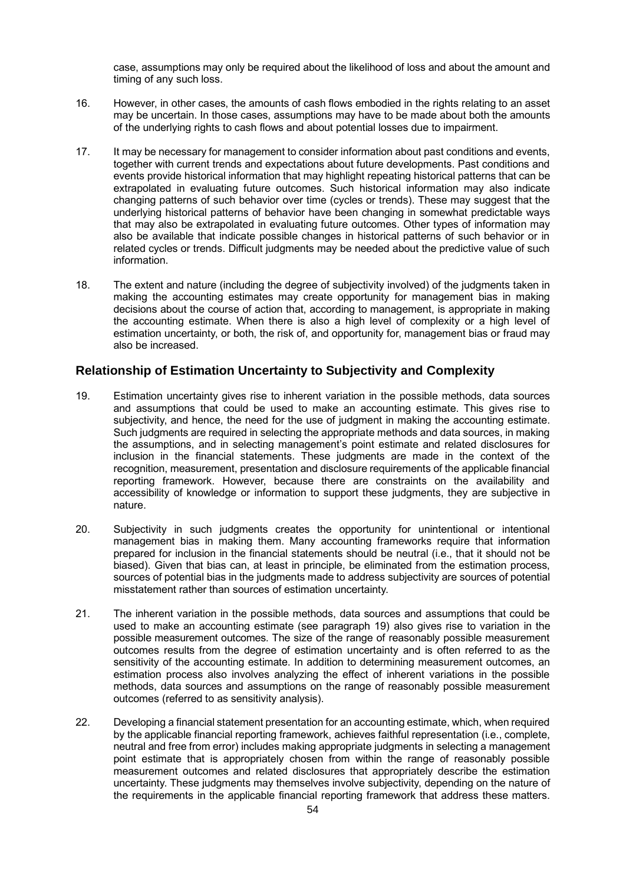case, assumptions may only be required about the likelihood of loss and about the amount and timing of any such loss.

- 16. However, in other cases, the amounts of cash flows embodied in the rights relating to an asset may be uncertain. In those cases, assumptions may have to be made about both the amounts of the underlying rights to cash flows and about potential losses due to impairment.
- 17. It may be necessary for management to consider information about past conditions and events, together with current trends and expectations about future developments. Past conditions and events provide historical information that may highlight repeating historical patterns that can be extrapolated in evaluating future outcomes. Such historical information may also indicate changing patterns of such behavior over time (cycles or trends). These may suggest that the underlying historical patterns of behavior have been changing in somewhat predictable ways that may also be extrapolated in evaluating future outcomes. Other types of information may also be available that indicate possible changes in historical patterns of such behavior or in related cycles or trends. Difficult judgments may be needed about the predictive value of such information.
- 18. The extent and nature (including the degree of subjectivity involved) of the judgments taken in making the accounting estimates may create opportunity for management bias in making decisions about the course of action that, according to management, is appropriate in making the accounting estimate. When there is also a high level of complexity or a high level of estimation uncertainty, or both, the risk of, and opportunity for, management bias or fraud may also be increased.

#### **Relationship of Estimation Uncertainty to Subjectivity and Complexity**

- 19. Estimation uncertainty gives rise to inherent variation in the possible methods, data sources and assumptions that could be used to make an accounting estimate. This gives rise to subjectivity, and hence, the need for the use of judgment in making the accounting estimate. Such judgments are required in selecting the appropriate methods and data sources, in making the assumptions, and in selecting management's point estimate and related disclosures for inclusion in the financial statements. These judgments are made in the context of the recognition, measurement, presentation and disclosure requirements of the applicable financial reporting framework. However, because there are constraints on the availability and accessibility of knowledge or information to support these judgments, they are subjective in nature.
- 20. Subjectivity in such judgments creates the opportunity for unintentional or intentional management bias in making them. Many accounting frameworks require that information prepared for inclusion in the financial statements should be neutral (i.e., that it should not be biased). Given that bias can, at least in principle, be eliminated from the estimation process, sources of potential bias in the judgments made to address subjectivity are sources of potential misstatement rather than sources of estimation uncertainty.
- 21. The inherent variation in the possible methods, data sources and assumptions that could be used to make an accounting estimate (see paragraph 19) also gives rise to variation in the possible measurement outcomes. The size of the range of reasonably possible measurement outcomes results from the degree of estimation uncertainty and is often referred to as the sensitivity of the accounting estimate. In addition to determining measurement outcomes, an estimation process also involves analyzing the effect of inherent variations in the possible methods, data sources and assumptions on the range of reasonably possible measurement outcomes (referred to as sensitivity analysis).
- 22. Developing a financial statement presentation for an accounting estimate, which, when required by the applicable financial reporting framework, achieves faithful representation (i.e., complete, neutral and free from error) includes making appropriate judgments in selecting a management point estimate that is appropriately chosen from within the range of reasonably possible measurement outcomes and related disclosures that appropriately describe the estimation uncertainty. These judgments may themselves involve subjectivity, depending on the nature of the requirements in the applicable financial reporting framework that address these matters.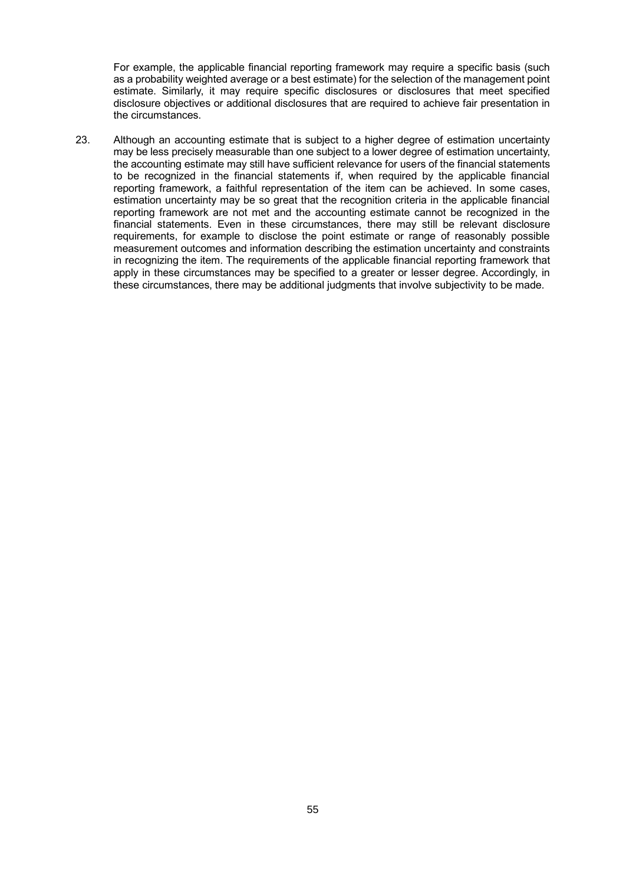For example, the applicable financial reporting framework may require a specific basis (such as a probability weighted average or a best estimate) for the selection of the management point estimate. Similarly, it may require specific disclosures or disclosures that meet specified disclosure objectives or additional disclosures that are required to achieve fair presentation in the circumstances.

23. Although an accounting estimate that is subject to a higher degree of estimation uncertainty may be less precisely measurable than one subject to a lower degree of estimation uncertainty, the accounting estimate may still have sufficient relevance for users of the financial statements to be recognized in the financial statements if, when required by the applicable financial reporting framework, a faithful representation of the item can be achieved. In some cases, estimation uncertainty may be so great that the recognition criteria in the applicable financial reporting framework are not met and the accounting estimate cannot be recognized in the financial statements. Even in these circumstances, there may still be relevant disclosure requirements, for example to disclose the point estimate or range of reasonably possible measurement outcomes and information describing the estimation uncertainty and constraints in recognizing the item. The requirements of the applicable financial reporting framework that apply in these circumstances may be specified to a greater or lesser degree. Accordingly, in these circumstances, there may be additional judgments that involve subjectivity to be made.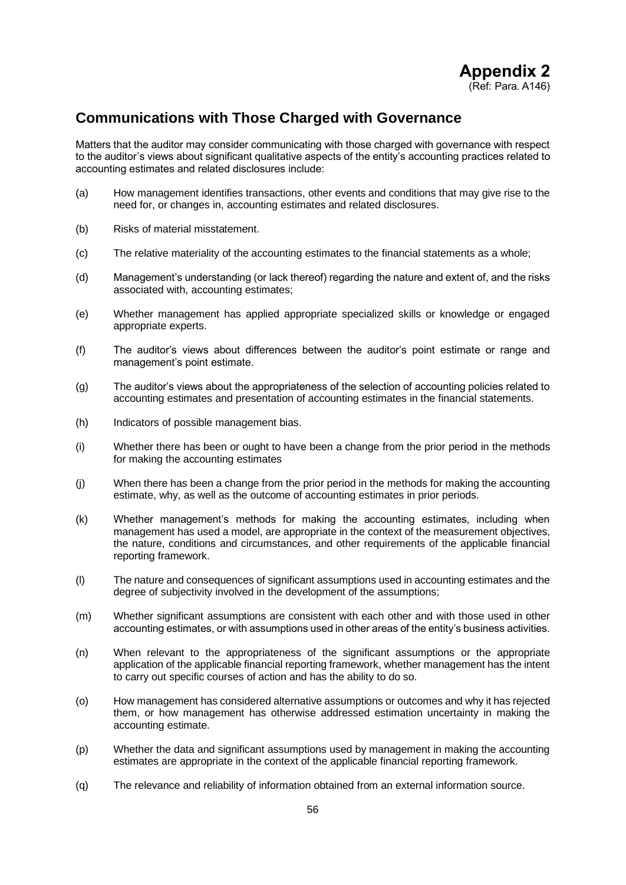# <span id="page-55-1"></span><span id="page-55-0"></span>**Communications with Those Charged with Governance**

Matters that the auditor may consider communicating with those charged with governance with respect to the auditor's views about significant qualitative aspects of the entity's accounting practices related to accounting estimates and related disclosures include:

- (a) How management identifies transactions, other events and conditions that may give rise to the need for, or changes in, accounting estimates and related disclosures.
- (b) Risks of material misstatement.
- (c) The relative materiality of the accounting estimates to the financial statements as a whole;
- (d) Management's understanding (or lack thereof) regarding the nature and extent of, and the risks associated with, accounting estimates;
- (e) Whether management has applied appropriate specialized skills or knowledge or engaged appropriate experts.
- (f) The auditor's views about differences between the auditor's point estimate or range and management's point estimate.
- (g) The auditor's views about the appropriateness of the selection of accounting policies related to accounting estimates and presentation of accounting estimates in the financial statements.
- (h) Indicators of possible management bias.
- (i) Whether there has been or ought to have been a change from the prior period in the methods for making the accounting estimates
- (j) When there has been a change from the prior period in the methods for making the accounting estimate, why, as well as the outcome of accounting estimates in prior periods.
- (k) Whether management's methods for making the accounting estimates, including when management has used a model, are appropriate in the context of the measurement objectives, the nature, conditions and circumstances, and other requirements of the applicable financial reporting framework.
- (l) The nature and consequences of significant assumptions used in accounting estimates and the degree of subjectivity involved in the development of the assumptions;
- (m) Whether significant assumptions are consistent with each other and with those used in other accounting estimates, or with assumptions used in other areas of the entity's business activities.
- (n) When relevant to the appropriateness of the significant assumptions or the appropriate application of the applicable financial reporting framework, whether management has the intent to carry out specific courses of action and has the ability to do so.
- (o) How management has considered alternative assumptions or outcomes and why it has rejected them, or how management has otherwise addressed estimation uncertainty in making the accounting estimate.
- (p) Whether the data and significant assumptions used by management in making the accounting estimates are appropriate in the context of the applicable financial reporting framework.
- (q) The relevance and reliability of information obtained from an external information source.